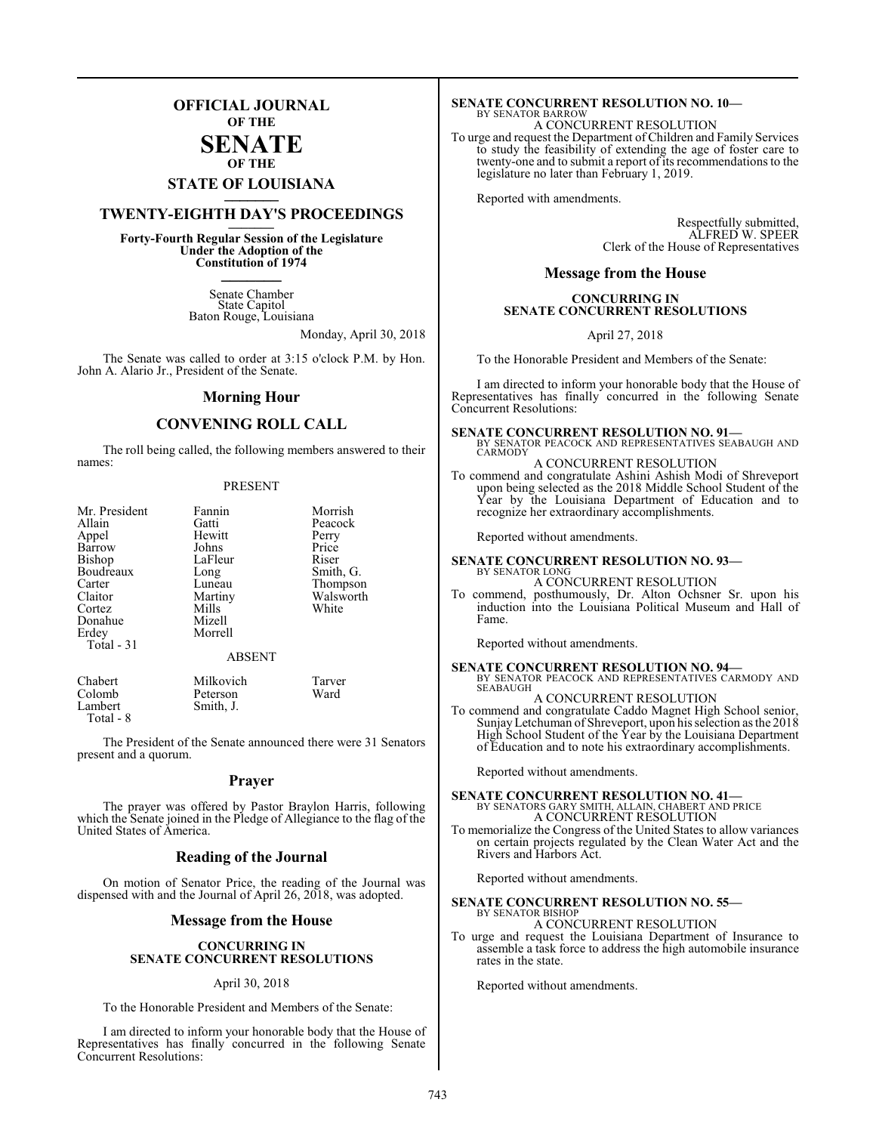## **OFFICIAL JOURNAL OF THE**

#### **SENATE OF THE**

# **STATE OF LOUISIANA \_\_\_\_\_\_\_**

## **TWENTY-EIGHTH DAY'S PROCEEDINGS \_\_\_\_\_\_\_**

**Forty-Fourth Regular Session of the Legislature Under the Adoption of the Constitution of 1974 \_\_\_\_\_\_\_**

> Senate Chamber State Capitol Baton Rouge, Louisiana

> > Monday, April 30, 2018

The Senate was called to order at 3:15 o'clock P.M. by Hon. John A. Alario Jr., President of the Senate.

#### **Morning Hour**

### **CONVENING ROLL CALL**

The roll being called, the following members answered to their names:

#### PRESENT

| Mr. President<br>Allain<br>Appel<br>Barrow<br>Bishop<br>Boudreaux<br>Carter<br>Claitor<br>Cortez<br>Donahue<br>Erdey<br>Total - 31 | Fannin<br>Gatti<br>Hewitt<br>Johns<br>LaFleur<br>Long<br>Luneau<br>Martiny<br>Mills<br>Mizell<br>Morrell<br><b>ABSENT</b> | Morrish<br>Peacock<br>Perry<br>Price<br>Riser<br>Smith, G.<br>Thompson<br>Walsworth<br>White |
|------------------------------------------------------------------------------------------------------------------------------------|---------------------------------------------------------------------------------------------------------------------------|----------------------------------------------------------------------------------------------|
| Chabert                                                                                                                            | Milkovich                                                                                                                 | Tarver                                                                                       |

Colomb Peterson Ward Smith, J. Total - 8

The President of the Senate announced there were 31 Senators present and a quorum.

#### **Prayer**

The prayer was offered by Pastor Braylon Harris, following which the Senate joined in the Pledge of Allegiance to the flag of the United States of America.

#### **Reading of the Journal**

On motion of Senator Price, the reading of the Journal was dispensed with and the Journal of April 26, 2018, was adopted.

#### **Message from the House**

#### **CONCURRING IN SENATE CONCURRENT RESOLUTIONS**

#### April 30, 2018

To the Honorable President and Members of the Senate:

I am directed to inform your honorable body that the House of Representatives has finally concurred in the following Senate Concurrent Resolutions:

#### **SENATE CONCURRENT RESOLUTION NO. 10—** BY SENATOR BARROW

A CONCURRENT RESOLUTION

To urge and request the Department of Children and Family Services to study the feasibility of extending the age of foster care to twenty-one and to submit a report of its recommendations to the legislature no later than February 1, 2019.

Reported with amendments.

Respectfully submitted, ALFRED W. SPEER Clerk of the House of Representatives

#### **Message from the House**

#### **CONCURRING IN SENATE CONCURRENT RESOLUTIONS**

April 27, 2018

To the Honorable President and Members of the Senate:

I am directed to inform your honorable body that the House of Representatives has finally concurred in the following Senate Concurrent Resolutions:

# **SENATE CONCURRENT RESOLUTION NO. 91—** BY SENATOR PEACOCK AND REPRESENTATIVES SEABAUGH AND

**CARMODY** A CONCURRENT RESOLUTION

To commend and congratulate Ashini Ashish Modi of Shreveport upon being selected as the 2018 Middle School Student of the Year by the Louisiana Department of Education and to recognize her extraordinary accomplishments.

Reported without amendments.

- **SENATE CONCURRENT RESOLUTION NO. 93—** BY SENATOR LONG A CONCURRENT RESOLUTION
- To commend, posthumously, Dr. Alton Ochsner Sr. upon his induction into the Louisiana Political Museum and Hall of Fame.

Reported without amendments.

**SENATE CONCURRENT RESOLUTION NO. 94—** BY SENATOR PEACOCK AND REPRESENTATIVES CARMODY AND SEABAUGH A CONCURRENT RESOLUTION

To commend and congratulate Caddo Magnet High School senior, SunjayLetchuman of Shreveport, upon his selection as the 2018 High School Student of the Year by the Louisiana Department of Education and to note his extraordinary accomplishments.

Reported without amendments.

## **SENATE CONCURRENT RESOLUTION NO. 41—** BY SENATORS GARY SMITH, ALLAIN, CHABERT AND PRICE A CONCURRENT RESOLUTION

To memorialize the Congress of the United States to allow variances on certain projects regulated by the Clean Water Act and the Rivers and Harbors Act.

Reported without amendments.

#### **SENATE CONCURRENT RESOLUTION NO. 55—**

#### BY SENATOR BISHOP A CONCURRENT RESOLUTION

To urge and request the Louisiana Department of Insurance to assemble a task force to address the high automobile insurance rates in the state.

Reported without amendments.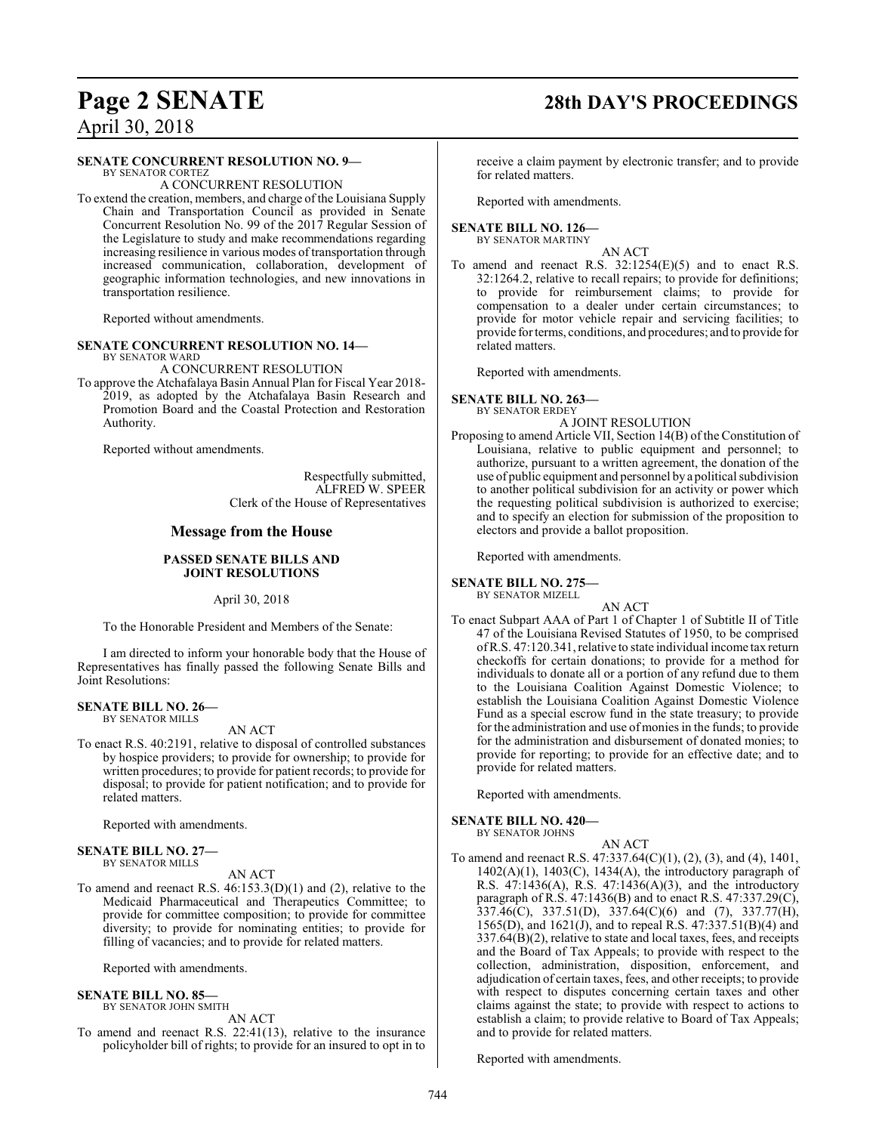#### **SENATE CONCURRENT RESOLUTION NO. 9—**

BY SENATOR CORTEZ A CONCURRENT RESOLUTION

To extend the creation, members, and charge of the Louisiana Supply Chain and Transportation Council as provided in Senate Concurrent Resolution No. 99 of the 2017 Regular Session of the Legislature to study and make recommendations regarding increasing resilience in various modes of transportation through increased communication, collaboration, development of geographic information technologies, and new innovations in transportation resilience.

Reported without amendments.

#### **SENATE CONCURRENT RESOLUTION NO. 14—** BY SENATOR WARD

A CONCURRENT RESOLUTION

To approve the Atchafalaya Basin Annual Plan for Fiscal Year 2018- 2019, as adopted by the Atchafalaya Basin Research and Promotion Board and the Coastal Protection and Restoration Authority.

Reported without amendments.

Respectfully submitted, ALFRED W. SPEER Clerk of the House of Representatives

#### **Message from the House**

#### **PASSED SENATE BILLS AND JOINT RESOLUTIONS**

April 30, 2018

To the Honorable President and Members of the Senate:

I am directed to inform your honorable body that the House of Representatives has finally passed the following Senate Bills and Joint Resolutions:

#### **SENATE BILL NO. 26—** BY SENATOR MILLS

AN ACT

To enact R.S. 40:2191, relative to disposal of controlled substances by hospice providers; to provide for ownership; to provide for written procedures; to provide for patient records; to provide for disposal; to provide for patient notification; and to provide for related matters.

Reported with amendments.

#### **SENATE BILL NO. 27—**

BY SENATOR MILLS

#### AN ACT

To amend and reenact R.S. 46:153.3(D)(1) and (2), relative to the Medicaid Pharmaceutical and Therapeutics Committee; to provide for committee composition; to provide for committee diversity; to provide for nominating entities; to provide for filling of vacancies; and to provide for related matters.

Reported with amendments.

#### **SENATE BILL NO. 85—** BY SENATOR JOHN SMITH

AN ACT

To amend and reenact R.S. 22:41(13), relative to the insurance policyholder bill of rights; to provide for an insured to opt in to

# **Page 2 SENATE 28th DAY'S PROCEEDINGS**

receive a claim payment by electronic transfer; and to provide for related matters.

Reported with amendments.

#### **SENATE BILL NO. 126—** BY SENATOR MARTINY

AN ACT

To amend and reenact R.S. 32:1254(E)(5) and to enact R.S. 32:1264.2, relative to recall repairs; to provide for definitions; to provide for reimbursement claims; to provide for compensation to a dealer under certain circumstances; to provide for motor vehicle repair and servicing facilities; to provide for terms, conditions, and procedures; and to provide for related matters.

Reported with amendments.

**SENATE BILL NO. 263—** BY SENATOR ERDEY

A JOINT RESOLUTION

Proposing to amend Article VII, Section 14(B) of the Constitution of Louisiana, relative to public equipment and personnel; to authorize, pursuant to a written agreement, the donation of the use of public equipment and personnel by a political subdivision to another political subdivision for an activity or power which the requesting political subdivision is authorized to exercise; and to specify an election for submission of the proposition to electors and provide a ballot proposition.

Reported with amendments.

#### **SENATE BILL NO. 275—**

BY SENATOR MIZELL

AN ACT To enact Subpart AAA of Part 1 of Chapter 1 of Subtitle II of Title 47 of the Louisiana Revised Statutes of 1950, to be comprised ofR.S. 47:120.341, relative to state individual income tax return checkoffs for certain donations; to provide for a method for individuals to donate all or a portion of any refund due to them to the Louisiana Coalition Against Domestic Violence; to establish the Louisiana Coalition Against Domestic Violence Fund as a special escrow fund in the state treasury; to provide for the administration and use of monies in the funds; to provide for the administration and disbursement of donated monies; to provide for reporting; to provide for an effective date; and to provide for related matters.

Reported with amendments.

#### **SENATE BILL NO. 420—**

BY SENATOR JOHNS

To amend and reenact R.S. 47:337.64(C)(1), (2), (3), and (4), 1401,  $1402(A)(1)$ ,  $1403(C)$ ,  $1434(A)$ , the introductory paragraph of R.S. 47:1436(A), R.S. 47:1436(A)(3), and the introductory paragraph of R.S. 47:1436(B) and to enact R.S. 47:337.29(C), 337.46(C), 337.51(D), 337.64(C)(6) and (7), 337.77(H), 1565(D), and 1621(J), and to repeal R.S. 47:337.51(B)(4) and 337.64(B)(2), relative to state and local taxes, fees, and receipts and the Board of Tax Appeals; to provide with respect to the collection, administration, disposition, enforcement, and adjudication of certain taxes, fees, and other receipts; to provide with respect to disputes concerning certain taxes and other claims against the state; to provide with respect to actions to establish a claim; to provide relative to Board of Tax Appeals; and to provide for related matters.

AN ACT

Reported with amendments.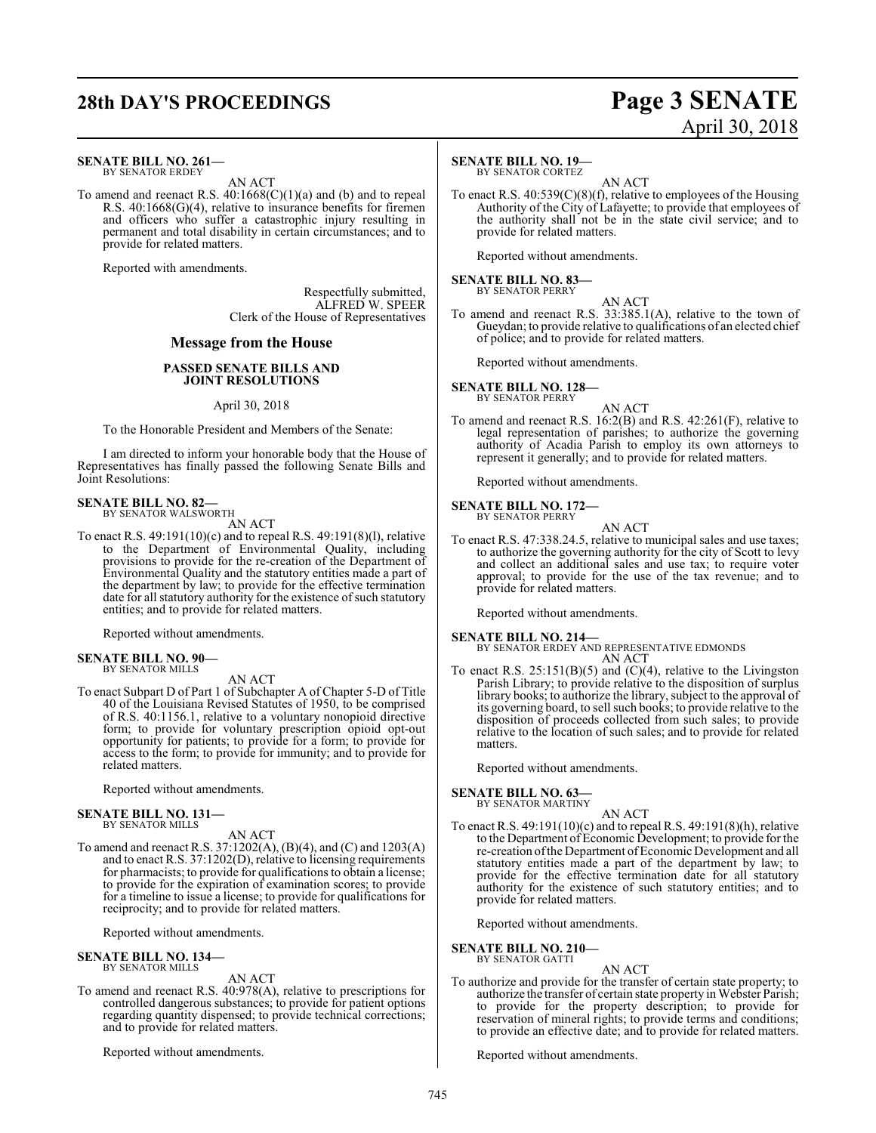# **28th DAY'S PROCEEDINGS Page 3 SENATE**

#### **SENATE BILL NO. 261—** BY SENATOR ERDEY

AN ACT

To amend and reenact R.S.  $40:1668(C)(1)(a)$  and (b) and to repeal R.S. 40:1668(G)(4), relative to insurance benefits for firemen and officers who suffer a catastrophic injury resulting in permanent and total disability in certain circumstances; and to provide for related matters.

Reported with amendments.

Respectfully submitted, ALFRED W. SPEER Clerk of the House of Representatives

#### **Message from the House**

#### **PASSED SENATE BILLS AND JOINT RESOLUTIONS**

#### April 30, 2018

To the Honorable President and Members of the Senate:

I am directed to inform your honorable body that the House of Representatives has finally passed the following Senate Bills and Joint Resolutions:

## **SENATE BILL NO. 82—** BY SENATOR WALSWORTH

AN ACT

To enact R.S. 49:191(10)(c) and to repeal R.S. 49:191(8)(l), relative to the Department of Environmental Quality, including provisions to provide for the re-creation of the Department of Environmental Quality and the statutory entities made a part of the department by law; to provide for the effective termination date for all statutory authority for the existence of such statutory entities; and to provide for related matters.

Reported without amendments.

**SENATE BILL NO. 90—** BY SENATOR MILLS

AN ACT To enact Subpart D of Part 1 of Subchapter A of Chapter 5-D of Title 40 of the Louisiana Revised Statutes of 1950, to be comprised of R.S. 40:1156.1, relative to a voluntary nonopioid directive form; to provide for voluntary prescription opioid opt-out opportunity for patients; to provide for a form; to provide for access to the form; to provide for immunity; and to provide for related matters.

Reported without amendments.

#### **SENATE BILL NO. 131—** BY SENATOR MILLS

AN ACT

To amend and reenact R.S. 37:1202(A), (B)(4), and (C) and 1203(A) and to enact R.S. 37:1202(D), relative to licensing requirements for pharmacists; to provide for qualifications to obtain a license; to provide for the expiration of examination scores; to provide for a timeline to issue a license; to provide for qualifications for reciprocity; and to provide for related matters.

Reported without amendments.

**SENATE BILL NO. 134—** BY SENATOR MILLS

AN ACT

To amend and reenact R.S. 40:978(A), relative to prescriptions for controlled dangerous substances; to provide for patient options regarding quantity dispensed; to provide technical corrections; and to provide for related matters.

Reported without amendments.

#### **SENATE BILL NO. 19—**

BY SENATOR CORTEZ

AN ACT To enact R.S. 40:539(C)(8)(f), relative to employees of the Housing Authority of the City of Lafayette; to provide that employees of the authority shall not be in the state civil service; and to provide for related matters.

April 30, 2018

Reported without amendments.

#### **SENATE BILL NO. 83—** BY SENATOR PERRY

AN ACT

To amend and reenact R.S. 33:385.1(A), relative to the town of Gueydan; to provide relative to qualifications of an elected chief of police; and to provide for related matters.

Reported without amendments.

**SENATE BILL NO. 128—** BY SENATOR PERRY

AN ACT

To amend and reenact R.S. 16:2(B) and R.S. 42:261(F), relative to legal representation of parishes; to authorize the governing authority of Acadia Parish to employ its own attorneys to represent it generally; and to provide for related matters.

Reported without amendments.

**SENATE BILL NO. 172—** BY SENATOR PERRY

- AN ACT
- To enact R.S. 47:338.24.5, relative to municipal sales and use taxes; to authorize the governing authority for the city of Scott to levy and collect an additional sales and use tax; to require voter approval; to provide for the use of the tax revenue; and to provide for related matters.

Reported without amendments.

#### **SENATE BILL NO. 214—**

BY SENATOR ERDEY AND REPRESENTATIVE EDMONDS AN ACT

To enact R.S.  $25:151(B)(5)$  and  $(C)(4)$ , relative to the Livingston Parish Library; to provide relative to the disposition of surplus library books; to authorize the library, subject to the approval of its governing board, to sell such books; to provide relative to the disposition of proceeds collected from such sales; to provide relative to the location of such sales; and to provide for related matters.

Reported without amendments.

## **SENATE BILL NO. 63—** BY SENATOR MARTINY

AN ACT

To enact R.S. 49:191(10)(c) and to repeal R.S. 49:191(8)(h), relative to the Department of Economic Development; to provide for the re-creation of the Department of Economic Development and all statutory entities made a part of the department by law; to provide for the effective termination date for all statutory authority for the existence of such statutory entities; and to provide for related matters.

Reported without amendments.

**SENATE BILL NO. 210—** BY SENATOR GATTI

AN ACT

To authorize and provide for the transfer of certain state property; to authorize the transfer of certain state property in Webster Parish; to provide for the property description; to provide for reservation of mineral rights; to provide terms and conditions; to provide an effective date; and to provide for related matters.

Reported without amendments.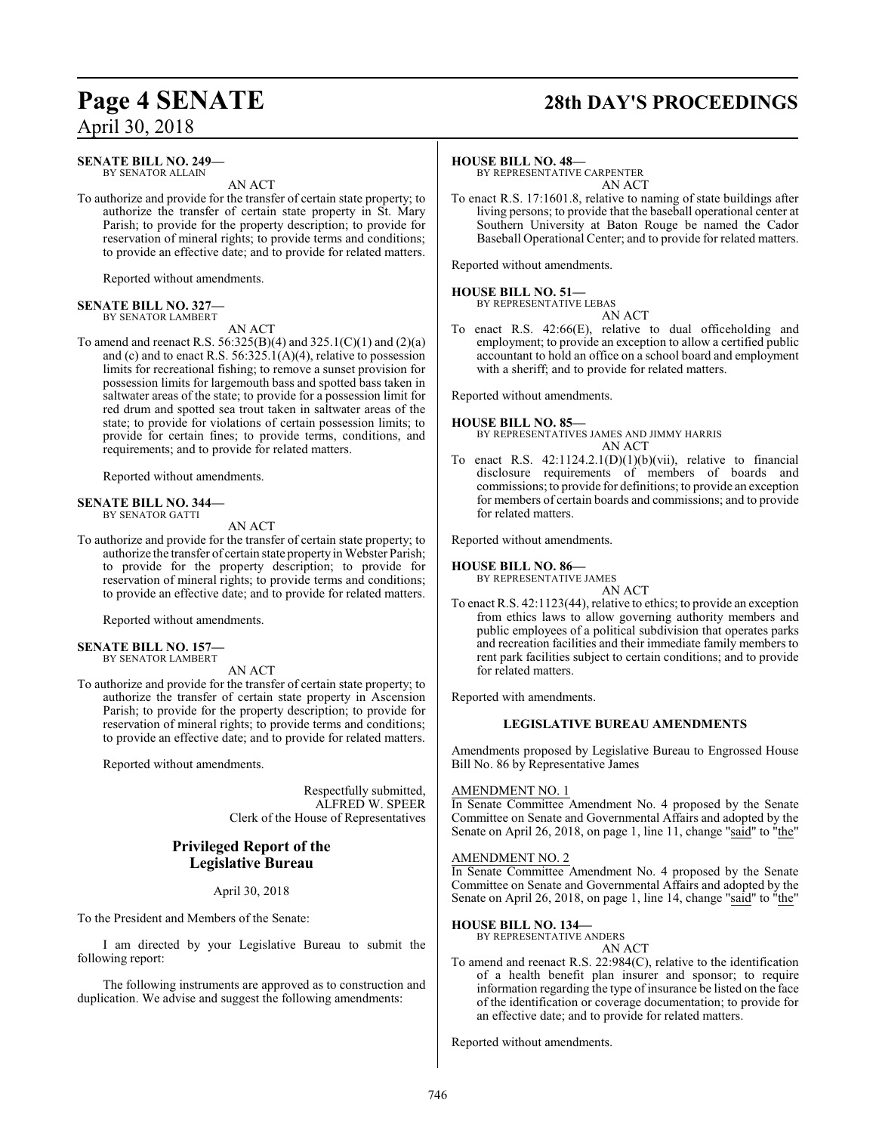# **Page 4 SENATE 28th DAY'S PROCEEDINGS**

### **SENATE BILL NO. 249—**

BY SENATOR ALLAIN AN ACT

To authorize and provide for the transfer of certain state property; to authorize the transfer of certain state property in St. Mary Parish; to provide for the property description; to provide for reservation of mineral rights; to provide terms and conditions; to provide an effective date; and to provide for related matters.

Reported without amendments.

#### **SENATE BILL NO. 327—** BY SENATOR LAMBERT

AN ACT

To amend and reenact R.S. 56:325(B)(4) and 325.1(C)(1) and (2)(a) and (c) and to enact R.S. 56:325.1(A)(4), relative to possession limits for recreational fishing; to remove a sunset provision for possession limits for largemouth bass and spotted bass taken in saltwater areas of the state; to provide for a possession limit for red drum and spotted sea trout taken in saltwater areas of the state; to provide for violations of certain possession limits; to provide for certain fines; to provide terms, conditions, and requirements; and to provide for related matters.

Reported without amendments.

#### **SENATE BILL NO. 344—** BY SENATOR GATTI

AN ACT

To authorize and provide for the transfer of certain state property; to authorize the transfer of certain state property in Webster Parish; to provide for the property description; to provide for reservation of mineral rights; to provide terms and conditions; to provide an effective date; and to provide for related matters.

Reported without amendments.

#### **SENATE BILL NO. 157—** BY SENATOR LAMBERT

AN ACT

To authorize and provide for the transfer of certain state property; to authorize the transfer of certain state property in Ascension Parish; to provide for the property description; to provide for reservation of mineral rights; to provide terms and conditions; to provide an effective date; and to provide for related matters.

Reported without amendments.

Respectfully submitted, ALFRED W. SPEER Clerk of the House of Representatives

### **Privileged Report of the Legislative Bureau**

#### April 30, 2018

To the President and Members of the Senate:

I am directed by your Legislative Bureau to submit the following report:

The following instruments are approved as to construction and duplication. We advise and suggest the following amendments:

#### **HOUSE BILL NO. 48—**

BY REPRESENTATIVE CARPENTER AN ACT

To enact R.S. 17:1601.8, relative to naming of state buildings after living persons; to provide that the baseball operational center at Southern University at Baton Rouge be named the Cador Baseball Operational Center; and to provide for related matters.

Reported without amendments.

#### **HOUSE BILL NO. 51—**

BY REPRESENTATIVE LEBAS

To enact R.S. 42:66(E), relative to dual officeholding and employment; to provide an exception to allow a certified public accountant to hold an office on a school board and employment with a sheriff; and to provide for related matters.

AN ACT

Reported without amendments.

#### **HOUSE BILL NO. 85—**

BY REPRESENTATIVES JAMES AND JIMMY HARRIS AN ACT

To enact R.S.  $42:1124.2.1(D)(1)(b)(vii)$ , relative to financial disclosure requirements of members of boards and commissions; to provide for definitions; to provide an exception for members of certain boards and commissions; and to provide for related matters.

Reported without amendments.

#### **HOUSE BILL NO. 86—**

BY REPRESENTATIVE JAMES

AN ACT

To enact R.S. 42:1123(44), relative to ethics; to provide an exception from ethics laws to allow governing authority members and public employees of a political subdivision that operates parks and recreation facilities and their immediate family members to rent park facilities subject to certain conditions; and to provide for related matters.

Reported with amendments.

#### **LEGISLATIVE BUREAU AMENDMENTS**

Amendments proposed by Legislative Bureau to Engrossed House Bill No. 86 by Representative James

#### AMENDMENT NO. 1

In Senate Committee Amendment No. 4 proposed by the Senate Committee on Senate and Governmental Affairs and adopted by the Senate on April 26, 2018, on page 1, line 11, change "said" to "the"

#### AMENDMENT NO. 2

In Senate Committee Amendment No. 4 proposed by the Senate Committee on Senate and Governmental Affairs and adopted by the Senate on April 26, 2018, on page 1, line 14, change "said" to "the"

#### **HOUSE BILL NO. 134—**

BY REPRESENTATIVE ANDERS

#### AN ACT

To amend and reenact R.S. 22:984(C), relative to the identification of a health benefit plan insurer and sponsor; to require information regarding the type of insurance be listed on the face of the identification or coverage documentation; to provide for an effective date; and to provide for related matters.

Reported without amendments.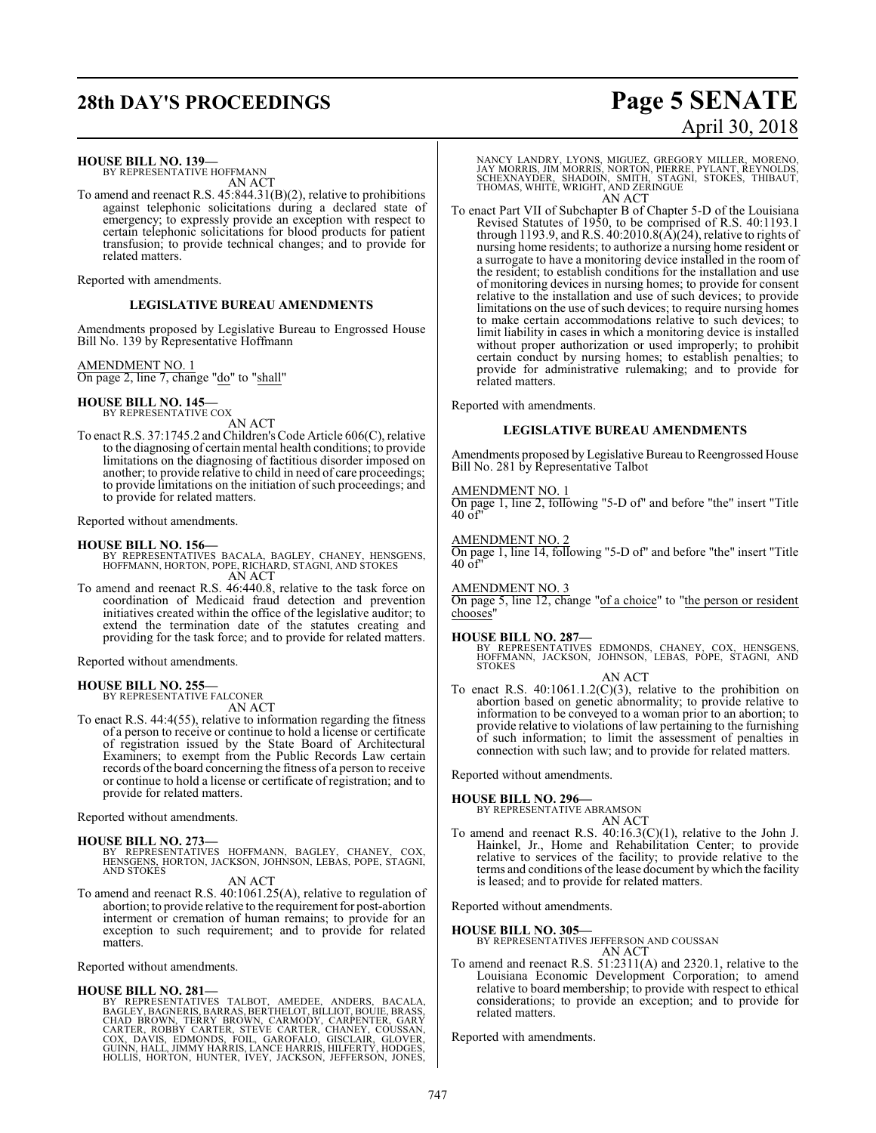# **28th DAY'S PROCEEDINGS Page 5 SENATE**

#### **HOUSE BILL NO. 139—**

BY REPRESENTATIVE HOFFMANN AN ACT

To amend and reenact R.S. 45:844.31(B)(2), relative to prohibitions against telephonic solicitations during a declared state of emergency; to expressly provide an exception with respect to certain telephonic solicitations for blood products for patient transfusion; to provide technical changes; and to provide for related matters.

Reported with amendments.

#### **LEGISLATIVE BUREAU AMENDMENTS**

Amendments proposed by Legislative Bureau to Engrossed House Bill No. 139 by Representative Hoffmann

#### AMENDMENT NO. 1

On page 2, line 7, change "do" to "shall"

## **HOUSE BILL NO. 145—** BY REPRESENTATIVE COX

AN ACT

To enact R.S. 37:1745.2 and Children'sCode Article 606(C), relative to the diagnosing of certain mental health conditions; to provide limitations on the diagnosing of factitious disorder imposed on another; to provide relative to child in need of care proceedings; to provide limitations on the initiation of such proceedings; and to provide for related matters.

Reported without amendments.

#### **HOUSE BILL NO. 156—**

- BY REPRESENTATIVES BACALA, BAGLEY, CHANEY, HENSGENS, HOFFMANN, HORTON, POPE, RICHARD, STAGNI, AND STOKES AN ACT
- To amend and reenact R.S. 46:440.8, relative to the task force on coordination of Medicaid fraud detection and prevention initiatives created within the office of the legislative auditor; to extend the termination date of the statutes creating and providing for the task force; and to provide for related matters.

Reported without amendments.

**HOUSE BILL NO. 255—** BY REPRESENTATIVE FALCONER AN ACT

To enact R.S. 44:4(55), relative to information regarding the fitness of a person to receive or continue to hold a license or certificate of registration issued by the State Board of Architectural Examiners; to exempt from the Public Records Law certain records ofthe board concerning the fitness of a person to receive or continue to hold a license or certificate of registration; and to provide for related matters.

Reported without amendments.

#### **HOUSE BILL NO. 273—**

BY REPRESENTATIVES HOFFMANN, BAGLEY, CHANEY, COX, HENSGENS, HORTON, JACKSON, JOHNSON, LEBAS, POPE, STAGNI, AND STOKES

exception to such requirement; and to provide for related

#### AN ACT To amend and reenact R.S. 40:1061.25(A), relative to regulation of abortion; to provide relative to the requirement for post-abortion interment or cremation of human remains; to provide for an

Reported without amendments.

#### **HOUSE BILL NO. 281—**

matters.

BY REPRESENTATIVES TALBOT, AMEDEE, ANDERS, BACALA, BAGLEY, BAGNERIS, BARRAS, BERTHELOT, BILLIOT, BOUIE, BRASS,<br>CHAD BROWN, TERRY BROWN, CARMODY, CARPENTER, GARY<br>CARTER, ROBBY CARTER, STEVE CARTER, CHANEY, COUSSAN,<br>COX, DAVIS, EDMONDS, FOIL, GAROFALO, GISCLAIR, GLOVER,<br>GUIN

# April 30, 2018

NANCY LANDRY, LYONS, MIGUEZ, GREGORY MILLER, MORENO,<br>JAY MORRIS, JIM MORRIS, NORTON, PIERRE, PYLANT, REYNOLDS,<br>SCHEXNAYDER, SHADOIN, SMITH, STAGNI, STOKES, THIBAUT,<br>THOMAS, WHITE, WRIGHT, AND ZERINGUE AN ACT

To enact Part VII of Subchapter B of Chapter 5-D of the Louisiana Revised Statutes of 1950, to be comprised of R.S. 40:1193.1 through 1193.9, and R.S.  $40:2010.8(A)(24)$ , relative to rights of nursing home residents; to authorize a nursing home resident or a surrogate to have a monitoring device installed in the room of the resident; to establish conditions for the installation and use of monitoring devices in nursing homes; to provide for consent relative to the installation and use of such devices; to provide limitations on the use of such devices; to require nursing homes to make certain accommodations relative to such devices; to limit liability in cases in which a monitoring device is installed without proper authorization or used improperly; to prohibit certain conduct by nursing homes; to establish penalties; to provide for administrative rulemaking; and to provide for related matters.

Reported with amendments.

#### **LEGISLATIVE BUREAU AMENDMENTS**

Amendments proposed by Legislative Bureau to Reengrossed House Bill No. 281 by Representative Talbot

#### AMENDMENT NO. 1

On page 1, line 2, following "5-D of" and before "the" insert "Title  $40 \text{ of}^4$ 

#### AMENDMENT NO. 2

On page 1, line 14, following "5-D of" and before "the" insert "Title  $40$  of

AMENDMENT NO. 3

On page 5, line 12, change "of a choice" to "the person or resident chooses

#### **HOUSE BILL NO. 287—**

BY REPRESENTATIVES EDMONDS, CHANEY, COX, HENSGENS, HOFFMANN, JACKSON, JOHNSON, LEBAS, POPE, STAGNI, AND **STOKES** 

#### AN ACT

To enact R.S.  $40:1061.1.2(C)(3)$ , relative to the prohibition on abortion based on genetic abnormality; to provide relative to information to be conveyed to a woman prior to an abortion; to provide relative to violations of law pertaining to the furnishing of such information; to limit the assessment of penalties in connection with such law; and to provide for related matters.

Reported without amendments.

**HOUSE BILL NO. 296—** BY REPRESENTATIVE ABRAMSON

AN ACT To amend and reenact R.S. 40:16.3(C)(1), relative to the John J. Hainkel, Jr., Home and Rehabilitation Center; to provide relative to services of the facility; to provide relative to the terms and conditions ofthe lease document by which the facility is leased; and to provide for related matters.

Reported without amendments.

#### **HOUSE BILL NO. 305—**

BY REPRESENTATIVES JEFFERSON AND COUSSAN AN ACT

To amend and reenact R.S. 51:2311(A) and 2320.1, relative to the Louisiana Economic Development Corporation; to amend relative to board membership; to provide with respect to ethical considerations; to provide an exception; and to provide for related matters.

Reported with amendments.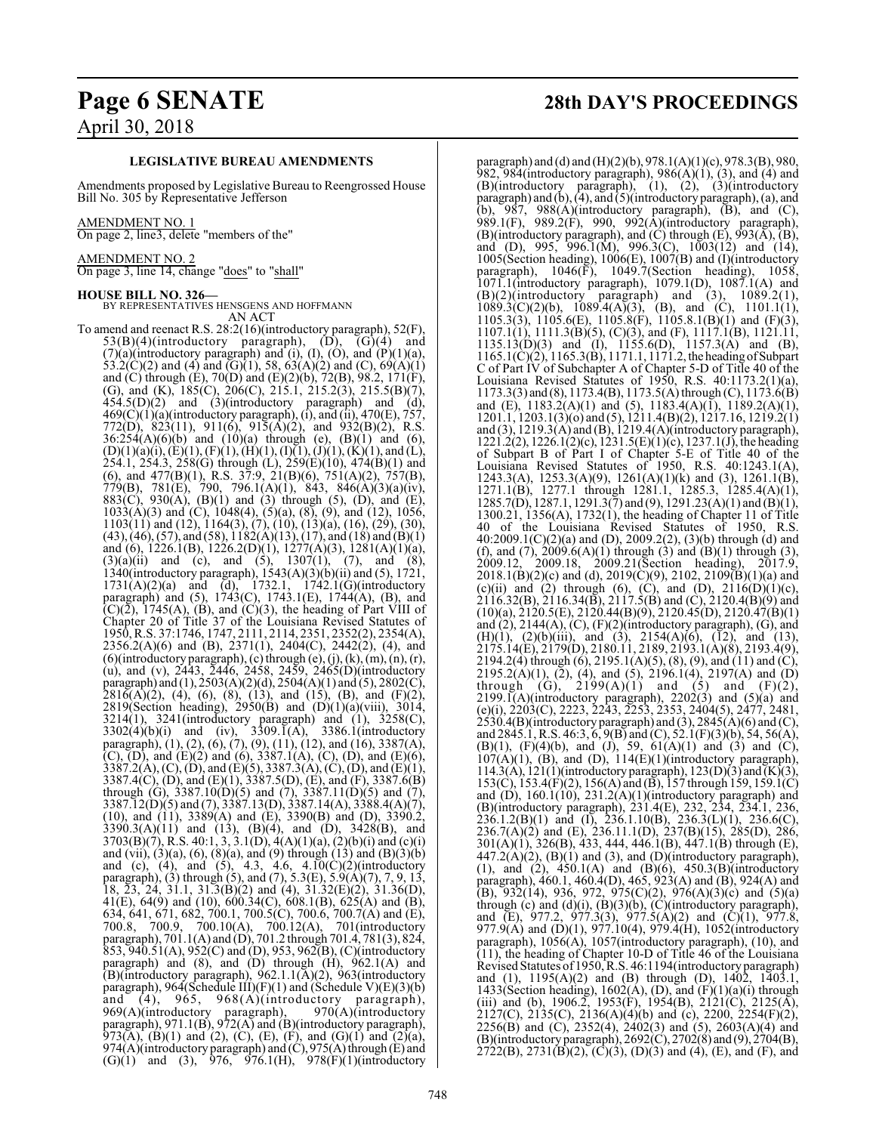#### **LEGISLATIVE BUREAU AMENDMENTS**

Amendments proposed by Legislative Bureau to Reengrossed House Bill No. 305 by Representative Jefferson

#### AMENDMENT NO. 1

On page 2, line3, delete "members of the"

#### AMENDMENT NO. 2

On page 3, line 14, change "does" to "shall"

**HOUSE BILL NO. 326—** BY REPRESENTATIVES HENSGENS AND HOFFMANN AN ACT

To amend and reenact R.S. 28:2(16)(introductory paragraph), 52(F),  $53(B)(4)$ (introductory paragraph),  $(D)$ ,  $G)(4)$  and  $(7)(a)$ (introductory paragraph) and (i), (I), (O), and  $(P)(1)(a)$ , 53.2(C)(2) and (4) and (G)(1), 58,  $63(A)(2)$  and (C),  $69(A)(1)$ and (C) through (E), 70(D) and (E)(2)(b), 72(B), 98.2, 171(F), (G), and (K), 185(C), 206(C), 215.1, 215.2(3), 215.5(B)(7),  $454.5(D)(2)$  and  $(3)(introductory paragraph)$  and  $(d),$ 469(C)(1)(a)(introductory paragraph), (i), and (ii), 470(E), 757, 772(D), 823(11), 911(6), 915(A)(2), and 932(B)(2), R.S.  $36:254(A)(6)(b)$  and  $(10)(a)$  through (e),  $(B)(1)$  and  $(6)$ ,  $(D)(1)(a)(i), (E)(1), (F)(1), (H)(1), (I)(1), (J)(1), (K)(1),$  and  $(L)$ , 254.1, 254.3, 258(G) through (L), 259(E)(10), 474(B)(1) and (6), and 477(B)(1), R.S. 37:9, 21(B)(6), 751(A)(2), 757(B), 779(B), 781(E), 790, 796.1(A)(1), 843, 846(A)(3)(a)(iv), 883(C), 930(A), (B)(1) and (3) through (5), (D), and (E),  $1033(\hat{A})(3)$  and  $(\hat{C})$ ,  $1048(4)$ ,  $(5)(a)$ ,  $(8)$ ,  $(9)$ , and  $(12)$ ,  $1056$ , 1103(11) and (12), 1164(3), (7), (10), (13)(a), (16), (29), (30),  $(43)$ ,  $(46)$ ,  $(57)$ , and  $(58)$ ,  $1182(A)(13)$ ,  $(17)$ , and  $(18)$  and  $(B)(1)$ and (6), 1226.1(B), 1226.2(D)(1), 1277(A)(3), 1281(A)(1)(a),  $(3)(a)(ii)$  and (c), and (5), 1307(1), (7), and (8), 1340(introductory paragraph), 1543(A)(3)(b)(ii) and (5), 1721, 1731(A)(2)(a) and (d), 1732.1, 1742.1(G)(introductory paragraph) and (5), 1743(C), 1743.1(E), 1744(A), (B), and  $(C)(\overline{2})$ , 1745(A), (B), and  $(C)(3)$ , the heading of Part VIII of Chapter 20 of Title 37 of the Louisiana Revised Statutes of 1950, R.S. 37:1746, 1747, 2111, 2114, 2351, 2352(2), 2354(A), 2356.2(A)(6) and (B), 2371(1), 2404(C), 2442(2), (4), and  $(6)$ (introductory paragraph),  $(c)$  through  $(e)$ ,  $(j)$ ,  $(k)$ ,  $(m)$ ,  $(n)$ ,  $(r)$ , (u), and (v), 2443, 2446, 2458, 2459, 2465(D)(introductory paragraph) and  $(1)$ , 2503 $(A)(2)(d)$ , 2504 $(A)(1)$  and  $(5)$ , 2802 $(C)$ ,  $2816(A)(2)$ , (4), (6), (8), (13), and (15), (B), and (F)(2), 2819(Section heading), 2950(B) and (D)(1)(a)(viii), 3014, 3214(1), 3241(introductory paragraph) and (1), 3258(C),  $3302(4)(b)(i)$  and (iv),  $3309.\overline{1}(A)$ ,  $3386.1(introductor)$ paragraph), (1), (2), (6), (7), (9), (11), (12), and (16), 3387(A), (C), (D), and (E)(2) and (6), 3387.1(A), (C), (D), and (E)(6),  $3387.2(A), (C), (D),$  and  $(E)(5), 3387.3(A), (C), (D),$  and  $(E)(1),$ 3387.4(C), (D), and (E)(1), 3387.5(D), (E), and (F), 3387.6(B) through (G),  $3387.10(D)(5)$  and (7),  $3387.11(D)(5)$  and (7),  $3387.12(D)(5)$  and  $(7), 3387.13(D), 3387.14(A), 3388.4(A)(7),$ (10), and (11), 3389(A) and (E), 3390(B) and (D), 3390.2,  $3390.3(A)(11)$  and  $(13)$ ,  $(B)(4)$ , and  $(D)$ ,  $3428(B)$ , and 3703(B)(7), R.S. 40:1, 3, 3.1(D), 4(A)(1)(a), (2)(b)(i) and (c)(i) and (vii), (3)(a), (6), (8)(a), and (9) through (13) and (B)(3)(b) and (c), (4), and (5), 4.3, 4.6, 4.10(C)(2)(introductory paragraph), (3) through (5), and (7), 5.3(E), 5.9(A)(7), 7, 9, 13, 18,  $\overline{23}$ ,  $\overline{24}$ ,  $\overline{31}$ .1,  $\overline{31}$ . $\overline{3}$ (B)(2) and (4),  $\overline{31}$ . $\overline{32}$ (E)(2),  $\overline{31}$ . $\overline{36}$ (D), 41(E), 64(9) and (10), 600.34(C), 608.1(B), 625(A) and (B), 634, 641, 671, 682, 700.1, 700.5(C), 700.6, 700.7(A) and (E), 700.8, 700.9, 700.10(A), 700.12(A), 701(introductory paragraph), 701.1(A) and (D), 701.2 through 701.4, 781(3), 824, 853, 940.51(A), 952(C) and (D), 953, 962(B), (C)(introductory paragraph) and (8), and (D) through (H), 962.1(A) and (B)(introductory paragraph), 962.1.1(A)(2), 963(introductory paragraph), 964(Schedule III)(F)(1) and (Schedule V)(E)(3)(b) and  $(4)$ ,  $965$ ,  $968(A)(introductory paragramh)$ ,  $969(A)(introductory paragraph),$  970(A)(introductory 969(A)(introductory paragraph), 970(A)(introductory paragraph), 971.1(B), 972(A) and (B)(introductory paragraph), 973(A), (B)(1) and (2), (C), (E), (F), and (G)(1) and (2)(a), 974(A)(introductory paragraph) and  $(C)$ , 975(A) through  $(E)$  and  $(G)(1)$  and  $(3)$ , 976, 976.1(H), 978(F)(1)(introductory

# **Page 6 SENATE 28th DAY'S PROCEEDINGS**

paragraph) and (d) and (H)(2)(b), 978.1(A)(1)(c), 978.3(B), 980, 982, 984(introductory paragraph),  $986(A)(1)$ ,  $(3)$ , and  $(4)$  and (B)(introductory paragraph), (1), (2), (3)(introductory paragraph) and (b), (4), and (5)(introductory paragraph), (a), and (b),  $987$ ,  $988(A)$ (introductory paragraph),  $(B)$ , and  $(C)$ , 989.1(F), 989.2(F), 990, 992(A)(introductory paragraph),  $(B)$ (introductory paragraph), and  $(C)$  through  $(E)$ ,  $993(A)$ ,  $(B)$ , and (D), 995, 996.1(M), 996.3(C), 1003(12) and (14), 1005(Section heading), 1006(E), 1007(B) and (I)(introductory paragraph), 1046(F), 1049.7(Section heading), 1058, 1071.1(introductory paragraph), 1079.1(D), 1087.1(A) and  $(B)(2)$ (introductory paragraph) and  $(3)$ ,  $1089.2(1)$ , 1089.3(C)(2)(b), 1089.4(A)(3), (B), and (C), 1101.1(1), 1105.3(3), 1105.6(E), 1105.8(F), 1105.8.1(B)(1) and (F)(3),  $1107.1(1)$ ,  $1111.3(B)(5)$ ,  $(C)(3)$ , and  $(F)$ ,  $1117.1(B)$ ,  $1121.11$ , 1135.13(D)(3) and (I), 1155.6(D), 1157.3(A) and (B), 1165.1(C)(2), 1165.3(B), 1171.1, 1171.2,the heading ofSubpart C of Part IV of Subchapter A of Chapter 5-D of Title 40 of the Louisiana Revised Statutes of 1950, R.S. 40:1173.2(1)(a),  $1173.3(3)$  and (8),  $1173.4(B)$ ,  $1173.5(A)$  through (C),  $1173.6(B)$ and (E),  $1183.2(A)(1)$  and (5),  $1183.4(A)(1)$ ,  $1189.2(A)(1)$ , 1201.1, 1203.1(3)(o) and (5), 1211.4(B)(2), 1217.16, 1219.2(1) and (3), 1219.3(A) and (B), 1219.4(A)(introductory paragraph), 1221.2(2), 1226.1(2)(c), 1231.5(E)(1)(c), 1237.1(J), the heading of Subpart B of Part I of Chapter 5-E of Title 40 of the Louisiana Revised Statutes of 1950, R.S. 40:1243.1(A), 1243.3(A), 1253.3(A)(9), 1261(A)(1)(k) and (3), 1261.1(B), 1271.1(B), 1277.1 through 1281.1, 1285.3, 1285.4(A)(1), 1285.7(D), 1287.1, 1291.3(7) and (9), 1291.23(A)(1) and (B)(1), 1300.21, 1356(A), 1732(1), the heading of Chapter 11 of Title 40 of the Louisiana Revised Statutes of 1950, R.S. 40:2009.1(C)(2)(a) and (D), 2009.2(2), (3)(b) through (d) and (f), and (7),  $2009.6(A)(1)$  through (3) and (B)(1) through (3), 2009.12, 2009.18, 2009.21(Section heading), 2017.9,  $2018.1(B)(2)(c)$  and (d),  $2019(\tilde{C})(9)$ ,  $2102$ ,  $2109(\tilde{B})(1)(a)$  and (c)(ii) and (2) through (6), (C), and (D),  $2116(D)(1)(c)$ ,  $2116.32(B), 2116.34(B), 2117.5(B)$  and (C),  $2120.4(B)(9)$  and (10)(a), 2120.5(E), 2120.44(B)(9), 2120.45(D), 2120.47(B)(1) and  $(2)$ , 2144 $(A)$ ,  $(C)$ ,  $(F)(2)$ (introductory paragraph),  $(G)$ , and (H)(1), (2)(b)(iii), and (3), 2154(A)(6), (12), and (13), 2175.14(E), 2179(D), 2180.11, 2189, 2193.1(A)(8), 2193.4(9), 2194.2(4) through (6), 2195.1(A)(5), (8), (9), and (11) and (C),  $2195.2(A)(1)$ ,  $(2)$ ,  $(4)$ , and  $(5)$ ,  $2196.1(4)$ ,  $2197(A)$  and  $(D)$ through (G),  $2199(A)(1)$  and (5) and (F)(2),  $2199.1(A)$ (introductory paragraph),  $2202(3)$  and  $(5)(a)$  and (e)(i), 2203(C), 2223, 2243, 2253, 2353, 2404(5), 2477, 2481,  $2530.4(B)$ (introductory paragraph) and (3),  $2845(A)(6)$  and (C), and 2845.1, R.S. 46:3, 6, 9(B) and (C), 52.1(F)(3)(b), 54, 56(A), (B)(1), (F)(4)(b), and (J), 59,  $61(A)(1)$  and (3) and (C),  $107(A)(1)$ , (B), and (D),  $114(E)(1)$ (introductory paragraph), 114.3(A), 121(1)(introductory paragraph), 123(D)(3) and  $(K)(3)$ , 153(C), 153.4(F)(2), 156(A) and (B), 157 through 159, 159.1(C) and  $(D)$ , 160.1(10), 231.2(A)(1)(introductory paragraph) and (B)(introductory paragraph), 231.4(E), 232, 234, 234.1, 236,  $236.1.2(B)(1)$  and (I),  $236.1.10(B)$ ,  $236.3(L)(1)$ ,  $236.6(C)$ , 236.7(A)(2) and (E), 236.11.1(D), 237(B)(15), 285(D), 286, 301(A)(1), 326(B), 433, 444, 446.1(B), 447.1(B) through (E),  $447.2(A)(2)$ ,  $(B)(1)$  and  $(3)$ , and  $(D)(introductory paragraph)$ , (1), and (2),  $450.1(A)$  and (B)(6),  $450.3(B)$ (introductory paragraph), 460.1, 460.4(D), 465, 923(A) and (B), 924(A) and (B), 932(14), 936, 972, 975(C)(2), 976(A)(3)(c) and (5)(a) through  $(c)$  and  $(d)(i)$ ,  $(B)(3)(b)$ ,  $(C)(introducing paragnh)$ , and (E), 977.2, 977.3(3), 977.5(A)(2) and (C)(1), 977.8, 977.9(A) and (D)(1), 977.10(4), 979.4(H), 1052(introductory paragraph), 1056(A), 1057(introductory paragraph), (10), and (11), the heading of Chapter 10-D of Title 46 of the Louisiana Revised Statutes of 1950, R.S. 46:1194(introductory paragraph) and (1), 1195(A)(2) and (B) through (D), 1402, 1403.1, 1433(Section heading), 1602(A), (D), and  $(F)(1)(a)(i)$  through (iii) and (b), 1906.2, 1953(F), 1954(B), 2121(C), 2125(A),  $2127(C)$ ,  $2135(C)$ ,  $2136(A)(4)(b)$  and (c),  $2200$ ,  $2254(F)(2)$ , 2256(B) and (C), 2352(4), 2402(3) and (5), 2603(A)(4) and (B)(introductory paragraph), 2692(C),2702(8) and (9), 2704(B),  $2722(B)$ ,  $2731(B)(2)$ ,  $(C)(3)$ ,  $(D)(3)$  and  $(4)$ ,  $(E)$ , and  $(F)$ , and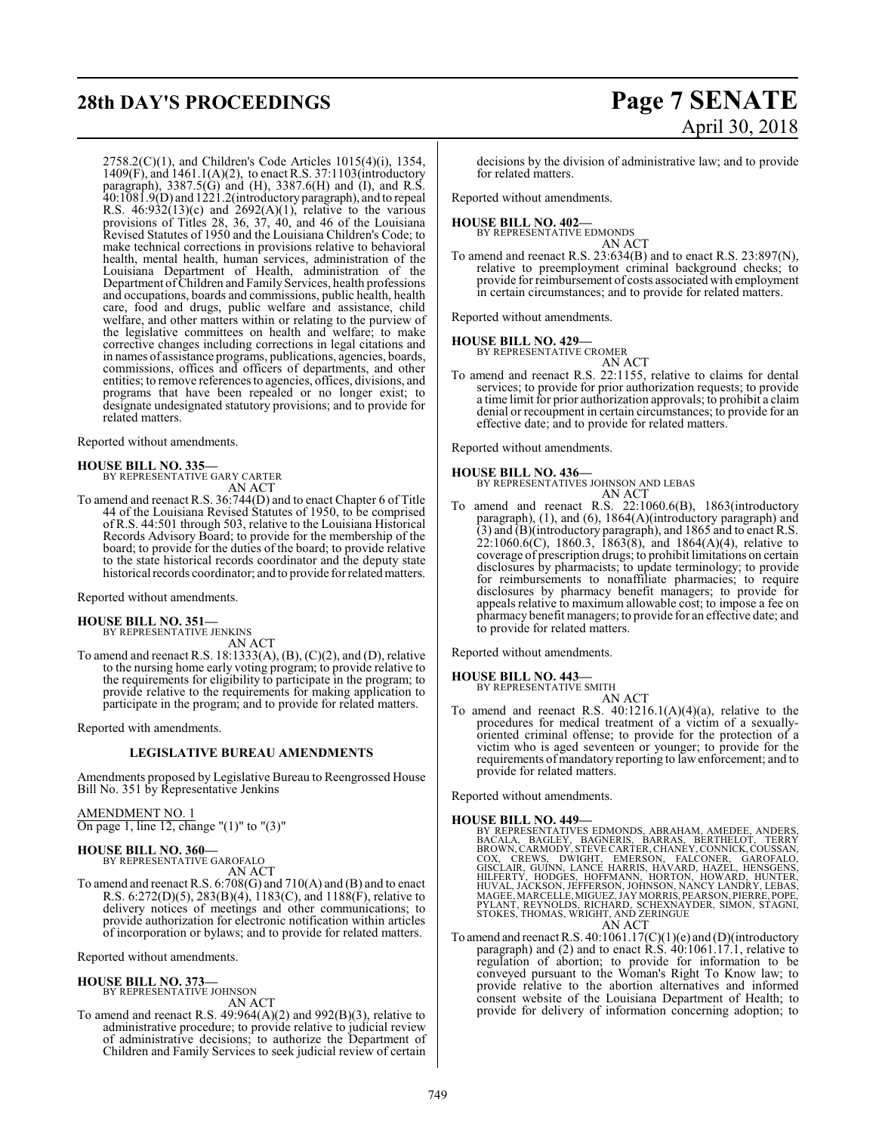# **28th DAY'S PROCEEDINGS Page 7 SENATE**

2758.2(C)(1), and Children's Code Articles 1015(4)(i), 1354, 1409(F), and 1461.1(A)(2), to enact R.S. 37:1103(introductory paragraph), 3387.5(G) and (H), 3387.6(H) and (I), and R.S. 40:1081.9(D) and 1221.2(introductory paragraph), and to repeal R.S.  $46:932(13)(c)$  and  $2692(A)(1)$ , relative to the various provisions of Titles 28, 36, 37, 40, and 46 of the Louisiana Revised Statutes of 1950 and the Louisiana Children's Code; to make technical corrections in provisions relative to behavioral health, mental health, human services, administration of the Louisiana Department of Health, administration of the Department of Children and Family Services, health professions and occupations, boards and commissions, public health, health care, food and drugs, public welfare and assistance, child welfare, and other matters within or relating to the purview of the legislative committees on health and welfare; to make corrective changes including corrections in legal citations and in names of assistance programs, publications, agencies, boards, commissions, offices and officers of departments, and other entities; to remove references to agencies, offices, divisions, and programs that have been repealed or no longer exist; to designate undesignated statutory provisions; and to provide for related matters.

Reported without amendments.

## **HOUSE BILL NO. 335—** BY REPRESENTATIVE GARY CARTER AN ACT

To amend and reenact R.S. 36:744(D) and to enact Chapter 6 of Title 44 of the Louisiana Revised Statutes of 1950, to be comprised of R.S. 44:501 through 503, relative to the Louisiana Historical Records Advisory Board; to provide for the membership of the board; to provide for the duties of the board; to provide relative to the state historical records coordinator and the deputy state historical records coordinator; and to provide for related matters.

Reported without amendments.

# **HOUSE BILL NO. 351—** BY REPRESENTATIVE JENKINS

AN ACT

To amend and reenact R.S.  $18:1333(A), (B), (C)(2)$ , and  $(D)$ , relative to the nursing home early voting program; to provide relative to the requirements for eligibility to participate in the program; to provide relative to the requirements for making application to participate in the program; and to provide for related matters.

Reported with amendments.

#### **LEGISLATIVE BUREAU AMENDMENTS**

Amendments proposed by Legislative Bureau to Reengrossed House Bill No. 351 by Representative Jenkins

#### AMENDMENT NO. 1

On page 1, line 12, change "(1)" to "(3)"

#### **HOUSE BILL NO. 360—**

BY REPRESENTATIVE GAROFALO AN ACT

To amend and reenact R.S. 6:708(G) and 710(A) and (B) and to enact R.S.  $6:272(D)(5)$ ,  $283(B)(4)$ ,  $1183(C)$ , and  $1188(F)$ , relative to delivery notices of meetings and other communications; to provide authorization for electronic notification within articles of incorporation or bylaws; and to provide for related matters.

Reported without amendments.

#### **HOUSE BILL NO. 373—** BY REPRESENTATIVE JOHNSON

AN ACT

To amend and reenact R.S. 49:964(A)(2) and 992(B)(3), relative to administrative procedure; to provide relative to judicial review of administrative decisions; to authorize the Department of Children and Family Services to seek judicial review of certain

# April 30, 2018

decisions by the division of administrative law; and to provide for related matters.

Reported without amendments.

- **HOUSE BILL NO. 402—** BY REPRESENTATIVE EDMONDS AN ACT
- To amend and reenact R.S. 23:634(B) and to enact R.S. 23:897(N), relative to preemployment criminal background checks; to provide for reimbursement of costs associated with employment in certain circumstances; and to provide for related matters.

Reported without amendments.

# **HOUSE BILL NO. 429—** BY REPRESENTATIVE CROMER

AN ACT To amend and reenact R.S. 22:1155, relative to claims for dental services; to provide for prior authorization requests; to provide a time limit for prior authorization approvals; to prohibit a claim denial or recoupment in certain circumstances; to provide for an effective date; and to provide for related matters.

Reported without amendments.

### **HOUSE BILL NO. 436—**

BY REPRESENTATIVES JOHNSON AND LEBAS AN ACT

To amend and reenact R.S. 22:1060.6(B), 1863(introductory paragraph), (1), and (6), 1864(A)(introductory paragraph) and (3) and (B)(introductory paragraph), and 1865 and to enact R.S.  $22:1060.6(C)$ , 1860.3, 1863(8), and 1864(A)(4), relative to coverage of prescription drugs; to prohibit limitations on certain disclosures by pharmacists; to update terminology; to provide for reimbursements to nonaffiliate pharmacies; to require disclosures by pharmacy benefit managers; to provide for appeals relative to maximum allowable cost; to impose a fee on pharmacy benefit managers; to provide for an effective date; and to provide for related matters.

Reported without amendments.

#### **HOUSE BILL NO. 443—**

BY REPRESENTATIVE SMITH AN ACT

To amend and reenact R.S.  $40:1216.1(A)(4)(a)$ , relative to the procedures for medical treatment of a victim of a sexuallyoriented criminal offense; to provide for the protection of a victim who is aged seventeen or younger; to provide for the requirements ofmandatory reporting to law enforcement; and to provide for related matters.

Reported without amendments.

#### **HOUSE BILL NO. 449—**

- BY REPRESENTATIVES EDMONDS, ABRAHAM, AMEDEE, ANDERS, BACALA, BAGILEY, BAGNERIS, BARAAS, BERTHELOT, TERRY<br>BROWN, CARMODY, STEVE CARTER, BARRAS, BERTHELOT, TERRY<br>COX, CREWS, DWIGHT, EMERSON, FALCONER, GAROFALO,<br>GISCLAIR, GUI AN ACT
- To amend and reenact R.S. 40:1061.17(C)(1)(e) and (D)(introductory paragraph) and (2) and to enact R.S. 40:1061.17.1, relative to regulation of abortion; to provide for information to be conveyed pursuant to the Woman's Right To Know law; to provide relative to the abortion alternatives and informed consent website of the Louisiana Department of Health; to provide for delivery of information concerning adoption; to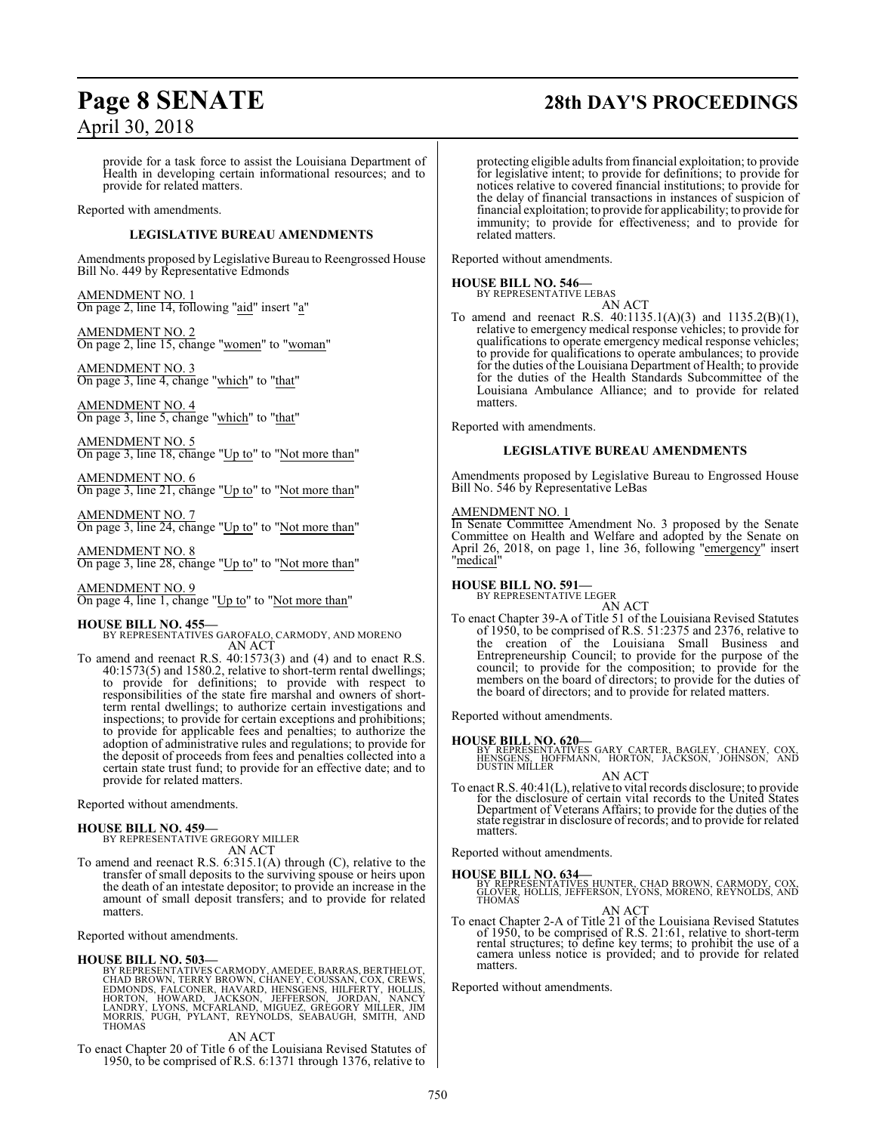# **Page 8 SENATE 28th DAY'S PROCEEDINGS**

provide for a task force to assist the Louisiana Department of Health in developing certain informational resources; and to provide for related matters.

Reported with amendments.

#### **LEGISLATIVE BUREAU AMENDMENTS**

Amendments proposed by Legislative Bureau to Reengrossed House Bill No. 449 by Representative Edmonds

AMENDMENT NO. 1 On page 2, line 14, following "aid" insert "a"

AMENDMENT NO. 2 On page 2, line 15, change "women" to "woman"

AMENDMENT NO. 3 On page 3, line 4, change "which" to "that"

AMENDMENT NO. 4 On page 3, line 5, change "which" to "that"

AMENDMENT NO. 5 On page 3, line 18, change "Up to" to "Not more than"

AMENDMENT NO. 6 On page 3, line 21, change "Up to" to "Not more than"

AMENDMENT NO. 7 On page 3, line 24, change "Up to" to "Not more than"

AMENDMENT NO. 8 On page 3, line 28, change "Up to" to "Not more than"

AMENDMENT NO. 9 On page 4, line 1, change "Up to" to "Not more than"

#### **HOUSE BILL NO. 455—**

BY REPRESENTATIVES GAROFALO, CARMODY, AND MORENO AN ACT

To amend and reenact R.S. 40:1573(3) and (4) and to enact R.S. 40:1573(5) and 1580.2, relative to short-term rental dwellings; to provide for definitions; to provide with respect to responsibilities of the state fire marshal and owners of shortterm rental dwellings; to authorize certain investigations and inspections; to provide for certain exceptions and prohibitions; to provide for applicable fees and penalties; to authorize the adoption of administrative rules and regulations; to provide for the deposit of proceeds from fees and penalties collected into a certain state trust fund; to provide for an effective date; and to provide for related matters.

Reported without amendments.

#### **HOUSE BILL NO. 459—**

BY REPRESENTATIVE GREGORY MILLER AN ACT

To amend and reenact R.S. 6:315.1(A) through (C), relative to the transfer of small deposits to the surviving spouse or heirs upon the death of an intestate depositor; to provide an increase in the amount of small deposit transfers; and to provide for related matters.

Reported without amendments.

#### **HOUSE BILL NO. 503—**

BY REPRESENTATIVES CARMODY, AMEDEE, BARRAS, BERTHELOT,<br>CHAD BROWN, TERRY BROWN, CHANEY, COUSSAN, COX, CREWS,<br>EDMONDS, FALCONER, HAVARD, HENSGENS, HILFERTY, HOLLIS,<br>HORTON, HOWARD, JACKSON, JEFFERSON, JORDAN, NANCY<br>LANDRY, THOMAS

AN ACT

To enact Chapter 20 of Title 6 of the Louisiana Revised Statutes of 1950, to be comprised of R.S. 6:1371 through 1376, relative to

protecting eligible adults fromfinancial exploitation; to provide for legislative intent; to provide for definitions; to provide for notices relative to covered financial institutions; to provide for the delay of financial transactions in instances of suspicion of financial exploitation; to provide for applicability; to provide for immunity; to provide for effectiveness; and to provide for related matters.

Reported without amendments.

#### **HOUSE BILL NO. 546—**

BY REPRESENTATIVE LEBAS

AN ACT To amend and reenact R.S. 40:1135.1(A)(3) and 1135.2(B)(1), relative to emergency medical response vehicles; to provide for qualifications to operate emergency medical response vehicles; to provide for qualifications to operate ambulances; to provide for the duties of the Louisiana Department of Health; to provide for the duties of the Health Standards Subcommittee of the Louisiana Ambulance Alliance; and to provide for related matters.

Reported with amendments.

#### **LEGISLATIVE BUREAU AMENDMENTS**

Amendments proposed by Legislative Bureau to Engrossed House Bill No. 546 by Representative LeBas

#### AMENDMENT NO. 1

In Senate Committee Amendment No. 3 proposed by the Senate Committee on Health and Welfare and adopted by the Senate on April 26, 2018, on page 1, line 36, following "emergency" insert "medical"

#### **HOUSE BILL NO. 591—**

BY REPRESENTATIVE LEGER AN ACT

To enact Chapter 39-A of Title 51 of the Louisiana Revised Statutes of 1950, to be comprised of R.S. 51:2375 and 2376, relative to the creation of the Louisiana Small Business and Entrepreneurship Council; to provide for the purpose of the council; to provide for the composition; to provide for the members on the board of directors; to provide for the duties of the board of directors; and to provide for related matters.

Reported without amendments.

**HOUSE BILL NO. 620—** BY REPRESENTATIVES GARY CARTER, BAGLEY, CHANEY, COX, HENSGENS, HOFFMANN, HORTON, JACKSON, JOHNSON, AND DUSTIN MILLER

AN ACT To enact R.S. 40:41(L), relative to vital records disclosure; to provide for the disclosure of certain vital records to the United States<br>Department of Veterans Affairs; to provide for the duties of the<br>state registrar in disclosure of records; and to provide for related matters.

Reported without amendments.

**HOUSE BILL NO. 634—**<br>BY REPRESENTATIVES HUNTER, CHAD BROWN, CARMODY, COX,<br>GLOVER, HOLLIS, JEFFERSON, LYONS, MORENO, REYNOLDS, AND<br>THOMAS

AN ACT<br>To enact Chapter 2-A of Title 21 of the Louisiana Revised Statutes<br>of 1950, to be comprised of R.S. 21:61, relative to short-term rental structures; to define key terms; to prohibit the use of a camera unless notice is provided; and to provide for related matters.

Reported without amendments.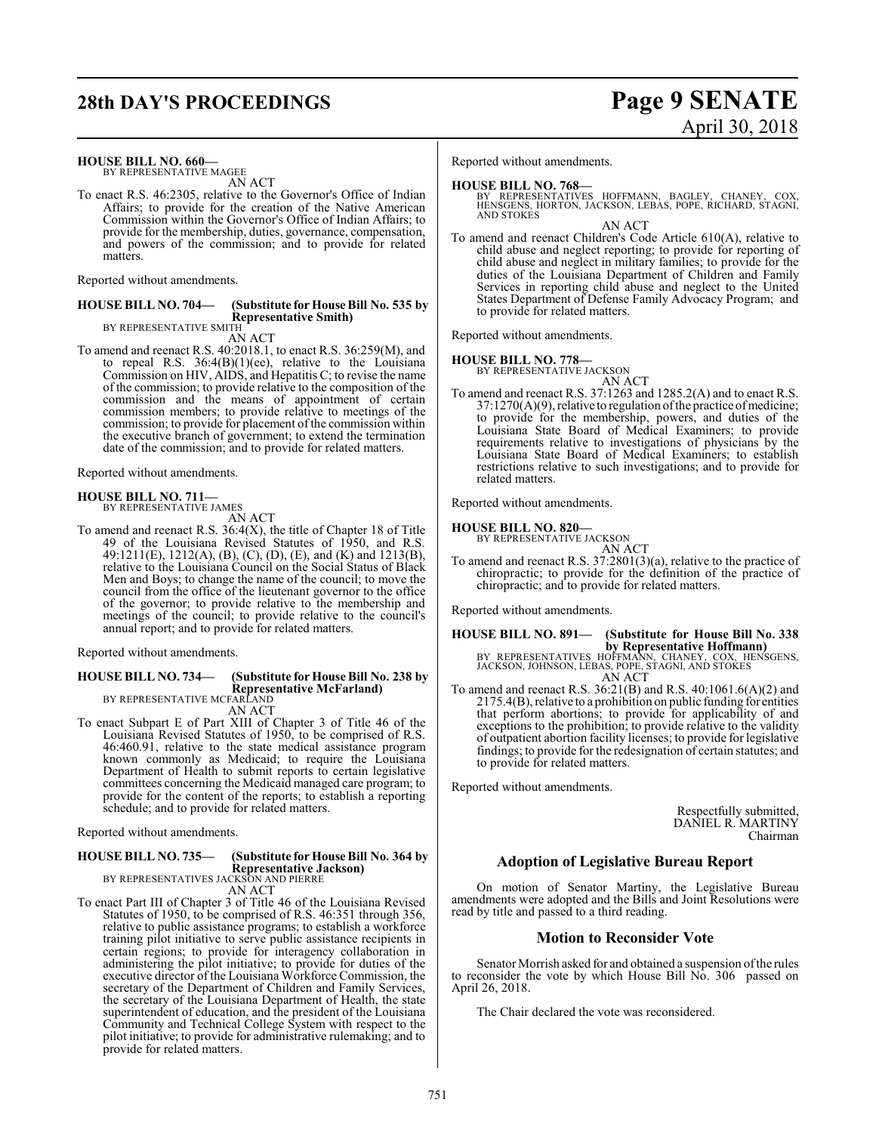# **28th DAY'S PROCEEDINGS Page 9 SENATE**

# April 30, 2018

**HOUSE BILL NO. 660—**

BY REPRESENTATIVE MAGEE AN ACT

To enact R.S. 46:2305, relative to the Governor's Office of Indian Affairs; to provide for the creation of the Native American Commission within the Governor's Office of Indian Affairs; to provide for the membership, duties, governance, compensation, and powers of the commission; and to provide for related matters.

Reported without amendments.

#### **HOUSE BILL NO. 704— (Substitute for House Bill No. 535 by Representative Smith)** BY REPRESENTATIVE SMITH

AN ACT

To amend and reenact R.S. 40:2018.1, to enact R.S. 36:259(M), and to repeal R.S. 36:4(B)(1)(ee), relative to the Louisiana Commission on HIV, AIDS, and Hepatitis C; to revise the name of the commission; to provide relative to the composition of the commission and the means of appointment of certain commission members; to provide relative to meetings of the commission; to provide for placement of the commission within the executive branch of government; to extend the termination date of the commission; and to provide for related matters.

Reported without amendments.

#### **HOUSE BILL NO. 711—** BY REPRESENTATIVE JAMES

AN ACT

To amend and reenact R.S.  $36:4(X)$ , the title of Chapter 18 of Title 49 of the Louisiana Revised Statutes of 1950, and R.S. 49:1211(E), 1212(A), (B), (C), (D), (E), and (K) and 1213(B), relative to the Louisiana Council on the Social Status of Black Men and Boys; to change the name of the council; to move the council from the office of the lieutenant governor to the office of the governor; to provide relative to the membership and meetings of the council; to provide relative to the council's annual report; and to provide for related matters.

Reported without amendments.

## **HOUSE BILL NO. 734— (Substitute for House Bill No. 238 by Representative McFarland)** BY REPRESENTATIVE MCFARLAND

AN ACT

To enact Subpart E of Part XIII of Chapter 3 of Title 46 of the Louisiana Revised Statutes of 1950, to be comprised of R.S. 46:460.91, relative to the state medical assistance program known commonly as Medicaid; to require the Louisiana Department of Health to submit reports to certain legislative committees concerning the Medicaid managed care program; to provide for the content of the reports; to establish a reporting schedule; and to provide for related matters.

Reported without amendments.

#### **HOUSE BILL NO. 735— (Substitute for House Bill No. 364 by Representative Jackson)**

BY REPRESENTATIVES JACKSON AND PIERRE AN ACT

To enact Part III of Chapter 3 of Title 46 of the Louisiana Revised Statutes of 1950, to be comprised of R.S. 46:351 through 356, relative to public assistance programs; to establish a workforce training pilot initiative to serve public assistance recipients in certain regions; to provide for interagency collaboration in administering the pilot initiative; to provide for duties of the executive director of the Louisiana Workforce Commission, the secretary of the Department of Children and Family Services, the secretary of the Louisiana Department of Health, the state superintendent of education, and the president of the Louisiana Community and Technical College System with respect to the pilot initiative; to provide for administrative rulemaking; and to provide for related matters.

Reported without amendments.

- **HOUSE BILL NO. 768—** BY REPRESENTATIVES HOFFMANN, BAGLEY, CHANEY, COX, HENSGENS, HORTON, JACKSON, LEBAS, POPE, RICHARD, STAGNI, AND STOKES AN ACT
- To amend and reenact Children's Code Article 610(A), relative to child abuse and neglect reporting; to provide for reporting of child abuse and neglect in military families; to provide for the duties of the Louisiana Department of Children and Family Services in reporting child abuse and neglect to the United States Department of Defense Family Advocacy Program; and to provide for related matters.

Reported without amendments.

#### **HOUSE BILL NO. 778—**

BY REPRESENTATIVE JACKSON AN ACT

To amend and reenact R.S. 37:1263 and 1285.2(A) and to enact R.S.  $37:1270(A)(9)$ , relative to regulation of the practice of medicine; to provide for the membership, powers, and duties of the Louisiana State Board of Medical Examiners; to provide requirements relative to investigations of physicians by the Louisiana State Board of Medical Examiners; to establish restrictions relative to such investigations; and to provide for related matters.

Reported without amendments.

### **HOUSE BILL NO. 820—**

BY REPRESENTATIVE JACKSON

AN ACT To amend and reenact R.S. 37:2801(3)(a), relative to the practice of chiropractic; to provide for the definition of the practice of chiropractic; and to provide for related matters.

Reported without amendments.

# **HOUSE BILL NO. 891— (Substitute for House Bill No. 338 by Representative Hoffmann)**<br>BY REPRESENTATIVES HOFFMANN, CHANEY, COX, HENSGENS,<br>JACKSON, JOHNSON, LEBAS, POPE, STAGNI, AND STOKES<br>AN ACT

To amend and reenact R.S. 36:21(B) and R.S. 40:1061.6(A)(2) and 2175.4(B), relative to a prohibition on public funding for entities that perform abortions; to provide for applicability of and exceptions to the prohibition; to provide relative to the validity of outpatient abortion facility licenses; to provide for legislative findings; to provide for the redesignation of certain statutes; and to provide for related matters.

Reported without amendments.

Respectfully submitted, DANIEL R. MARTINY Chairman

#### **Adoption of Legislative Bureau Report**

On motion of Senator Martiny, the Legislative Bureau amendments were adopted and the Bills and Joint Resolutions were read by title and passed to a third reading.

#### **Motion to Reconsider Vote**

Senator Morrish asked for and obtained a suspension of the rules to reconsider the vote by which House Bill No. 306 passed on April 26, 2018.

The Chair declared the vote was reconsidered.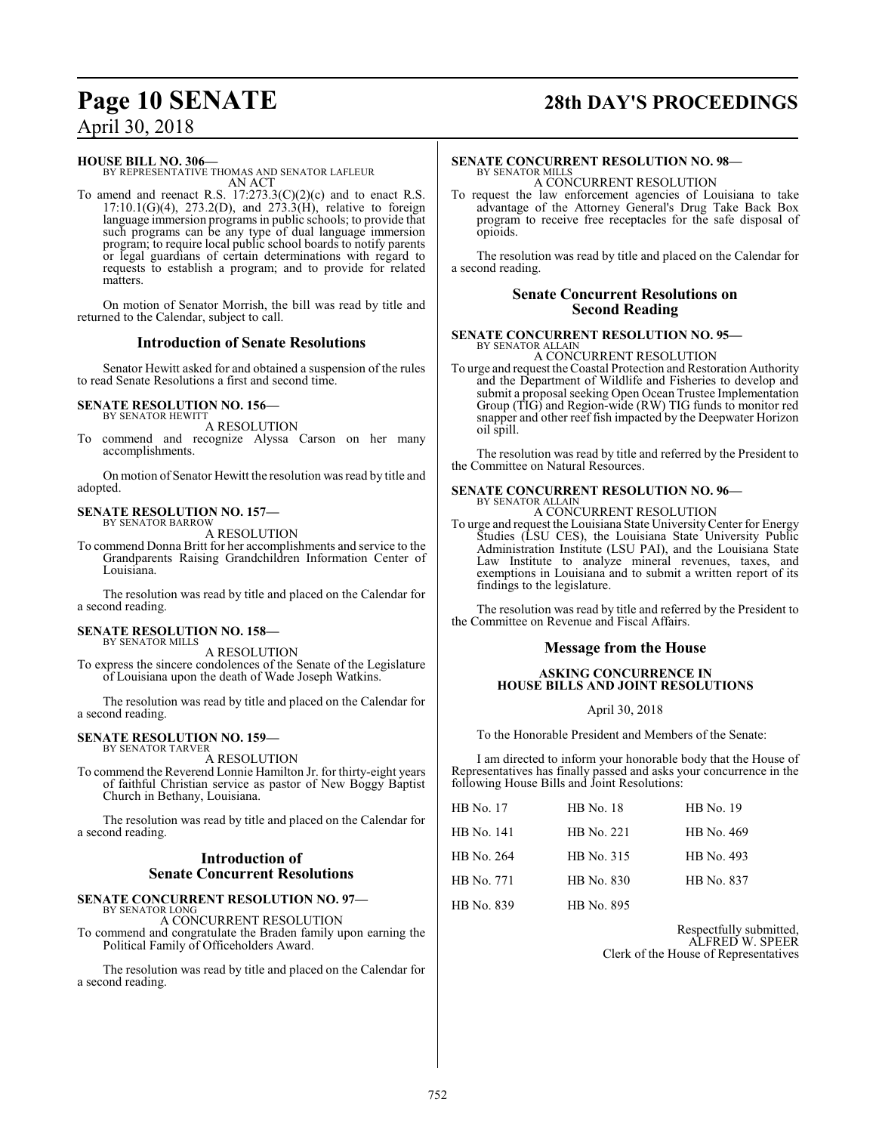# **Page 10 SENATE 28th DAY'S PROCEEDINGS**

**HOUSE BILL NO. 306—**

BY REPRESENTATIVE THOMAS AND SENATOR LAFLEUR AN ACT

To amend and reenact R.S.  $17:273.3(C)(2)(c)$  and to enact R.S.  $17:10.1(G)(4)$ ,  $273.2(D)$ , and  $273.3(H)$ , relative to foreign language immersion programs in public schools; to provide that such programs can be any type of dual language immersion program; to require local public school boards to notify parents or legal guardians of certain determinations with regard to requests to establish a program; and to provide for related matters.

On motion of Senator Morrish, the bill was read by title and returned to the Calendar, subject to call.

#### **Introduction of Senate Resolutions**

Senator Hewitt asked for and obtained a suspension of the rules to read Senate Resolutions a first and second time.

#### **SENATE RESOLUTION NO. 156—** BY SENATOR HEWITT

A RESOLUTION

To commend and recognize Alyssa Carson on her many accomplishments.

On motion of Senator Hewitt the resolution was read by title and adopted.

#### **SENATE RESOLUTION NO. 157—** BY SENATOR BARROW

A RESOLUTION

To commend Donna Britt for her accomplishments and service to the Grandparents Raising Grandchildren Information Center of Louisiana.

The resolution was read by title and placed on the Calendar for a second reading.

#### **SENATE RESOLUTION NO. 158—** BY SENATOR MILLS

A RESOLUTION

To express the sincere condolences of the Senate of the Legislature of Louisiana upon the death of Wade Joseph Watkins.

The resolution was read by title and placed on the Calendar for a second reading.

#### **SENATE RESOLUTION NO. 159—** BY SENATOR TARVER

A RESOLUTION

To commend the Reverend Lonnie Hamilton Jr. for thirty-eight years of faithful Christian service as pastor of New Boggy Baptist Church in Bethany, Louisiana.

The resolution was read by title and placed on the Calendar for a second reading.

#### **Introduction of Senate Concurrent Resolutions**

#### **SENATE CONCURRENT RESOLUTION NO. 97—** BY SENATOR LONG

A CONCURRENT RESOLUTION

To commend and congratulate the Braden family upon earning the Political Family of Officeholders Award.

The resolution was read by title and placed on the Calendar for a second reading.

#### **SENATE CONCURRENT RESOLUTION NO. 98—** BY SENATOR MILLS

opioids.

A CONCURRENT RESOLUTION To request the law enforcement agencies of Louisiana to take advantage of the Attorney General's Drug Take Back Box program to receive free receptacles for the safe disposal of

The resolution was read by title and placed on the Calendar for a second reading.

#### **Senate Concurrent Resolutions on Second Reading**

#### **SENATE CONCURRENT RESOLUTION NO. 95—** BY SENATOR ALLAIN

A CONCURRENT RESOLUTION

To urge and request the Coastal Protection and Restoration Authority and the Department of Wildlife and Fisheries to develop and submit a proposal seeking Open Ocean Trustee Implementation Group (TIG) and Region-wide (RW) TIG funds to monitor red snapper and other reef fish impacted by the Deepwater Horizon oil spill.

The resolution was read by title and referred by the President to the Committee on Natural Resources.

#### **SENATE CONCURRENT RESOLUTION NO. 96—** BY SENATOR ALLAIN

A CONCURRENT RESOLUTION

To urge and request the Louisiana State UniversityCenter for Energy Studies (LSU CES), the Louisiana State University Public Administration Institute (LSU PAI), and the Louisiana State Law Institute to analyze mineral revenues, taxes, and exemptions in Louisiana and to submit a written report of its findings to the legislature.

The resolution was read by title and referred by the President to the Committee on Revenue and Fiscal Affairs.

#### **Message from the House**

#### **ASKING CONCURRENCE IN HOUSE BILLS AND JOINT RESOLUTIONS**

April 30, 2018

To the Honorable President and Members of the Senate:

I am directed to inform your honorable body that the House of Representatives has finally passed and asks your concurrence in the following House Bills and Joint Resolutions:

| <b>HB</b> No. 17 | <b>HB</b> No. 18 | <b>HB</b> No. 19 |
|------------------|------------------|------------------|
| HB No. 141       | HB No. 221       | HB No. 469       |
| HB No. 264       | HB No. 315       | HB No. 493       |
| HB No. 771       | HB No. 830       | HB No. 837       |
| HB No. 839       | HB No. 895       |                  |

Respectfully submitted, ALFRED W. SPEER Clerk of the House of Representatives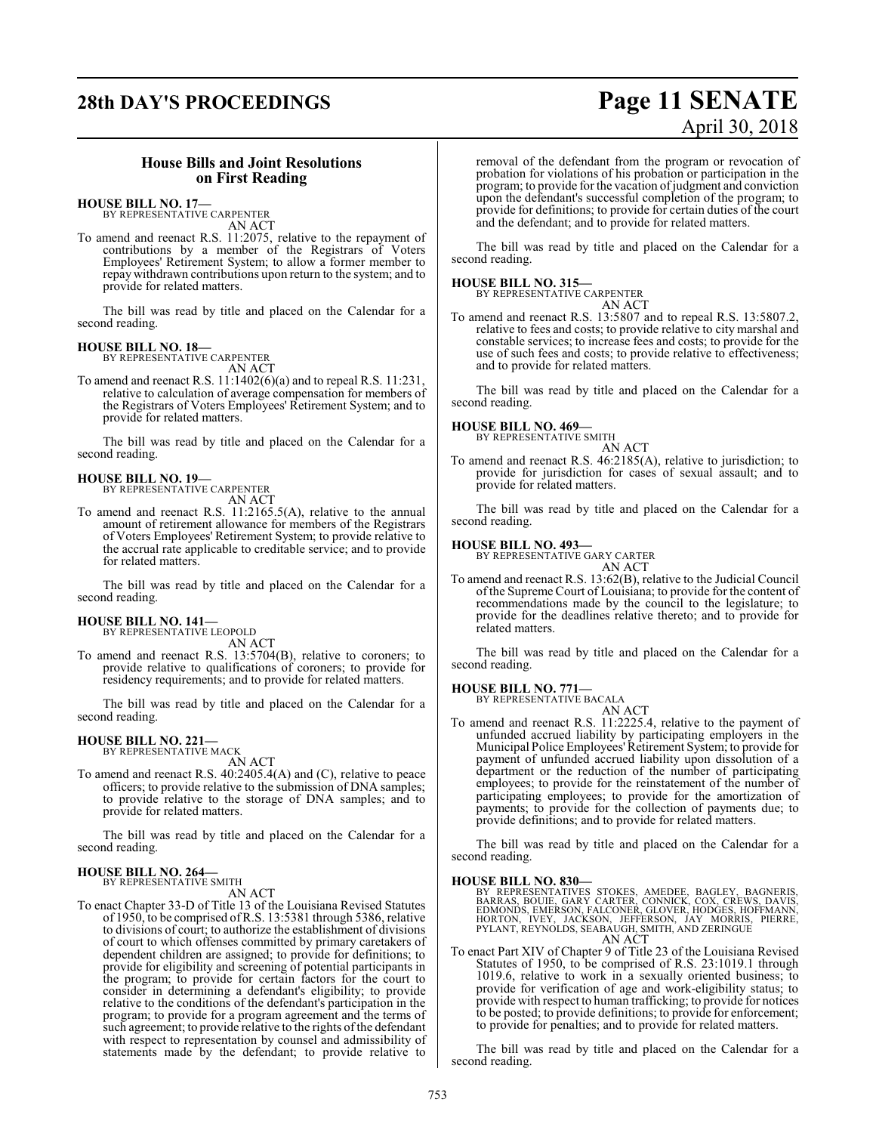# **28th DAY'S PROCEEDINGS Page 11 SENATE** April 30, 2018

#### **House Bills and Joint Resolutions on First Reading**

### **HOUSE BILL NO. 17—**

BY REPRESENTATIVE CARPENTER AN ACT

To amend and reenact R.S. 11:2075, relative to the repayment of contributions by a member of the Registrars of Voters Employees' Retirement System; to allow a former member to repay withdrawn contributions upon return to the system; and to provide for related matters.

The bill was read by title and placed on the Calendar for a second reading.

#### **HOUSE BILL NO. 18—**

BY REPRESENTATIVE CARPENTER AN ACT

To amend and reenact R.S. 11:1402(6)(a) and to repeal R.S. 11:231, relative to calculation of average compensation for members of the Registrars of Voters Employees' Retirement System; and to provide for related matters.

The bill was read by title and placed on the Calendar for a second reading.

#### **HOUSE BILL NO. 19—**

BY REPRESENTATIVE CARPENTER AN ACT

To amend and reenact R.S. 11:2165.5(A), relative to the annual amount of retirement allowance for members of the Registrars of Voters Employees' Retirement System; to provide relative to the accrual rate applicable to creditable service; and to provide for related matters.

The bill was read by title and placed on the Calendar for a second reading.

#### **HOUSE BILL NO. 141—**

BY REPRESENTATIVE LEOPOLD AN ACT

To amend and reenact R.S. 13:5704(B), relative to coroners; to provide relative to qualifications of coroners; to provide for residency requirements; and to provide for related matters.

The bill was read by title and placed on the Calendar for a second reading.

#### **HOUSE BILL NO. 221—** BY REPRESENTATIVE MACK

AN ACT

To amend and reenact R.S. 40:2405.4(A) and (C), relative to peace officers; to provide relative to the submission of DNA samples; to provide relative to the storage of DNA samples; and to provide for related matters.

The bill was read by title and placed on the Calendar for a second reading.

#### **HOUSE BILL NO. 264—** BY REPRESENTATIVE SMITH

AN ACT

To enact Chapter 33-D of Title 13 of the Louisiana Revised Statutes of 1950, to be comprised ofR.S. 13:5381 through 5386, relative to divisions of court; to authorize the establishment of divisions of court to which offenses committed by primary caretakers of dependent children are assigned; to provide for definitions; to provide for eligibility and screening of potential participants in the program; to provide for certain factors for the court to consider in determining a defendant's eligibility; to provide relative to the conditions of the defendant's participation in the program; to provide for a program agreement and the terms of such agreement; to provide relative to the rights of the defendant with respect to representation by counsel and admissibility of statements made by the defendant; to provide relative to

removal of the defendant from the program or revocation of probation for violations of his probation or participation in the program; to provide for the vacation of judgment and conviction upon the defendant's successful completion of the program; to provide for definitions; to provide for certain duties of the court and the defendant; and to provide for related matters.

The bill was read by title and placed on the Calendar for a second reading.

#### **HOUSE BILL NO. 315—**

BY REPRESENTATIVE CARPENTER

AN ACT

To amend and reenact R.S. 13:5807 and to repeal R.S. 13:5807.2, relative to fees and costs; to provide relative to city marshal and constable services; to increase fees and costs; to provide for the use of such fees and costs; to provide relative to effectiveness; and to provide for related matters.

The bill was read by title and placed on the Calendar for a second reading.

#### **HOUSE BILL NO. 469—**

BY REPRESENTATIVE SMITH

AN ACT To amend and reenact R.S. 46:2185(A), relative to jurisdiction; to provide for jurisdiction for cases of sexual assault; and to provide for related matters.

The bill was read by title and placed on the Calendar for a second reading.

#### **HOUSE BILL NO. 493—**

BY REPRESENTATIVE GARY CARTER AN ACT

To amend and reenact R.S. 13:62(B), relative to the Judicial Council of the Supreme Court of Louisiana; to provide for the content of recommendations made by the council to the legislature; to provide for the deadlines relative thereto; and to provide for related matters.

The bill was read by title and placed on the Calendar for a second reading.

## **HOUSE BILL NO. 771—** BY REPRESENTATIVE BACALA

AN ACT To amend and reenact R.S. 11:2225.4, relative to the payment of unfunded accrued liability by participating employers in the Municipal Police Employees'Retirement System; to provide for payment of unfunded accrued liability upon dissolution of a department or the reduction of the number of participating employees; to provide for the reinstatement of the number of participating employees; to provide for the amortization of payments; to provide for the collection of payments due; to provide definitions; and to provide for related matters.

The bill was read by title and placed on the Calendar for a second reading.

**HOUSE BILL NO. 830—**<br>BY REPRESENTATIVES STOKES, AMEDEE, BAGLEY, BAGNERIS,<br>BARRAS, BOUIE, GARY CARTER, CONNICK, COX, CREWS, DAVIS,<br>EDMONDS, EMERSON, FALCONER, GLOVER, HODGES, HOFFMANN,<br>HORTON, IVEY, JACKSON, JEFFERSON, JAY AN ACT

To enact Part XIV of Chapter 9 of Title 23 of the Louisiana Revised Statutes of 1950, to be comprised of R.S. 23:1019.1 through 1019.6, relative to work in a sexually oriented business; to provide for verification of age and work-eligibility status; to provide with respect to human trafficking; to provide for notices to be posted; to provide definitions; to provide for enforcement; to provide for penalties; and to provide for related matters.

The bill was read by title and placed on the Calendar for a second reading.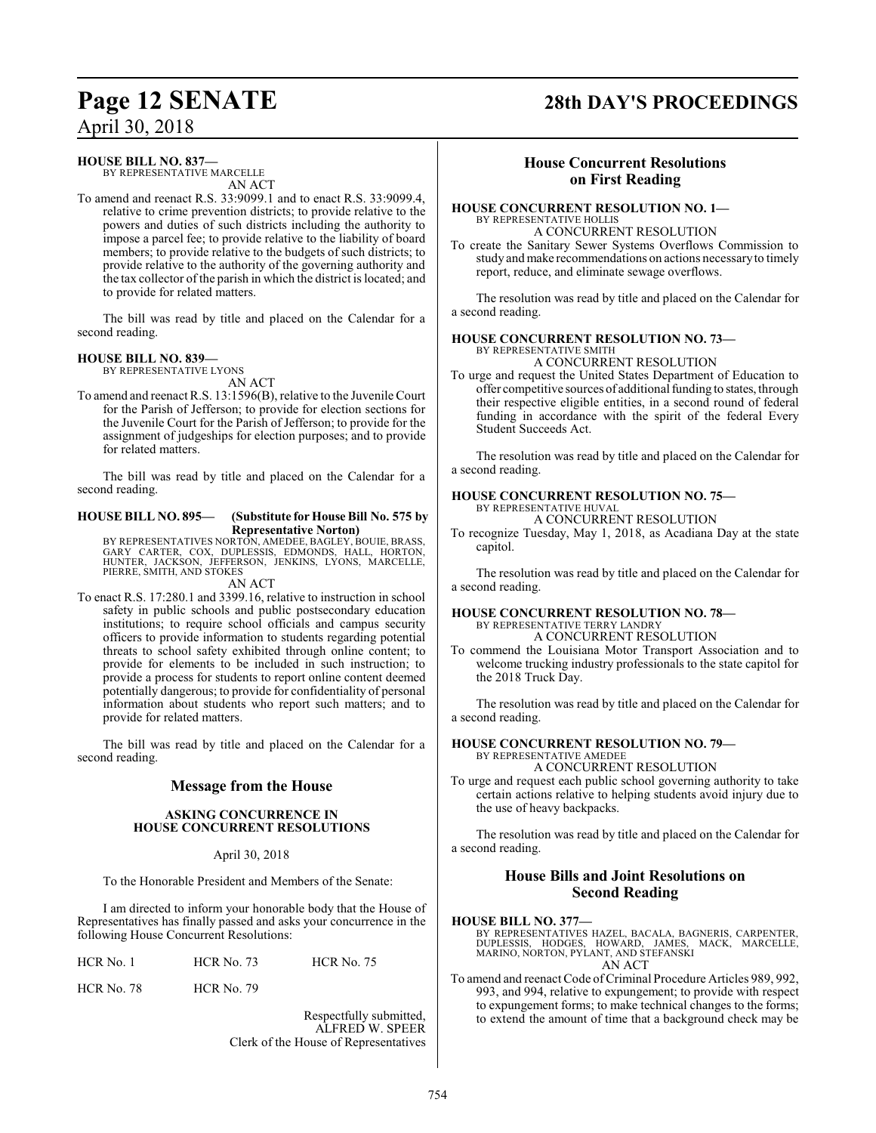# **Page 12 SENATE 28th DAY'S PROCEEDINGS**

#### **HOUSE BILL NO. 837—**

BY REPRESENTATIVE MARCELLE AN ACT

To amend and reenact R.S. 33:9099.1 and to enact R.S. 33:9099.4, relative to crime prevention districts; to provide relative to the powers and duties of such districts including the authority to impose a parcel fee; to provide relative to the liability of board members; to provide relative to the budgets of such districts; to provide relative to the authority of the governing authority and the tax collector of the parish in which the district is located; and to provide for related matters.

The bill was read by title and placed on the Calendar for a second reading.

#### **HOUSE BILL NO. 839—**

BY REPRESENTATIVE LYONS AN ACT

To amend and reenact R.S. 13:1596(B), relative to the Juvenile Court for the Parish of Jefferson; to provide for election sections for the Juvenile Court for the Parish of Jefferson; to provide for the assignment of judgeships for election purposes; and to provide for related matters.

The bill was read by title and placed on the Calendar for a second reading.

#### **HOUSE BILL NO. 895— (Substitute for House Bill No. 575 by Representative Norton)**

BY REPRESENTATIVES NORTON, AMEDEE, BAGLEY, BOUIE, BRASS, GARY CARTER, COX, DUPLESSIS, EDMONDS, HALL, HORTON, HUNTER, JACKSON, JEFFERSON, JENKINS, LYONS, MARCELLE, PIERRE, SMITH, AND STOKES

AN ACT

To enact R.S. 17:280.1 and 3399.16, relative to instruction in school safety in public schools and public postsecondary education institutions; to require school officials and campus security officers to provide information to students regarding potential threats to school safety exhibited through online content; to provide for elements to be included in such instruction; to provide a process for students to report online content deemed potentially dangerous; to provide for confidentiality of personal information about students who report such matters; and to provide for related matters.

The bill was read by title and placed on the Calendar for a second reading.

### **Message from the House**

#### **ASKING CONCURRENCE IN HOUSE CONCURRENT RESOLUTIONS**

#### April 30, 2018

To the Honorable President and Members of the Senate:

I am directed to inform your honorable body that the House of Representatives has finally passed and asks your concurrence in the following House Concurrent Resolutions:

HCR No. 78 HCR No. 79

Respectfully submitted, ALFRED W. SPEER Clerk of the House of Representatives

### **House Concurrent Resolutions on First Reading**

#### **HOUSE CONCURRENT RESOLUTION NO. 1—** BY REPRESENTATIVE HOLLIS A CONCURRENT RESOLUTION

To create the Sanitary Sewer Systems Overflows Commission to study and make recommendations on actions necessary to timely report, reduce, and eliminate sewage overflows.

The resolution was read by title and placed on the Calendar for a second reading.

### **HOUSE CONCURRENT RESOLUTION NO. 73—**

BY REPRESENTATIVE SMITH A CONCURRENT RESOLUTION

To urge and request the United States Department of Education to offer competitive sources of additional funding to states, through their respective eligible entities, in a second round of federal funding in accordance with the spirit of the federal Every Student Succeeds Act.

The resolution was read by title and placed on the Calendar for a second reading.

### **HOUSE CONCURRENT RESOLUTION NO. 75—**

BY REPRESENTATIVE HUVAL A CONCURRENT RESOLUTION

To recognize Tuesday, May 1, 2018, as Acadiana Day at the state capitol.

The resolution was read by title and placed on the Calendar for a second reading.

#### **HOUSE CONCURRENT RESOLUTION NO. 78—** BY REPRESENTATIVE TERRY LANDRY

A CONCURRENT RESOLUTION

To commend the Louisiana Motor Transport Association and to welcome trucking industry professionals to the state capitol for the 2018 Truck Day.

The resolution was read by title and placed on the Calendar for a second reading.

#### **HOUSE CONCURRENT RESOLUTION NO. 79—** BY REPRESENTATIVE AMEDEE

A CONCURRENT RESOLUTION

To urge and request each public school governing authority to take certain actions relative to helping students avoid injury due to the use of heavy backpacks.

The resolution was read by title and placed on the Calendar for a second reading.

### **House Bills and Joint Resolutions on Second Reading**

#### **HOUSE BILL NO. 377—**

BY REPRESENTATIVES HAZEL, BACALA, BAGNERIS, CARPENTER, DUPLESSIS, HODGES, HOWARD, JAMES, MACK, MARCELLE, MARINO, NORTON, PYLANT, AND STEFANSKI

AN ACT

To amend and reenact Code of Criminal Procedure Articles 989, 992. 993, and 994, relative to expungement; to provide with respect to expungement forms; to make technical changes to the forms; to extend the amount of time that a background check may be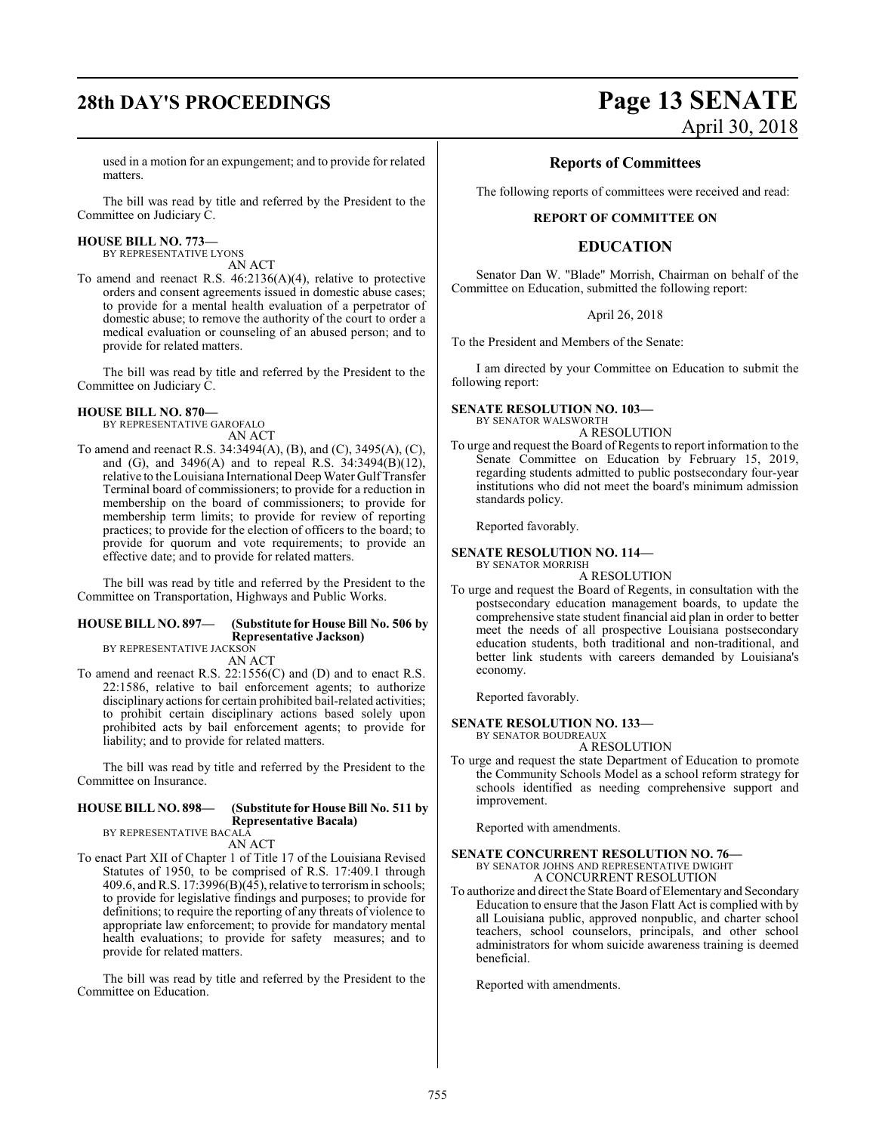used in a motion for an expungement; and to provide for related matters.

The bill was read by title and referred by the President to the Committee on Judiciary C.

#### **HOUSE BILL NO. 773—**

BY REPRESENTATIVE LYONS AN ACT

To amend and reenact R.S. 46:2136(A)(4), relative to protective orders and consent agreements issued in domestic abuse cases; to provide for a mental health evaluation of a perpetrator of domestic abuse; to remove the authority of the court to order a medical evaluation or counseling of an abused person; and to provide for related matters.

The bill was read by title and referred by the President to the Committee on Judiciary C.

#### **HOUSE BILL NO. 870—**

BY REPRESENTATIVE GAROFALO AN ACT

To amend and reenact R.S. 34:3494(A), (B), and (C), 3495(A), (C), and (G), and 3496(A) and to repeal R.S.  $34:3494(B)(12)$ , relative to the Louisiana International Deep Water Gulf Transfer Terminal board of commissioners; to provide for a reduction in membership on the board of commissioners; to provide for membership term limits; to provide for review of reporting practices; to provide for the election of officers to the board; to provide for quorum and vote requirements; to provide an effective date; and to provide for related matters.

The bill was read by title and referred by the President to the Committee on Transportation, Highways and Public Works.

#### **HOUSE BILL NO. 897— (Substitute for House Bill No. 506 by Representative Jackson)**

BY REPRESENTATIVE JACKSON AN ACT

To amend and reenact R.S. 22:1556(C) and (D) and to enact R.S. 22:1586, relative to bail enforcement agents; to authorize disciplinary actions for certain prohibited bail-related activities; to prohibit certain disciplinary actions based solely upon prohibited acts by bail enforcement agents; to provide for liability; and to provide for related matters.

The bill was read by title and referred by the President to the Committee on Insurance.

#### **HOUSE BILL NO. 898— (Substitute for House Bill No. 511 by Representative Bacala)**

BY REPRESENTATIVE BACALA AN ACT

To enact Part XII of Chapter 1 of Title 17 of the Louisiana Revised Statutes of 1950, to be comprised of R.S. 17:409.1 through 409.6, and R.S. 17:3996(B)( $\overline{45}$ ), relative to terrorism in schools; to provide for legislative findings and purposes; to provide for definitions; to require the reporting of any threats of violence to appropriate law enforcement; to provide for mandatory mental health evaluations; to provide for safety measures; and to provide for related matters.

The bill was read by title and referred by the President to the Committee on Education.

# **28th DAY'S PROCEEDINGS Page 13 SENATE** April 30, 2018

#### **Reports of Committees**

The following reports of committees were received and read:

#### **REPORT OF COMMITTEE ON**

### **EDUCATION**

Senator Dan W. "Blade" Morrish, Chairman on behalf of the Committee on Education, submitted the following report:

#### April 26, 2018

To the President and Members of the Senate:

I am directed by your Committee on Education to submit the following report:

#### **SENATE RESOLUTION NO. 103—** BY SENATOR WALSWORTH

A RESOLUTION

To urge and request the Board of Regents to report information to the Senate Committee on Education by February 15, 2019, regarding students admitted to public postsecondary four-year institutions who did not meet the board's minimum admission standards policy.

Reported favorably.

#### **SENATE RESOLUTION NO. 114—**

BY SENATOR MORRISH A RESOLUTION

To urge and request the Board of Regents, in consultation with the postsecondary education management boards, to update the comprehensive state student financial aid plan in order to better meet the needs of all prospective Louisiana postsecondary education students, both traditional and non-traditional, and better link students with careers demanded by Louisiana's economy.

Reported favorably.

#### **SENATE RESOLUTION NO. 133—** BY SENATOR BOUDREAUX

A RESOLUTION

To urge and request the state Department of Education to promote the Community Schools Model as a school reform strategy for schools identified as needing comprehensive support and improvement.

Reported with amendments.

## **SENATE CONCURRENT RESOLUTION NO. 76—** BY SENATOR JOHNS AND REPRESENTATIVE DWIGHT A CONCURRENT RESOLUTION

To authorize and direct the State Board of Elementary and Secondary Education to ensure that the Jason Flatt Act is complied with by all Louisiana public, approved nonpublic, and charter school teachers, school counselors, principals, and other school administrators for whom suicide awareness training is deemed beneficial.

Reported with amendments.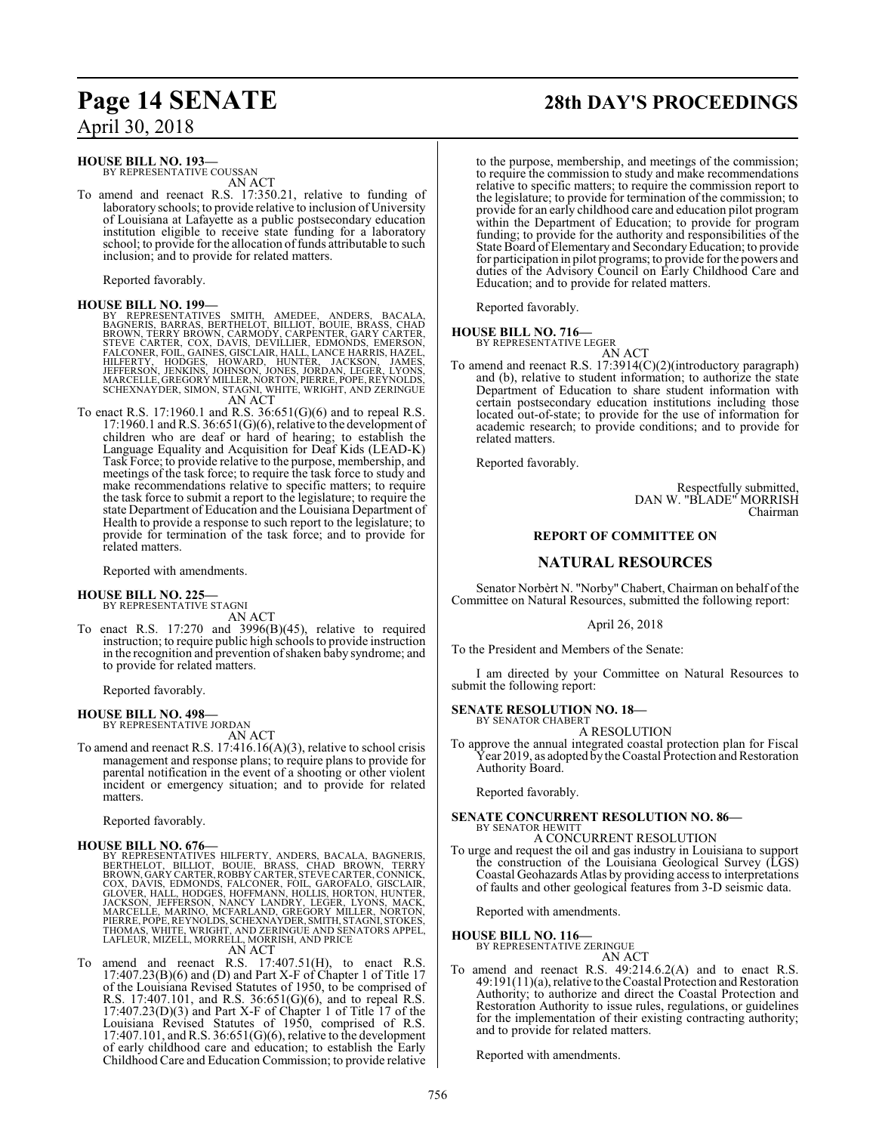#### **HOUSE BILL NO. 193—**

BY REPRESENTATIVE COUSSAN AN ACT

To amend and reenact R.S. 17:350.21, relative to funding of laboratory schools; to provide relative to inclusion of University of Louisiana at Lafayette as a public postsecondary education institution eligible to receive state funding for a laboratory school; to provide for the allocation of funds attributable to such inclusion; and to provide for related matters.

Reported favorably.

#### **HOUSE BILL NO. 199—**

BY REPRESENTATIVES SMITH, AMEDEE, ANDERS, BACALA,<br>BAGNERIS, BARRAS, BERTHELOT, BILLIOT, BOUIE, BRASS, CHAD<br>BROWN, TERRY BROWN, CARMODY, CARPENTER, GARY CARTER,<br>STEVE CARTER, COX, DAVIS, DEVILLIER, EDMONDS, EMERSON,<br>FALCONE AN ACT

To enact R.S. 17:1960.1 and R.S. 36:651(G)(6) and to repeal R.S. 17:1960.1 andR.S. 36:651(G)(6), relative to the development of children who are deaf or hard of hearing; to establish the Language Equality and Acquisition for Deaf Kids (LEAD-K) Task Force; to provide relative to the purpose, membership, and meetings of the task force; to require the task force to study and make recommendations relative to specific matters; to require the task force to submit a report to the legislature; to require the state Department of Education and the Louisiana Department of Health to provide a response to such report to the legislature; to provide for termination of the task force; and to provide for related matters.

Reported with amendments.

# **HOUSE BILL NO. 225—** BY REPRESENTATIVE STAGNI

AN ACT

To enact R.S. 17:270 and 3996(B)(45), relative to required instruction; to require public high schools to provide instruction in the recognition and prevention of shaken baby syndrome; and to provide for related matters.

Reported favorably.

#### **HOUSE BILL NO. 498—**

BY REPRESENTATIVE JORDAN AN ACT

To amend and reenact R.S. 17:416.16(A)(3), relative to school crisis management and response plans; to require plans to provide for parental notification in the event of a shooting or other violent incident or emergency situation; and to provide for related matters.

Reported favorably.

**HOUSE BILL NO. 676—**<br>BY REPRESENTATIVES HILFERTY, ANDERS, BACALA, BAGNERIS,<br>BERTHELOT, BILLIOT, BOUIE, BRASS, CHAD BROWN, TERRY<br>BROWN, GARY CARTER, ROBBY CARTER, STEVE CARTER, CONNICK,<br>COX, DAVIS, EDMONDS, FALCONER, FOIL,

AN ACT

To amend and reenact R.S. 17:407.51(H), to enact R.S. 17:407.23(B)(6) and (D) and Part X-F of Chapter 1 of Title 17 of the Louisiana Revised Statutes of 1950, to be comprised of R.S. 17:407.101, and R.S. 36:651(G)(6), and to repeal R.S. 17:407.23(D)(3) and Part X-F of Chapter 1 of Title 17 of the Louisiana Revised Statutes of 1950, comprised of R.S. 17:407.101, and R.S. 36:651(G)(6), relative to the development of early childhood care and education; to establish the Early Childhood Care and Education Commission; to provide relative

# **Page 14 SENATE 28th DAY'S PROCEEDINGS**

to the purpose, membership, and meetings of the commission; to require the commission to study and make recommendations relative to specific matters; to require the commission report to the legislature; to provide for termination of the commission; to provide for an early childhood care and education pilot program within the Department of Education; to provide for program funding; to provide for the authority and responsibilities of the State Board of Elementary and SecondaryEducation; to provide for participation in pilot programs; to provide for the powers and duties of the Advisory Council on Early Childhood Care and Education; and to provide for related matters.

Reported favorably.

#### **HOUSE BILL NO. 716—**

BY REPRESENTATIVE LEGER AN ACT

To amend and reenact R.S. 17:3914(C)(2)(introductory paragraph) and (b), relative to student information; to authorize the state Department of Education to share student information with certain postsecondary education institutions including those located out-of-state; to provide for the use of information for academic research; to provide conditions; and to provide for related matters.

Reported favorably.

Respectfully submitted, DAN W. "BLADE" MORRISH Chairman

### **REPORT OF COMMITTEE ON**

#### **NATURAL RESOURCES**

Senator Norbèrt N. "Norby" Chabert, Chairman on behalf ofthe Committee on Natural Resources, submitted the following report:

April 26, 2018

To the President and Members of the Senate:

I am directed by your Committee on Natural Resources to submit the following report:

**SENATE RESOLUTION NO. 18—** BY SENATOR CHABERT

A RESOLUTION

To approve the annual integrated coastal protection plan for Fiscal Year 2019, as adopted by the Coastal Protection and Restoration Authority Board.

Reported favorably.

#### **SENATE CONCURRENT RESOLUTION NO. 86—** BY SENATOR HEWITT

A CONCURRENT RESOLUTION

To urge and request the oil and gas industry in Louisiana to support the construction of the Louisiana Geological Survey (LGS) Coastal Geohazards Atlas by providing access to interpretations of faults and other geological features from 3-D seismic data.

Reported with amendments.

## **HOUSE BILL NO. 116—** BY REPRESENTATIVE ZERINGUE

- AN ACT
- To amend and reenact R.S. 49:214.6.2(A) and to enact R.S.  $49:191(11)(a)$ , relative to the Coastal Protection and Restoration Authority; to authorize and direct the Coastal Protection and Restoration Authority to issue rules, regulations, or guidelines for the implementation of their existing contracting authority; and to provide for related matters.

Reported with amendments.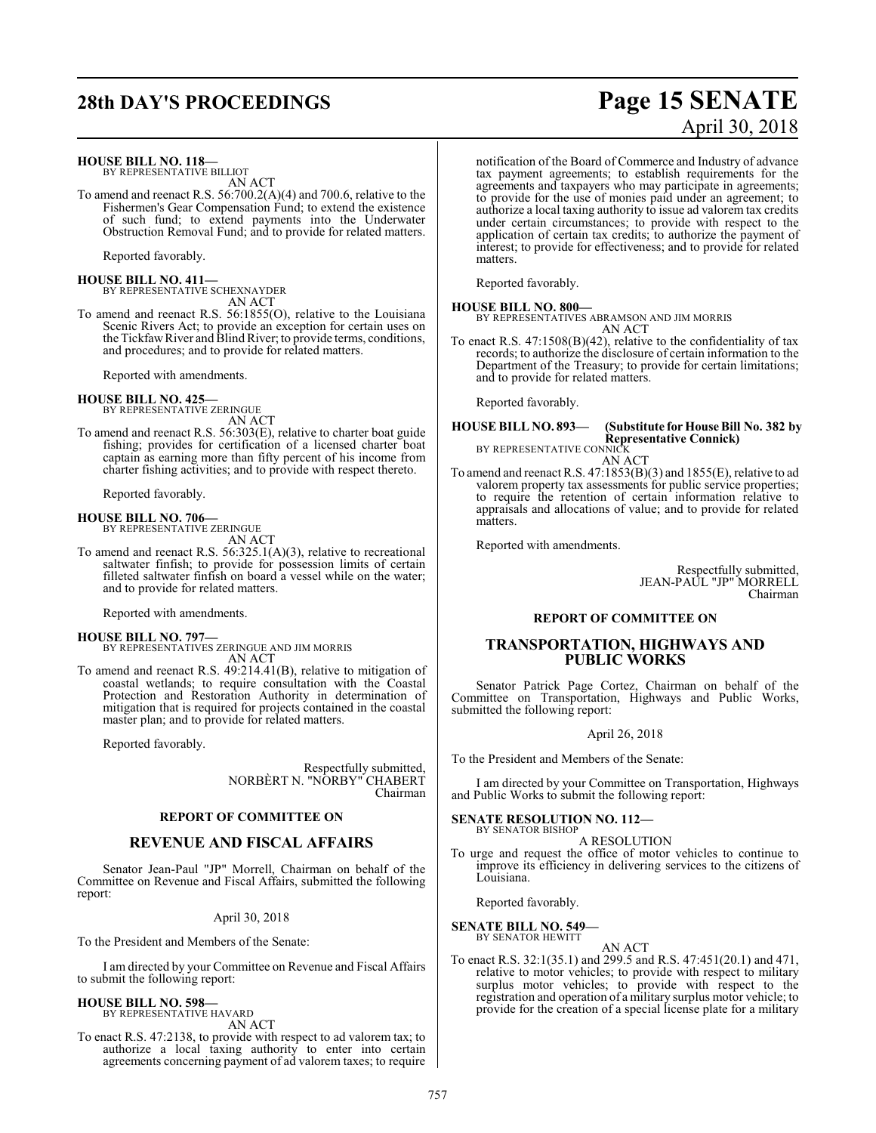**HOUSE BILL NO. 118—** BY REPRESENTATIVE BILLIOT AN ACT

To amend and reenact R.S. 56:700.2(A)(4) and 700.6, relative to the Fishermen's Gear Compensation Fund; to extend the existence of such fund; to extend payments into the Underwater Obstruction Removal Fund; and to provide for related matters.

Reported favorably.

**HOUSE BILL NO. 411—** BY REPRESENTATIVE SCHEXNAYDER AN ACT

To amend and reenact R.S. 56:1855(O), relative to the Louisiana Scenic Rivers Act; to provide an exception for certain uses on

the Tickfaw River and Blind River; to provide terms, conditions, and procedures; and to provide for related matters.

Reported with amendments.

**HOUSE BILL NO. 425—** BY REPRESENTATIVE ZERINGUE

AN ACT

To amend and reenact R.S. 56:303(E), relative to charter boat guide fishing; provides for certification of a licensed charter boat captain as earning more than fifty percent of his income from charter fishing activities; and to provide with respect thereto.

Reported favorably.

**HOUSE BILL NO. 706—** BY REPRESENTATIVE ZERINGUE

AN ACT

To amend and reenact R.S. 56:325.1(A)(3), relative to recreational saltwater finfish; to provide for possession limits of certain filleted saltwater finfish on board a vessel while on the water; and to provide for related matters.

Reported with amendments.

#### **HOUSE BILL NO. 797—**

BY REPRESENTATIVES ZERINGUE AND JIM MORRIS AN ACT

To amend and reenact R.S. 49:214.41(B), relative to mitigation of coastal wetlands; to require consultation with the Coastal Protection and Restoration Authority in determination of mitigation that is required for projects contained in the coastal master plan; and to provide for related matters.

Reported favorably.

Respectfully submitted, NORBÈRT N. "NORBY" CHABERT Chairman

#### **REPORT OF COMMITTEE ON**

#### **REVENUE AND FISCAL AFFAIRS**

Senator Jean-Paul "JP" Morrell, Chairman on behalf of the Committee on Revenue and Fiscal Affairs, submitted the following report:

#### April 30, 2018

To the President and Members of the Senate:

I am directed by your Committee on Revenue and Fiscal Affairs to submit the following report:

#### **HOUSE BILL NO. 598—**

BY REPRESENTATIVE HAVARD AN ACT

To enact R.S. 47:2138, to provide with respect to ad valorem tax; to authorize a local taxing authority to enter into certain agreements concerning payment of ad valorem taxes; to require

# **28th DAY'S PROCEEDINGS Page 15 SENATE** April 30, 2018

notification of the Board of Commerce and Industry of advance tax payment agreements; to establish requirements for the agreements and taxpayers who may participate in agreements; to provide for the use of monies paid under an agreement; to authorize a local taxing authority to issue ad valorem tax credits under certain circumstances; to provide with respect to the application of certain tax credits; to authorize the payment of interest; to provide for effectiveness; and to provide for related matters.

Reported favorably.

**HOUSE BILL NO. 800—** BY REPRESENTATIVES ABRAMSON AND JIM MORRIS

AN ACT

To enact R.S.  $47:1508(B)(42)$ , relative to the confidentiality of tax records; to authorize the disclosure of certain information to the Department of the Treasury; to provide for certain limitations; and to provide for related matters.

Reported favorably.

## **HOUSE BILL NO. 893— (Substitute for House Bill No. 382 by Representative Connick)**<br>BY REPRESENTATIVE CONNICK

AN ACT To amend and reenact R.S. 47:1853(B)(3) and 1855(E), relative to ad valorem property tax assessments for public service properties; to require the retention of certain information relative to appraisals and allocations of value; and to provide for related matters.

Reported with amendments.

Respectfully submitted, JEAN-PAUL "JP" MORRELL Chairman

#### **REPORT OF COMMITTEE ON**

#### **TRANSPORTATION, HIGHWAYS AND PUBLIC WORKS**

Senator Patrick Page Cortez, Chairman on behalf of the Committee on Transportation, Highways and Public Works, submitted the following report:

#### April 26, 2018

To the President and Members of the Senate:

I am directed by your Committee on Transportation, Highways and Public Works to submit the following report:

#### **SENATE RESOLUTION NO. 112—** BY SENATOR BISHOP

A RESOLUTION

To urge and request the office of motor vehicles to continue to improve its efficiency in delivering services to the citizens of Louisiana.

Reported favorably.

# **SENATE BILL NO. 549—** BY SENATOR HEWITT

AN ACT

To enact R.S. 32:1(35.1) and 299.5 and R.S. 47:451(20.1) and 471, relative to motor vehicles; to provide with respect to military surplus motor vehicles; to provide with respect to the registration and operation of a military surplus motor vehicle; to provide for the creation of a special license plate for a military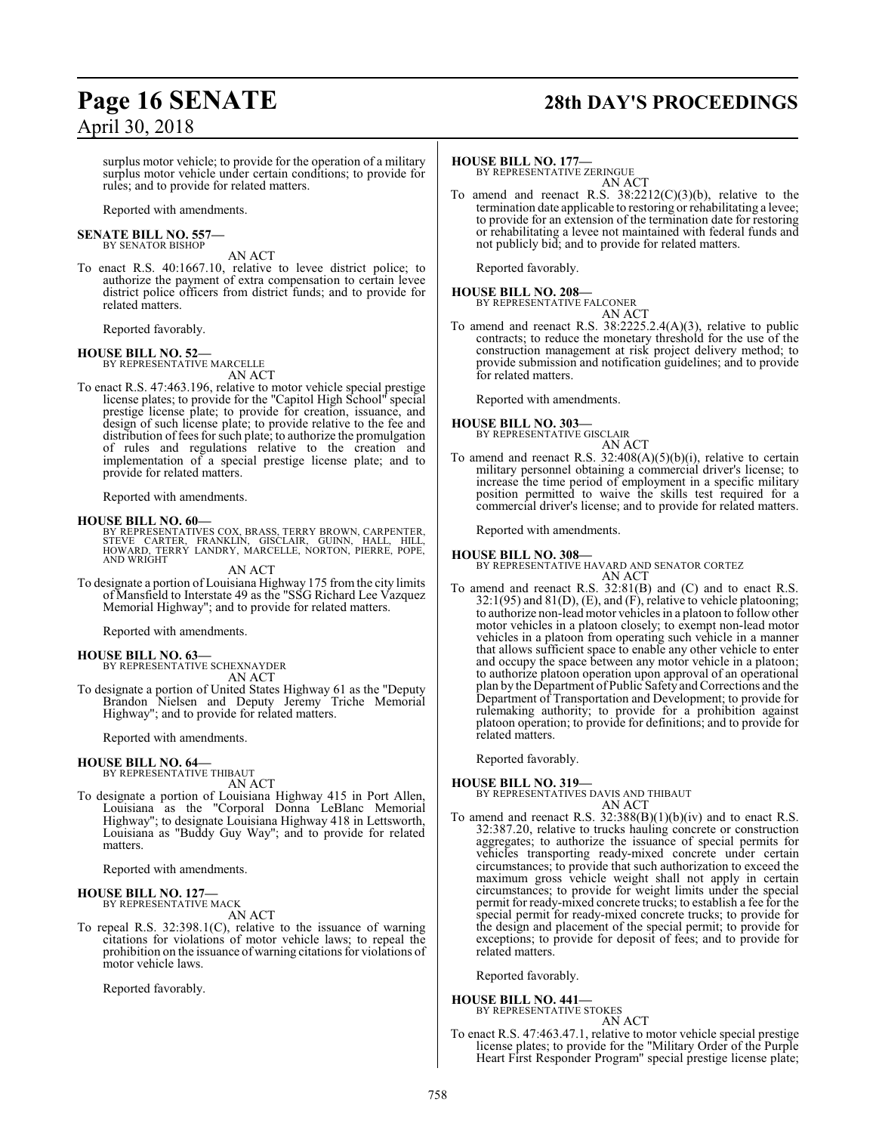# **Page 16 SENATE 28th DAY'S PROCEEDINGS**

surplus motor vehicle; to provide for the operation of a military surplus motor vehicle under certain conditions; to provide for rules; and to provide for related matters.

Reported with amendments.

# **SENATE BILL NO. 557—** BY SENATOR BISHOP

AN ACT

To enact R.S. 40:1667.10, relative to levee district police; to authorize the payment of extra compensation to certain levee district police officers from district funds; and to provide for related matters.

Reported favorably.

#### **HOUSE BILL NO. 52—**

BY REPRESENTATIVE MARCELLE AN ACT

To enact R.S. 47:463.196, relative to motor vehicle special prestige license plates; to provide for the "Capitol High School" special prestige license plate; to provide for creation, issuance, and design of such license plate; to provide relative to the fee and distribution of fees for such plate; to authorize the promulgation of rules and regulations relative to the creation and implementation of a special prestige license plate; and to provide for related matters.

Reported with amendments.

#### **HOUSE BILL NO. 60—**

BY REPRESENTATIVES COX, BRASS, TERRY BROWN, CARPENTER,<br>STEVE CARTER, FRANKLIN, GISCLAIR, GUINN, HALL, HILL,<br>HOWARD, TERRY LANDRY, MARCELLE, NORTON, PIERRE, POPE,<br>AND WRIGHT

AN ACT

To designate a portion of Louisiana Highway 175 fromthe city limits of Mansfield to Interstate 49 as the "SSG Richard Lee Vazquez Memorial Highway"; and to provide for related matters.

Reported with amendments.

#### **HOUSE BILL NO. 63—** BY REPRESENTATIVE SCHEXNAYDER

AN ACT

To designate a portion of United States Highway 61 as the "Deputy Brandon Nielsen and Deputy Jeremy Triche Memorial Highway"; and to provide for related matters.

Reported with amendments.

#### **HOUSE BILL NO. 64—**

BY REPRESENTATIVE THIBAUT AN ACT

To designate a portion of Louisiana Highway 415 in Port Allen, Louisiana as the "Corporal Donna LeBlanc Memorial Highway"; to designate Louisiana Highway 418 in Lettsworth, Louisiana as "Buddy Guy Way"; and to provide for related matters.

Reported with amendments.

#### **HOUSE BILL NO. 127—** BY REPRESENTATIVE MACK

AN ACT

To repeal R.S. 32:398.1(C), relative to the issuance of warning citations for violations of motor vehicle laws; to repeal the prohibition on the issuance of warning citations for violations of motor vehicle laws.

Reported favorably.

#### **HOUSE BILL NO. 177—**

BY REPRESENTATIVE ZERINGUE AN ACT

To amend and reenact R.S.  $38:2212(C)(3)(b)$ , relative to the termination date applicable to restoring or rehabilitating a levee; to provide for an extension of the termination date for restoring or rehabilitating a levee not maintained with federal funds and not publicly bid; and to provide for related matters.

Reported favorably.

#### **HOUSE BILL NO. 208—**

BY REPRESENTATIVE FALCONER

AN ACT To amend and reenact R.S. 38:2225.2.4(A)(3), relative to public contracts; to reduce the monetary threshold for the use of the construction management at risk project delivery method; to provide submission and notification guidelines; and to provide for related matters.

Reported with amendments.

#### **HOUSE BILL NO. 303—**

BY REPRESENTATIVE GISCLAIR AN ACT

To amend and reenact R.S. 32:408(A)(5)(b)(i), relative to certain military personnel obtaining a commercial driver's license; to increase the time period of employment in a specific military position permitted to waive the skills test required for a commercial driver's license; and to provide for related matters.

Reported with amendments.

#### **HOUSE BILL NO. 308—**

- BY REPRESENTATIVE HAVARD AND SENATOR CORTEZ AN ACT
- To amend and reenact R.S. 32:81(B) and (C) and to enact R.S. 32:1(95) and 81(D), (E), and (F), relative to vehicle platooning; to authorize non-lead motor vehicles in a platoon to follow other motor vehicles in a platoon closely; to exempt non-lead motor vehicles in a platoon from operating such vehicle in a manner that allows sufficient space to enable any other vehicle to enter and occupy the space between any motor vehicle in a platoon; to authorize platoon operation upon approval of an operational plan by the Department of Public Safety and Corrections and the Department of Transportation and Development; to provide for rulemaking authority; to provide for a prohibition against platoon operation; to provide for definitions; and to provide for related matters.

Reported favorably.

# **HOUSE BILL NO. 319—** BY REPRESENTATIVES DAVIS AND THIBAUT

AN ACT

To amend and reenact R.S. 32:388(B)(1)(b)(iv) and to enact R.S. 32:387.20, relative to trucks hauling concrete or construction aggregates; to authorize the issuance of special permits for vehicles transporting ready-mixed concrete under certain circumstances; to provide that such authorization to exceed the maximum gross vehicle weight shall not apply in certain circumstances; to provide for weight limits under the special permit for ready-mixed concrete trucks; to establish a fee for the special permit for ready-mixed concrete trucks; to provide for the design and placement of the special permit; to provide for exceptions; to provide for deposit of fees; and to provide for related matters.

Reported favorably.

#### **HOUSE BILL NO. 441—**

BY REPRESENTATIVE STOKES AN ACT

To enact R.S. 47:463.47.1, relative to motor vehicle special prestige license plates; to provide for the "Military Order of the Purple Heart First Responder Program" special prestige license plate;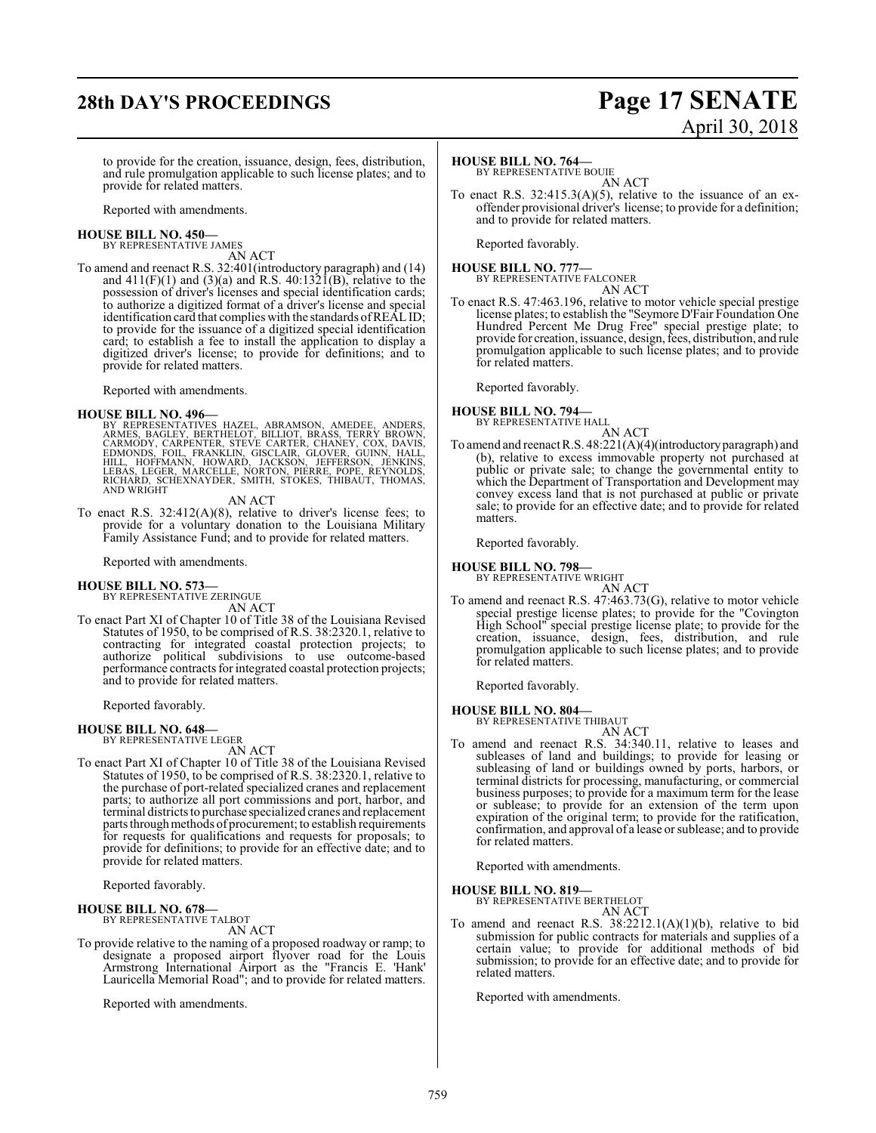# **28th DAY'S PROCEEDINGS Page 17 SENATE**

# April 30, 2018

to provide for the creation, issuance, design, fees, distribution, and rule promulgation applicable to such license plates; and to provide for related matters.

Reported with amendments.

#### **HOUSE BILL NO. 450—** BY REPRESENTATIVE JAMES

AN ACT

To amend and reenact R.S. 32:401(introductory paragraph) and (14) and  $411(F)(1)$  and  $(3)(a)$  and R.S.  $40:132I(B)$ , relative to the possession of driver's licenses and special identification cards; to authorize a digitized format of a driver's license and special identification card that complies with the standards ofREALID; to provide for the issuance of a digitized special identification card; to establish a fee to install the application to display a digitized driver's license; to provide for definitions; and to provide for related matters.

Reported with amendments.

**HOUSE BILL NO. 496—**<br>BY REPRESENTATIVES HAZEL, ABRAMSON, AMEDEE, ANDERS, BAGLEY, BERTHELOT, BILLIOT, BRASS, TERRY BROWN,<br>CARMODY, CARPENTER, STEVE CARTER, CHANEY, COX, DAVIS,<br>EDMONDS, FOIL, FRANKLIN, GISCLAIR, GLOVER, GUI AND WRIGHT

AN ACT

To enact R.S. 32:412(A)(8), relative to driver's license fees; to provide for a voluntary donation to the Louisiana Military Family Assistance Fund; and to provide for related matters.

Reported with amendments.

#### **HOUSE BILL NO. 573—**

BY REPRESENTATIVE ZERINGUE AN ACT

To enact Part XI of Chapter 10 of Title 38 of the Louisiana Revised Statutes of 1950, to be comprised of R.S. 38:2320.1, relative to contracting for integrated coastal protection projects; to authorize political subdivisions to use outcome-based performance contracts for integrated coastal protection projects; and to provide for related matters.

Reported favorably.

#### **HOUSE BILL NO. 648—** BY REPRESENTATIVE LEGER

AN ACT

To enact Part XI of Chapter 10 of Title 38 of the Louisiana Revised Statutes of 1950, to be comprised of R.S. 38:2320.1, relative to the purchase of port-related specialized cranes and replacement parts; to authorize all port commissions and port, harbor, and terminal districts to purchase specialized cranes and replacement parts through methods of procurement; to establish requirements for requests for qualifications and requests for proposals; to provide for definitions; to provide for an effective date; and to provide for related matters.

Reported favorably.

#### **HOUSE BILL NO. 678—** BY REPRESENTATIVE TALBOT

AN ACT

To provide relative to the naming of a proposed roadway or ramp; to designate a proposed airport flyover road for the Louis Armstrong International Airport as the "Francis E. 'Hank' Lauricella Memorial Road"; and to provide for related matters.

Reported with amendments.

#### **HOUSE BILL NO. 764—**

BY REPRESENTATIVE BOUIE AN ACT

To enact R.S.  $32:415.3(A)(5)$ , relative to the issuance of an exoffender provisional driver's license; to provide for a definition; and to provide for related matters.

Reported favorably.

**HOUSE BILL NO. 777—** BY REPRESENTATIVE FALCONER AN ACT

To enact R.S. 47:463.196, relative to motor vehicle special prestige license plates; to establish the "Seymore D'Fair Foundation One Hundred Percent Me Drug Free" special prestige plate; to provide for creation, issuance, design, fees, distribution, and rule promulgation applicable to such license plates; and to provide for related matters.

Reported favorably.

#### **HOUSE BILL NO. 794—** BY REPRESENTATIVE HALL



To amend and reenact R.S. 48:221(A)(4)(introductoryparagraph) and (b), relative to excess immovable property not purchased at public or private sale; to change the governmental entity to which the Department of Transportation and Development may convey excess land that is not purchased at public or private sale; to provide for an effective date; and to provide for related matters.

Reported favorably.

**HOUSE BILL NO. 798—**

BY REPRESENTATIVE WRIGHT AN ACT

To amend and reenact R.S. 47:463.73(G), relative to motor vehicle special prestige license plates; to provide for the "Covington High School" special prestige license plate; to provide for the creation, issuance, design, fees, distribution, and rule promulgation applicable to such license plates; and to provide for related matters.

Reported favorably.

**HOUSE BILL NO. 804—**

BY REPRESENTATIVE THIBAUT AN ACT

To amend and reenact R.S. 34:340.11, relative to leases and subleases of land and buildings; to provide for leasing or subleasing of land or buildings owned by ports, harbors, or terminal districts for processing, manufacturing, or commercial business purposes; to provide for a maximum term for the lease or sublease; to provide for an extension of the term upon expiration of the original term; to provide for the ratification, confirmation, and approval of a lease or sublease; and to provide for related matters.

Reported with amendments.

#### **HOUSE BILL NO. 819—**

BY REPRESENTATIVE BERTHELOT AN ACT

To amend and reenact R.S. 38:2212.1(A)(1)(b), relative to bid submission for public contracts for materials and supplies of a certain value; to provide for additional methods of bid submission; to provide for an effective date; and to provide for related matters.

Reported with amendments.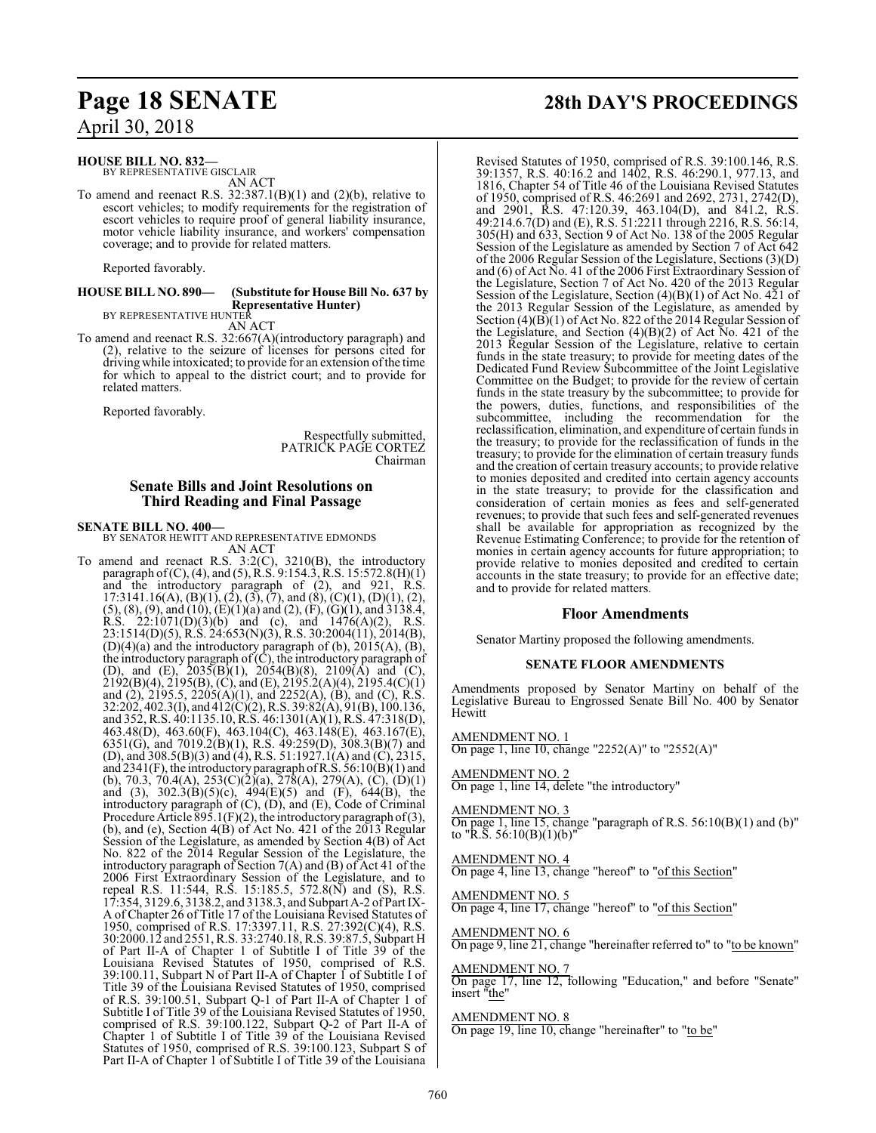#### **HOUSE BILL NO. 832—**

BY REPRESENTATIVE GISCLAIR AN ACT

To amend and reenact R.S.  $32:387.1(B)(1)$  and  $(2)(b)$ , relative to escort vehicles; to modify requirements for the registration of escort vehicles to require proof of general liability insurance, motor vehicle liability insurance, and workers' compensation coverage; and to provide for related matters.

Reported favorably.

#### **HOUSE BILL NO. 890— (Substitute for House Bill No. 637 by Representative Hunter)**

BY REPRESENTATIVE HUNTER AN ACT

To amend and reenact R.S. 32:667(A)(introductory paragraph) and (2), relative to the seizure of licenses for persons cited for driving while intoxicated; to provide for an extension ofthe time for which to appeal to the district court; and to provide for related matters.

Reported favorably.

Respectfully submitted, PATRICK PAGE CORTEZ Chairman

#### **Senate Bills and Joint Resolutions on Third Reading and Final Passage**

**SENATE BILL NO. 400—** BY SENATOR HEWITT AND REPRESENTATIVE EDMONDS AN ACT

To amend and reenact R.S. 3:2(C), 3210(B), the introductory paragraph of(C), (4), and (5), R.S. 9:154.3, R.S. 15:572.8(H)(1) and the introductory paragraph of (2), and 921, R.S. 17:3141.16(A), (B)(1), (2), (3), (7), and (8), (C)(1), (D)(1), (2),  $(5)$ ,  $(8)$ ,  $(9)$ , and  $(10)$ ,  $(E)(1)(a)$  and  $(2)$ ,  $(F)$ ,  $(G)(1)$ , and  $3138.4$ , R.S.  $22:1071(D)(3)(b)$  and (c), and  $1476(A)(2)$ , R.S. 23:1514(D)(5), R.S. 24:653(N)(3), R.S. 30:2004(11), 2014(B),  $(D)(4)(a)$  and the introductory paragraph of  $(b)$ ,  $2015(A)$ ,  $(B)$ , the introductory paragraph of  $(\tilde{C})$ , the introductory paragraph of (D), and (E),  $2035(B)(1)$ ,  $2054(B)(8)$ ,  $2109(A)$  and (C), 2192(B)(4), 2195(B), (C), and (E), 2195.2(A)(4), 2195.4(C)(1) and (2), 2195.5, 2205(A)(1), and 2252(A), (B), and (C), R.S. 32:202, 402.3(I), and 412(C)(2), R.S. 39:82(A), 91(B), 100.136, and 352, R.S. 40:1135.10, R.S. 46:1301(A)(1), R.S. 47:318(D), 463.48(D), 463.60(F), 463.104(C), 463.148(E), 463.167(E), 6351(G), and 7019.2(B)(1), R.S. 49:259(D), 308.3(B)(7) and (D), and 308.5(B)(3) and (4), R.S. 51:1927.1(A) and (C), 2315, and  $2341(F)$ , the introductory paragraph of R.S.  $56:10(B)(1)$  and (b), 70.3, 70.4(A), 253(C)(2)(a), 278(A), 279(A), (C), (D)(1) and (3),  $302.3(B)(5)(c)$ ,  $494(E)(5)$  and (F),  $644(B)$ , the introductory paragraph of (C), (D), and (E), Code of Criminal Procedure Article  $\overline{895.1}$ (F)(2), the introductory paragraph of (3), (b), and (e), Section 4(B) of Act No. 421 of the 2013 Regular Session of the Legislature, as amended by Section 4(B) of Act No. 822 of the 2014 Regular Session of the Legislature, the introductory paragraph of Section 7(A) and (B) of Act 41 of the 2006 First Extraordinary Session of the Legislature, and to repeal R.S. 11:544, R.S. 15:185.5, 572.8(N) and (S), R.S. 17:354, 3129.6, 3138.2, and 3138.3, and Subpart A-2 ofPart IX-A of Chapter 26 of Title 17 of the Louisiana Revised Statutes of 1950, comprised of R.S. 17:3397.11, R.S. 27:392(C)(4), R.S. 30:2000.12 and 2551, R.S. 33:2740.18, R.S. 39:87.5, Subpart H of Part II-A of Chapter 1 of Subtitle I of Title 39 of the Louisiana Revised Statutes of 1950, comprised of R.S. 39:100.11, Subpart N of Part II-A of Chapter 1 of Subtitle I of Title 39 of the Louisiana Revised Statutes of 1950, comprised of R.S. 39:100.51, Subpart Q-1 of Part II-A of Chapter 1 of Subtitle I of Title 39 of the Louisiana Revised Statutes of 1950, comprised of R.S. 39:100.122, Subpart Q-2 of Part II-A of Chapter 1 of Subtitle I of Title 39 of the Louisiana Revised Statutes of 1950, comprised of R.S. 39:100.123, Subpart S of Part II-A of Chapter 1 of Subtitle I of Title 39 of the Louisiana

# **Page 18 SENATE 28th DAY'S PROCEEDINGS**

Revised Statutes of 1950, comprised of R.S. 39:100.146, R.S. 39:1357, R.S. 40:16.2 and 1402, R.S. 46:290.1, 977.13, and 1816, Chapter 54 of Title 46 of the Louisiana Revised Statutes of 1950, comprised of R.S. 46:2691 and 2692, 2731, 2742(D), and 2901, R.S. 47:120.39, 463.104(D), and 841.2, R.S. 49:214.6.7(D) and (E), R.S. 51:2211 through 2216, R.S. 56:14, 305(H) and 633, Section 9 of Act No. 138 of the 2005 Regular Session of the Legislature as amended by Section 7 of Act 642 of the 2006 Regular Session of the Legislature, Sections (3)(D) and (6) of Act No. 41 of the 2006 First Extraordinary Session of the Legislature, Section 7 of Act No. 420 of the 2013 Regular Session of the Legislature, Section (4)(B)(1) of Act No. 421 of the 2013 Regular Session of the Legislature, as amended by Section (4)(B)(1) of Act No. 822 of the 2014 Regular Session of the Legislature, and Section  $(4)(B)(2)$  of Act No. 421 of the 2013 Regular Session of the Legislature, relative to certain funds in the state treasury; to provide for meeting dates of the Dedicated Fund Review Subcommittee of the Joint Legislative Committee on the Budget; to provide for the review of certain funds in the state treasury by the subcommittee; to provide for the powers, duties, functions, and responsibilities of the subcommittee, including the recommendation for the reclassification, elimination, and expenditure of certain funds in the treasury; to provide for the reclassification of funds in the treasury; to provide for the elimination of certain treasury funds and the creation of certain treasury accounts; to provide relative to monies deposited and credited into certain agency accounts in the state treasury; to provide for the classification and consideration of certain monies as fees and self-generated revenues; to provide that such fees and self-generated revenues shall be available for appropriation as recognized by the Revenue Estimating Conference; to provide for the retention of monies in certain agency accounts for future appropriation; to provide relative to monies deposited and credited to certain accounts in the state treasury; to provide for an effective date; and to provide for related matters.

#### **Floor Amendments**

Senator Martiny proposed the following amendments.

#### **SENATE FLOOR AMENDMENTS**

Amendments proposed by Senator Martiny on behalf of the Legislative Bureau to Engrossed Senate Bill No. 400 by Senator **Hewitt** 

AMENDMENT NO. 1 On page 1, line 10, change "2252(A)" to "2552(A)"

AMENDMENT NO. 2 On page 1, line 14, delete "the introductory"

#### AMENDMENT NO. 3

On page 1, line 15, change "paragraph of R.S. 56:10(B)(1) and (b)" to "R.S. 56:10(B)(1)(b)"

#### AMENDMENT NO. 4

On page 4, line 13, change "hereof" to "of this Section"

#### AMENDMENT NO. 5

On page 4, line 17, change "hereof" to "of this Section"

#### AMENDMENT NO. 6

On page 9, line 21, change "hereinafter referred to" to "to be known"

#### AMENDMENT NO. 7

On page 17, line 12, following "Education," and before "Senate" insert "the"

#### AMENDMENT NO. 8

On page 19, line 10, change "hereinafter" to "to be"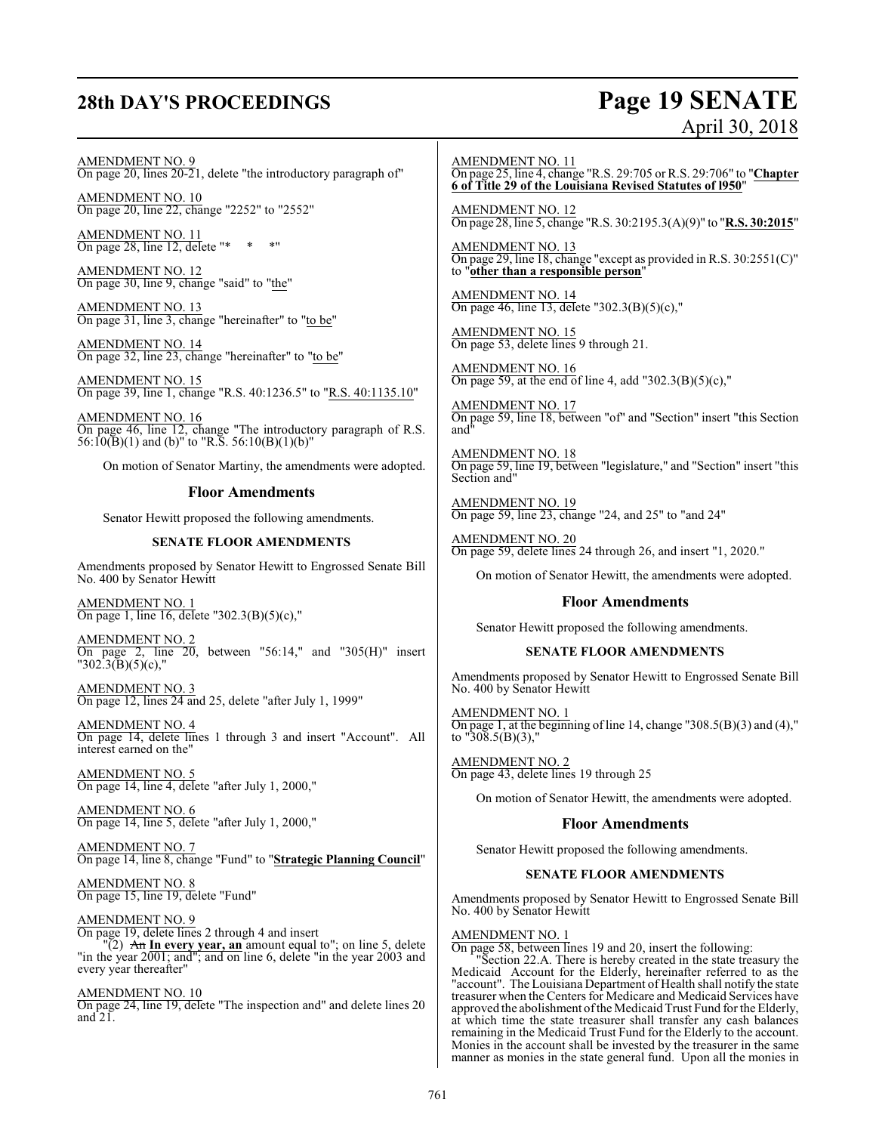# **28th DAY'S PROCEEDINGS Page 19 SENATE**

# April 30, 2018

AMENDMENT NO. 9 On page 20, lines 20-21, delete "the introductory paragraph of"

AMENDMENT NO. 10 On page 20, line 22, change "2252" to "2552"

AMENDMENT NO. 11 On page 28, line 12, delete "\* \* \* \* "

AMENDMENT NO. 12 On page 30, line 9, change "said" to "the"

AMENDMENT NO. 13 On page 31, line 3, change "hereinafter" to "to be"

AMENDMENT NO. 14 On page 32, line 23, change "hereinafter" to "to be"

AMENDMENT NO. 15 On page 39, line 1, change "R.S. 40:1236.5" to "R.S. 40:1135.10"

AMENDMENT NO. 16 On page 46, line 12, change "The introductory paragraph of R.S. 56:10(B)(1) and (b)" to "R.S. 56:10(B)(1)(b)"

On motion of Senator Martiny, the amendments were adopted.

#### **Floor Amendments**

Senator Hewitt proposed the following amendments.

#### **SENATE FLOOR AMENDMENTS**

Amendments proposed by Senator Hewitt to Engrossed Senate Bill No. 400 by Senator Hewitt

AMENDMENT NO. 1 On page 1, line 16, delete "302.3(B)(5)(c),"

AMENDMENT NO. 2 On page 2, line 20, between "56:14," and "305(H)" insert "302.3(B)(5)(c),"

AMENDMENT NO. 3 On page 12, lines 24 and 25, delete "after July 1, 1999"

AMENDMENT NO. 4 On page 14, delete lines 1 through 3 and insert "Account". All interest earned on the"

AMENDMENT NO. 5 On page 14, line 4, delete "after July 1, 2000,"

AMENDMENT NO. 6 On page 14, line 5, delete "after July 1, 2000,"

AMENDMENT NO. 7 On page 14, line 8, change "Fund" to "**Strategic Planning Council**"

AMENDMENT NO. 8 On page 15, line 19, delete "Fund"

AMENDMENT NO. 9 On page 19, delete lines 2 through 4 and insert "(2) An **In every year, an** amount equal to"; on line 5, delete "in the year 2001; and"; and on line 6, delete "in the year 2003 and every year thereafter"

AMENDMENT NO. 10 On page 24, line 19, delete "The inspection and" and delete lines 20 and  $21$ .

AMENDMENT NO. 11 On page 25, line 4, change "R.S. 29:705 or R.S. 29:706" to "**Chapter 6 of Title 29 of the Louisiana Revised Statutes of l950**"

AMENDMENT NO. 12 On page 28, line 5, change "R.S. 30:2195.3(A)(9)" to "**R.S. 30:2015**"

AMENDMENT NO. 13 On page 29, line 18, change "except as provided in R.S. 30:2551(C)" to "**other than a responsible person**"

AMENDMENT NO. 14 On page 46, line 13, delete "302.3(B)(5)(c),"

AMENDMENT NO. 15 On page 53, delete lines 9 through 21.

AMENDMENT NO. 16 On page 59, at the end of line 4, add "302.3(B)(5)(c),"

AMENDMENT NO. 17 On page 59, line 18, between "of" and "Section" insert "this Section and

AMENDMENT NO. 18 On page 59, line 19, between "legislature," and "Section" insert "this Section and"

AMENDMENT NO. 19 On page 59, line 23, change "24, and 25" to "and 24"

AMENDMENT NO. 20 On page 59, delete lines 24 through 26, and insert "1, 2020."

On motion of Senator Hewitt, the amendments were adopted.

#### **Floor Amendments**

Senator Hewitt proposed the following amendments.

#### **SENATE FLOOR AMENDMENTS**

Amendments proposed by Senator Hewitt to Engrossed Senate Bill No. 400 by Senator Hewitt

AMENDMENT NO. 1 On page 1, at the beginning of line 14, change "308.5 $(B)(3)$  and  $(4)$ ," to "308.5(B)(3),"

AMENDMENT NO. 2 On page 43, delete lines 19 through 25

On motion of Senator Hewitt, the amendments were adopted.

#### **Floor Amendments**

Senator Hewitt proposed the following amendments.

#### **SENATE FLOOR AMENDMENTS**

Amendments proposed by Senator Hewitt to Engrossed Senate Bill No. 400 by Senator Hewitt

#### AMENDMENT NO. 1

On page 58, between lines 19 and 20, insert the following:

"Section 22.A. There is hereby created in the state treasury the Medicaid Account for the Elderly, hereinafter referred to as the "account". The Louisiana Department of Health shall notify the state treasurer when the Centers for Medicare and Medicaid Services have approved the abolishment ofthe MedicaidTrust Fund for the Elderly, at which time the state treasurer shall transfer any cash balances remaining in the Medicaid Trust Fund for the Elderly to the account. Monies in the account shall be invested by the treasurer in the same manner as monies in the state general fund. Upon all the monies in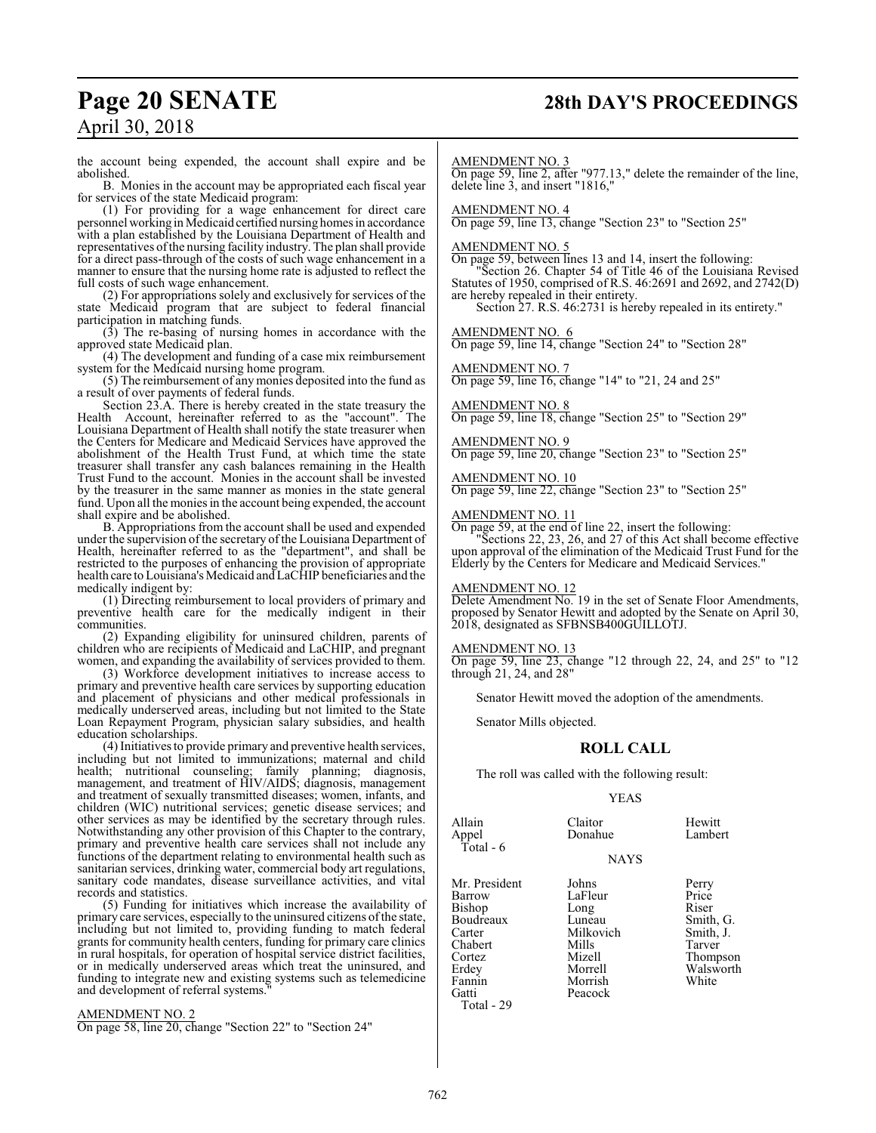# **Page 20 SENATE 28th DAY'S PROCEEDINGS**

the account being expended, the account shall expire and be abolished.

B. Monies in the account may be appropriated each fiscal year for services of the state Medicaid program:

(1) For providing for a wage enhancement for direct care personnel working in Medicaid certified nursing homes in accordance with a plan established by the Louisiana Department of Health and representatives ofthe nursing facility industry. The plan shall provide for a direct pass-through of the costs of such wage enhancement in a manner to ensure that the nursing home rate is adjusted to reflect the full costs of such wage enhancement.

(2) For appropriations solely and exclusively for services of the state Medicaid program that are subject to federal financial participation in matching funds.

(3) The re-basing of nursing homes in accordance with the approved state Medicaid plan.

(4) The development and funding of a case mix reimbursement system for the Medicaid nursing home program.

(5) The reimbursement of any monies deposited into the fund as a result of over payments of federal funds.

Section 23.A. There is hereby created in the state treasury the Health Account, hereinafter referred to as the "account". The Louisiana Department of Health shall notify the state treasurer when the Centers for Medicare and Medicaid Services have approved the abolishment of the Health Trust Fund, at which time the state treasurer shall transfer any cash balances remaining in the Health Trust Fund to the account. Monies in the account shall be invested by the treasurer in the same manner as monies in the state general fund. Upon all the monies in the account being expended, the account shall expire and be abolished.

B. Appropriations from the account shall be used and expended under the supervision of the secretary of the Louisiana Department of Health, hereinafter referred to as the "department", and shall be restricted to the purposes of enhancing the provision of appropriate health care to Louisiana's Medicaid and LaCHIP beneficiaries and the medically indigent by:

(1) Directing reimbursement to local providers of primary and preventive health care for the medically indigent in their communities.

(2) Expanding eligibility for uninsured children, parents of children who are recipients of Medicaid and LaCHIP, and pregnant women, and expanding the availability of services provided to them.

(3) Workforce development initiatives to increase access to primary and preventive health care services by supporting education and placement of physicians and other medical professionals in medically underserved areas, including but not limited to the State Loan Repayment Program, physician salary subsidies, and health education scholarships.

(4) Initiatives to provide primary and preventive health services, including but not limited to immunizations; maternal and child health; nutritional counseling; family planning; diagnosis, management, and treatment of HIV/AIDS; diagnosis, management and treatment of sexually transmitted diseases; women, infants, and children (WIC) nutritional services; genetic disease services; and other services as may be identified by the secretary through rules. Notwithstanding any other provision of this Chapter to the contrary, primary and preventive health care services shall not include any functions of the department relating to environmental health such as sanitarian services, drinking water, commercial body art regulations, sanitary code mandates, disease surveillance activities, and vital records and statistics.

(5) Funding for initiatives which increase the availability of primary care services, especially to the uninsured citizens ofthe state, including but not limited to, providing funding to match federal grants for community health centers, funding for primary care clinics in rural hospitals, for operation of hospital service district facilities, or in medically underserved areas which treat the uninsured, and funding to integrate new and existing systems such as telemedicine and development of referral systems.

#### AMENDMENT NO. 2

On page 58, line 20, change "Section 22" to "Section 24"

#### AMENDMENT NO. 3

On page 59, line 2, after "977.13," delete the remainder of the line, delete line 3, and insert "1816,"

#### AMENDMENT NO. 4

On page 59, line 13, change "Section 23" to "Section 25"

#### AMENDMENT NO. 5

On page 59, between lines 13 and 14, insert the following:

"Section 26. Chapter 54 of Title 46 of the Louisiana Revised Statutes of 1950, comprised of R.S. 46:2691 and 2692, and 2742(D) are hereby repealed in their entirety.

Section 27. R.S. 46:2731 is hereby repealed in its entirety."

#### AMENDMENT NO. 6

On page 59, line 14, change "Section 24" to "Section 28"

#### AMENDMENT NO. 7

On page 59, line 16, change "14" to "21, 24 and 25"

#### AMENDMENT NO. 8

On page 59, line 18, change "Section 25" to "Section 29"

#### AMENDMENT NO. 9

On page 59, line 20, change "Section 23" to "Section 25"

AMENDMENT NO. 10 On page 59, line 22, change "Section 23" to "Section 25"

### AMENDMENT NO. 11

On page 59, at the end of line 22, insert the following: "Sections 22, 23, 26, and 27 of this Act shall become effective upon approval of the elimination of the Medicaid Trust Fund for the Elderly by the Centers for Medicare and Medicaid Services."

#### AMENDMENT NO. 12

Delete Amendment No. 19 in the set of Senate Floor Amendments, proposed by Senator Hewitt and adopted by the Senate on April 30, 2018, designated as SFBNSB400GUILLOTJ.

#### AMENDMENT NO. 13

On page 59, line 23, change "12 through 22, 24, and 25" to "12 through 21, 24, and 28"

Senator Hewitt moved the adoption of the amendments.

Senator Mills objected.

#### **ROLL CALL**

The roll was called with the following result:

#### YEAS

| Allain<br>Appel<br>Total - 6                                                                              | Claitor<br>Donahue                                                                                  | Hewitt<br>Lambert                                                                             |
|-----------------------------------------------------------------------------------------------------------|-----------------------------------------------------------------------------------------------------|-----------------------------------------------------------------------------------------------|
|                                                                                                           | <b>NAYS</b>                                                                                         |                                                                                               |
| Mr. President<br>Barrow<br>Bishop<br>Boudreaux<br>Carter<br>Chabert<br>Cortez<br>Erdey<br>Fannin<br>Gatti | Johns<br>LaFleur<br>Long<br>Luneau<br>Milkovich<br>Mills<br>Mizell<br>Morrell<br>Morrish<br>Peacock | Perry<br>Price<br>Riser<br>Smith, G.<br>Smith, J.<br>Tarver<br>Thompson<br>Walsworth<br>White |
| Total - 29                                                                                                |                                                                                                     |                                                                                               |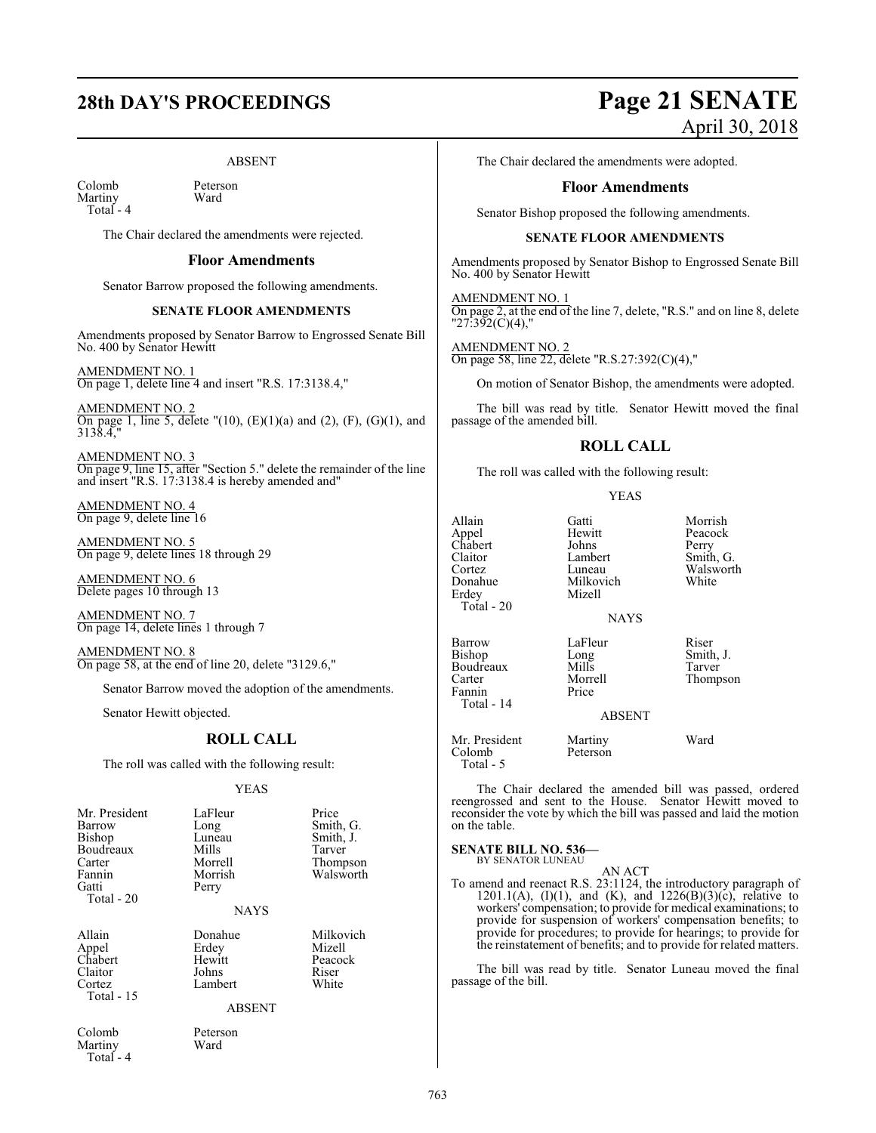#### ABSENT

Colomb Peterson<br>Martiny Ward Martiny Total - 4

The Chair declared the amendments were rejected.

#### **Floor Amendments**

Senator Barrow proposed the following amendments.

#### **SENATE FLOOR AMENDMENTS**

Amendments proposed by Senator Barrow to Engrossed Senate Bill No. 400 by Senator Hewitt

AMENDMENT NO. 1 On page 1, delete line 4 and insert "R.S. 17:3138.4,"

AMENDMENT NO. 2 On page 1, line 5, delete  $''(10)$ ,  $(E)(1)(a)$  and  $(2)$ ,  $(F)$ ,  $(G)(1)$ , and 3138.4,"

AMENDMENT NO. 3 On page 9, line 15, after "Section 5." delete the remainder of the line and insert "R.S. 17:3138.4 is hereby amended and"

AMENDMENT NO. 4 On page 9, delete line 16

AMENDMENT NO. 5 On page 9, delete lines 18 through 29

AMENDMENT NO. 6 Delete pages 10 through 13

AMENDMENT NO. 7 On page 14, delete lines 1 through 7

AMENDMENT NO. 8 On page 58, at the end of line 20, delete "3129.6,"

Senator Barrow moved the adoption of the amendments.

Senator Hewitt objected.

#### **ROLL CALL**

The roll was called with the following result:

#### YEAS

| Mr. President<br>Barrow<br>Bishop<br>Boudreaux<br>Carter<br>Fannin<br>Gatti<br>Total $-20$ | LaFleur<br>Long<br>Luneau<br>Mills<br>Morrell<br>Morrish<br>Perry<br><b>NAYS</b> | Price<br>Smith, G.<br>Smith, J.<br>Tarver<br>Thompson<br>Walsworth |
|--------------------------------------------------------------------------------------------|----------------------------------------------------------------------------------|--------------------------------------------------------------------|
| Allain<br>Appel<br>Chabert<br>Claitor<br>Cortez<br>Total $-15$                             | Donahue<br>Erdey<br>Hewitt<br>Johns<br>Lambert<br><b>ABSENT</b>                  | Milkovich<br>Mizell<br>Peacock<br>Riser<br>White                   |
| Colomb                                                                                     | Peterson                                                                         |                                                                    |

Martiny Ward Total - 4

**28th DAY'S PROCEEDINGS Page 21 SENATE** April 30, 2018

The Chair declared the amendments were adopted.

#### **Floor Amendments**

Senator Bishop proposed the following amendments.

#### **SENATE FLOOR AMENDMENTS**

Amendments proposed by Senator Bishop to Engrossed Senate Bill No. 400 by Senator Hewitt

AMENDMENT NO. 1 On page 2, at the end of the line 7, delete, "R.S." and on line 8, delete "27:392(C)(4),"

AMENDMENT NO. 2 On page 58, line 22, delete "R.S.27:392(C)(4),"

On motion of Senator Bishop, the amendments were adopted.

The bill was read by title. Senator Hewitt moved the final passage of the amended bill.

#### **ROLL CALL**

The roll was called with the following result:

Milkovich<br>Mizell

#### YEAS

Allain Gatti Morrish Appel Hewitt Peacock Chabert Johns<br>Claitor Lambert Claitor Lambert Smith, G. Cortez Luneau Walsworth<br>
Donahue Milkovich White Erdey Total - 20

Barrow LaFleur Riser<br>Bishop Long Smith Boudreaux Mills<br>Carter Morrell Fannin Total - 14

Eur Panel<br>
Long Smith, J.<br>
Mills Tarver Morrell Thompson<br>Price

ABSENT

**NAYS** 

Mr. President Martiny Ward<br>Colomb Peterson

Colomb Total - 5

The Chair declared the amended bill was passed, ordered reengrossed and sent to the House. Senator Hewitt moved to reconsider the vote by which the bill was passed and laid the motion on the table.

#### **SENATE BILL NO. 536—** BY SENATOR LUNEAU

AN ACT

To amend and reenact R.S. 23:1124, the introductory paragraph of 1201.1(A), (I)(1), and (K), and 1226(B)(3)(c), relative to workers' compensation; to provide for medical examinations; to provide for suspension of workers' compensation benefits; to provide for procedures; to provide for hearings; to provide for the reinstatement of benefits; and to provide for related matters.

The bill was read by title. Senator Luneau moved the final passage of the bill.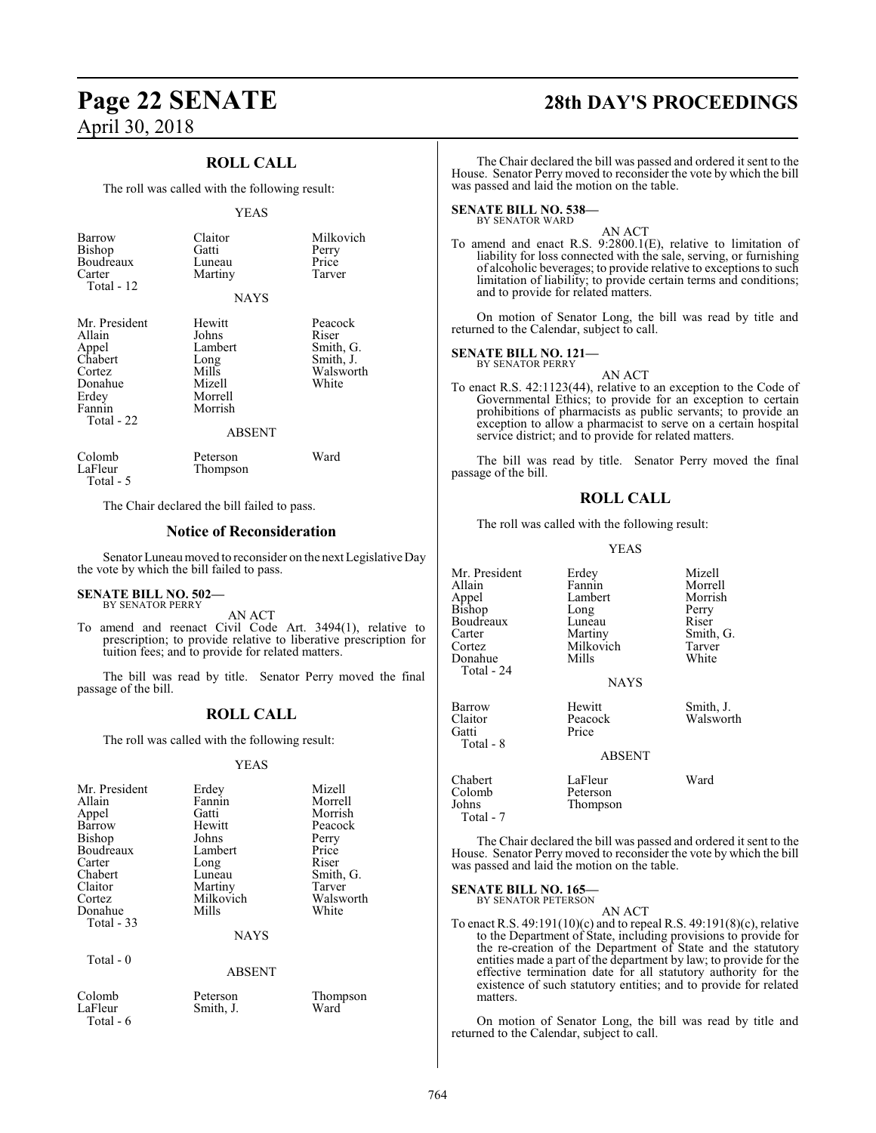### **ROLL CALL**

The roll was called with the following result:

#### YEAS

| <b>Barrow</b><br>Bishop<br>Boudreaux<br>Carter<br>Total - 12                                      | Claitor<br>Gatti<br>Luneau<br>Martiny<br><b>NAYS</b>                                         | Milkovich<br>Perry<br>Price<br>Tarver                            |
|---------------------------------------------------------------------------------------------------|----------------------------------------------------------------------------------------------|------------------------------------------------------------------|
| Mr. President<br>Allain<br>Appel<br>Chabert<br>Cortez<br>Donahue<br>Erdey<br>Fannin<br>Total - 22 | Hewitt<br>Johns<br>Lambert<br>Long<br>Mills<br>Mizell<br>Morrell<br>Morrish<br><b>ABSENT</b> | Peacock<br>Riser<br>Smith, G.<br>Smith, J.<br>Walsworth<br>White |
| Colomb<br>LaFleur<br>Total - 5                                                                    | Peterson<br>Thompson                                                                         | Ward                                                             |

The Chair declared the bill failed to pass.

#### **Notice of Reconsideration**

Senator Luneaumoved to reconsider on the next Legislative Day the vote by which the bill failed to pass.

## **SENATE BILL NO. 502—** BY SENATOR PERRY

AN ACT

To amend and reenact Civil Code Art. 3494(1), relative to prescription; to provide relative to liberative prescription for tuition fees; and to provide for related matters.

The bill was read by title. Senator Perry moved the final passage of the bill.

#### **ROLL CALL**

The roll was called with the following result:

#### YEAS

| Mr. President | Erdey     | Mizell    |
|---------------|-----------|-----------|
| Allain        | Fannin    | Morrell   |
| Appel         | Gatti     | Morrish   |
| Barrow        | Hewitt    | Peacock   |
| Bishop        | Johns     | Perry     |
| Boudreaux     | Lambert   | Price     |
| Carter        | Long      | Riser     |
| Chabert       | Luneau    | Smith, G. |
| Claitor       | Martiny   | Tarver    |
| Cortez        | Milkovich | Walsworth |
| Donahue       | Mills     | White     |
| Total - 33    |           |           |
|               | NAYS      |           |

Smith, J.

Total - 0

| Colomb    |  |
|-----------|--|
| LaFleur   |  |
| 6 - Total |  |

ABSENT

# Peterson Thompson<br>Smith, J. Ward

**Page 22 SENATE 28th DAY'S PROCEEDINGS**

The Chair declared the bill was passed and ordered it sent to the House. Senator Perry moved to reconsider the vote by which the bill was passed and laid the motion on the table.

#### **SENATE BILL NO. 538—** BY SENATOR WARD

AN ACT

To amend and enact R.S. 9:2800.1(E), relative to limitation of liability for loss connected with the sale, serving, or furnishing of alcoholic beverages; to provide relative to exceptions to such limitation of liability; to provide certain terms and conditions; and to provide for related matters.

On motion of Senator Long, the bill was read by title and returned to the Calendar, subject to call.

#### **SENATE BILL NO. 121—**

BY SENATOR PERRY AN ACT

To enact R.S. 42:1123(44), relative to an exception to the Code of Governmental Ethics; to provide for an exception to certain prohibitions of pharmacists as public servants; to provide an exception to allow a pharmacist to serve on a certain hospital service district; and to provide for related matters.

The bill was read by title. Senator Perry moved the final passage of the bill.

#### **ROLL CALL**

The roll was called with the following result:

#### YEAS

| Mr. President | Erdey         | Mizell    |
|---------------|---------------|-----------|
| Allain        | Fannin        | Morrell   |
| Appel         | Lambert       | Morrish   |
| Bishop        | Long          | Perry     |
| Boudreaux     | Luneau        | Riser     |
| Carter        | Martiny       | Smith, G. |
| Cortez        | Milkovich     | Tarver    |
| Donahue       | Mills         | White     |
| Total - 24    |               |           |
|               | <b>NAYS</b>   |           |
| Barrow        | Hewitt        | Smith, J. |
| Claitor       | Peacock       | Walsworth |
| Gatti         | Price         |           |
| Total - 8     |               |           |
|               | <b>ABSENT</b> |           |
| Chabert       | LaFleur       | Ward      |
| Colomb        | Peterson      |           |
| Johns         | Thompson      |           |

The Chair declared the bill was passed and ordered it sent to the House. Senator Perry moved to reconsider the vote by which the bill was passed and laid the motion on the table.

#### **SENATE BILL NO. 165—**

Total - 7

BY SENATOR PETERSON AN ACT

To enact R.S. 49:191(10)(c) and to repeal R.S. 49:191(8)(c), relative to the Department of State, including provisions to provide for the re-creation of the Department of State and the statutory entities made a part of the department by law; to provide for the effective termination date for all statutory authority for the existence of such statutory entities; and to provide for related matters.

On motion of Senator Long, the bill was read by title and returned to the Calendar, subject to call.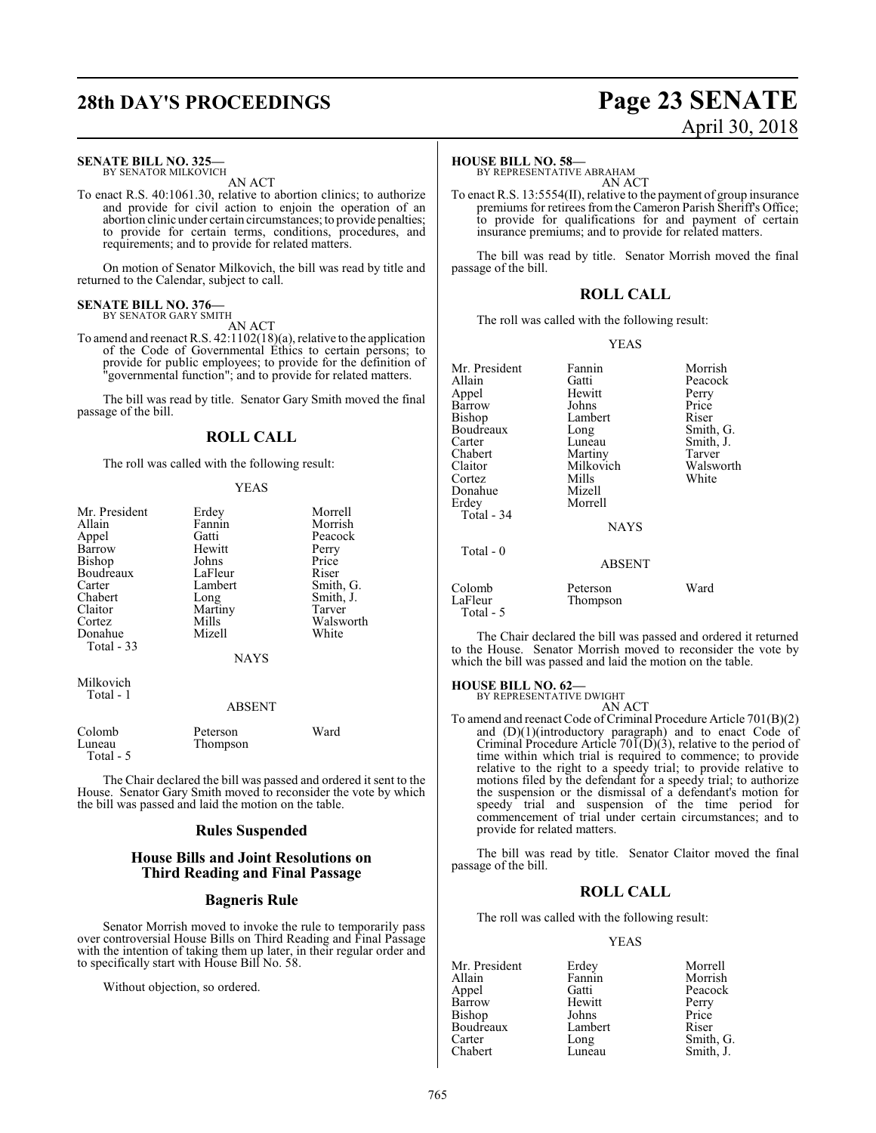# **28th DAY'S PROCEEDINGS Page 23 SENATE**

#### **SENATE BILL NO. 325—**

BY SENATOR MILKOVICH AN ACT

To enact R.S. 40:1061.30, relative to abortion clinics; to authorize and provide for civil action to enjoin the operation of an abortion clinic under certain circumstances; to provide penalties; to provide for certain terms, conditions, procedures, and requirements; and to provide for related matters.

On motion of Senator Milkovich, the bill was read by title and returned to the Calendar, subject to call.

#### **SENATE BILL NO. 376—** BY SENATOR GARY SMITH

AN ACT

To amend and reenact R.S. 42:1102(18)(a), relative to the application of the Code of Governmental Ethics to certain persons; to provide for public employees; to provide for the definition of "governmental function"; and to provide for related matters.

The bill was read by title. Senator Gary Smith moved the final passage of the bill.

#### **ROLL CALL**

The roll was called with the following result:

#### YEAS

| Mr. President<br>Allain<br>Appel<br>Barrow<br><b>Bishop</b><br>Boudreaux<br>Carter<br>Chabert<br>Claitor<br>Cortez<br>Donahue<br>Total - 33 | Erdey<br>Fannin<br>Gatti<br>Hewitt<br>Johns<br>LaFleur<br>Lambert<br>Long<br>Martiny<br>Mills<br>Mizell | Morrell<br>Morrish<br>Peacock<br>Perry<br>Price<br>Riser<br>Smith, G.<br>Smith, J.<br>Tarver<br>Walsworth<br>White |
|---------------------------------------------------------------------------------------------------------------------------------------------|---------------------------------------------------------------------------------------------------------|--------------------------------------------------------------------------------------------------------------------|
|                                                                                                                                             | <b>NAYS</b>                                                                                             |                                                                                                                    |
| Milkovich<br>Total - 1                                                                                                                      | 1.72717                                                                                                 |                                                                                                                    |

#### ABSENT

| Colomb    | Peterson | Ward |
|-----------|----------|------|
| Luneau    | Thompson |      |
| Total - 5 |          |      |

The Chair declared the bill was passed and ordered it sent to the House. Senator Gary Smith moved to reconsider the vote by which the bill was passed and laid the motion on the table.

#### **Rules Suspended**

#### **House Bills and Joint Resolutions on Third Reading and Final Passage**

#### **Bagneris Rule**

Senator Morrish moved to invoke the rule to temporarily pass over controversial House Bills on Third Reading and Final Passage with the intention of taking them up later, in their regular order and to specifically start with House Bill No. 58.

Without objection, so ordered.

# April 30, 2018

#### **HOUSE BILL NO. 58—**

BY REPRESENTATIVE ABRAHAM AN ACT

To enact R.S. 13:5554(II), relative to the payment of group insurance premiums for retirees from the Cameron Parish Sheriff's Office; to provide for qualifications for and payment of certain insurance premiums; and to provide for related matters.

The bill was read by title. Senator Morrish moved the final passage of the bill.

#### **ROLL CALL**

The roll was called with the following result:

#### YEAS

| Mr. President | Fannin        | Morrish   |
|---------------|---------------|-----------|
| Allain        | Gatti         | Peacock   |
| Appel         | Hewitt        | Perry     |
| Barrow        | Johns         | Price     |
| Bishop        | Lambert       | Riser     |
| Boudreaux     | Long          | Smith, G. |
| Carter        | Luneau        | Smith, J. |
| Chabert       | Martiny       | Tarver    |
| Claitor       | Milkovich     | Walsworth |
| Cortez        | Mills         | White     |
| Donahue       | Mizell        |           |
| Erdev         | Morrell       |           |
| Total - 34    |               |           |
|               | <b>NAYS</b>   |           |
| Total - 0     |               |           |
|               | <b>ABSENT</b> |           |
| Colomb        | Peterson      | Ward      |
| LaFleur       | Thompson      |           |
| Total - 5     |               |           |

The Chair declared the bill was passed and ordered it returned to the House. Senator Morrish moved to reconsider the vote by which the bill was passed and laid the motion on the table.

**HOUSE BILL NO. 62—** BY REPRESENTATIVE DWIGHT

AN ACT

To amend and reenact Code of Criminal Procedure Article 701(B)(2) and (D)(1)(introductory paragraph) and to enact Code of Criminal Procedure Article  $70I(D)(3)$ , relative to the period of time within which trial is required to commence; to provide relative to the right to a speedy trial; to provide relative to motions filed by the defendant for a speedy trial; to authorize the suspension or the dismissal of a defendant's motion for speedy trial and suspension of the time period for commencement of trial under certain circumstances; and to provide for related matters.

The bill was read by title. Senator Claitor moved the final passage of the bill.

#### **ROLL CALL**

The roll was called with the following result:

#### YEAS

| Mr. President | Erdey   | Morrell   |
|---------------|---------|-----------|
| Allain        | Fannin  | Morrish   |
| Appel         | Gatti   | Peacock   |
| Barrow        | Hewitt  | Perry     |
| Bishop        | Johns   | Price     |
| Boudreaux     | Lambert | Riser     |
| Carter        | Long    | Smith, G. |
| Chabert       | Luneau  | Smith, J. |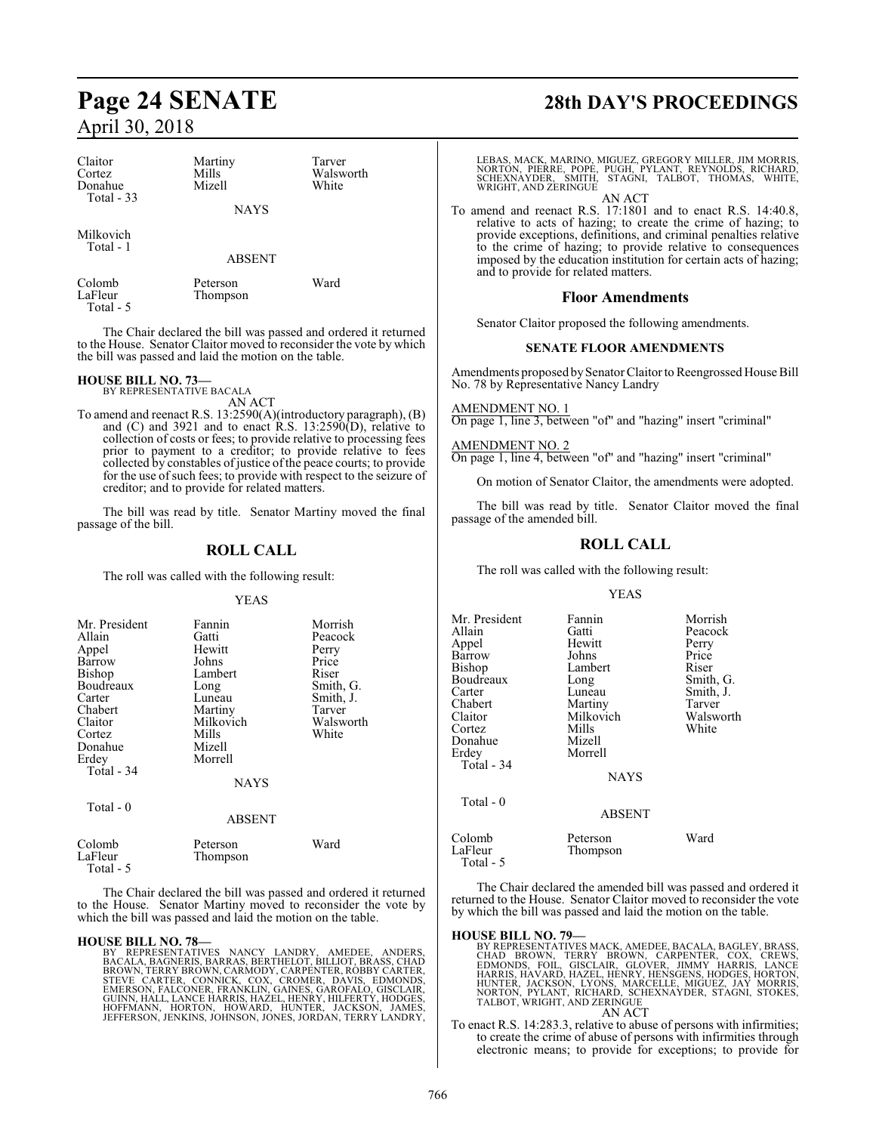| Claitor<br>Cortez<br>Donahue<br>Total - 33 | Martiny<br>Mills<br>Mizell | Tarver<br>Walsworth<br>White |
|--------------------------------------------|----------------------------|------------------------------|
|                                            | <b>NAYS</b>                |                              |
| Milkovich<br>Total - 1                     |                            |                              |
|                                            | <b>ABSENT</b>              |                              |

Colomb Peterson Ward Total - 5

The Chair declared the bill was passed and ordered it returned to the House. Senator Claitor moved to reconsider the vote by which the bill was passed and laid the motion on the table.

Thompson

#### **HOUSE BILL NO. 73—**

BY REPRESENTATIVE BACALA

AN ACT To amend and reenact R.S. 13:2590(A)(introductory paragraph), (B) and  $(C)$  and 3921 and to enact R.S. 13:2590 $(D)$ , relative to collection of costs or fees; to provide relative to processing fees prior to payment to a creditor; to provide relative to fees collected by constables of justice of the peace courts; to provide for the use of such fees; to provide with respect to the seizure of creditor; and to provide for related matters.

The bill was read by title. Senator Martiny moved the final passage of the bill.

#### **ROLL CALL**

The roll was called with the following result:

#### YEAS

| Mr. President<br>Allain<br>Appel<br>Barrow<br><b>Bishop</b><br>Boudreaux<br>Carter<br>Chabert<br>Claitor<br>Cortez<br>Donahue<br>Erdey<br>Total - 34 | Fannin<br>Gatti<br>Hewitt<br>Johns<br>Lambert<br>Long<br>Luneau<br>Martiny<br>Milkovich<br>Mills<br>Mizell<br>Morrell<br><b>NAYS</b> | Morrish<br>Peacock<br>Perry<br>Price<br>Riser<br>Smith, G.<br>Smith, J.<br>Tarver<br>Walsworth<br>White |
|------------------------------------------------------------------------------------------------------------------------------------------------------|--------------------------------------------------------------------------------------------------------------------------------------|---------------------------------------------------------------------------------------------------------|
| Total - 0                                                                                                                                            | <b>ABSENT</b>                                                                                                                        |                                                                                                         |
| Colomb                                                                                                                                               | Peterson                                                                                                                             | Ward                                                                                                    |
| <b>T E</b> 1                                                                                                                                         | $\sim$                                                                                                                               |                                                                                                         |

LaFleur Thompson Total - 5

The Chair declared the bill was passed and ordered it returned to the House. Senator Martiny moved to reconsider the vote by which the bill was passed and laid the motion on the table.

**HOUSE BILL NO. 78—**<br>BY REPRESENTATIVES NANCY LANDRY, AMEDEE, ANDERS,<br>BACALA, BAGNERIS, BARRAS, BERTHELOT, BILLIOT, BRASS, CHAD<br>BROWN, TERRY BROWN, CARMODY, CARPÉNTER, RÓBBY CARTER,<br>STEVE CARTER, CONNICK, COX, CROMER, DAVI

# **Page 24 SENATE 28th DAY'S PROCEEDINGS**

LEBAS, MACK, MARINO, MIGUEZ, GREGORY MILLER, JIM MORRIS, NORTON, PIERRE, POPE, PUGH, PYLANT, REYNOLDS, RICHARD, SCHEXNAYDER, SMITH, STAGNI, TALBOT, THOMAS, WHITE, WRIGHT, AND ZERINGUE

AN ACT To amend and reenact R.S. 17:1801 and to enact R.S. 14:40.8, relative to acts of hazing; to create the crime of hazing; to provide exceptions, definitions, and criminal penalties relative to the crime of hazing; to provide relative to consequences imposed by the education institution for certain acts of hazing; and to provide for related matters.

#### **Floor Amendments**

Senator Claitor proposed the following amendments.

#### **SENATE FLOOR AMENDMENTS**

Amendments proposed by Senator Claitor to Reengrossed House Bill No. 78 by Representative Nancy Landry

AMENDMENT NO. 1 On page 1, line 3, between "of" and "hazing" insert "criminal"

AMENDMENT NO. 2 On page 1, line 4, between "of" and "hazing" insert "criminal"

On motion of Senator Claitor, the amendments were adopted.

The bill was read by title. Senator Claitor moved the final passage of the amended bill.

#### **ROLL CALL**

The roll was called with the following result:

#### YEAS

| Mr. President     | Fannin               | Morrish   |
|-------------------|----------------------|-----------|
| Allain            | Gatti                | Peacock   |
| Appel             | Hewitt               | Perry     |
| Barrow            | Johns                | Price     |
| Bishop            | Lambert              | Riser     |
| Boudreaux         | Long                 | Smith, G. |
| Carter            | Luneau               | Smith, J. |
| Chabert           | Martiny              | Tarver    |
| Claitor           | Milkovich            | Walsworth |
| Cortez            | Mills                | White     |
| Donahue           | Mizell               |           |
| Erdey             | Morrell              |           |
| <b>Total - 34</b> |                      |           |
|                   | <b>NAYS</b>          |           |
| Total - 0         |                      |           |
|                   | <b>ABSENT</b>        |           |
| Colomb<br>LaFleur | Peterson<br>Thompson | Ward      |
| $Total - 5$       |                      |           |

The Chair declared the amended bill was passed and ordered it returned to the House. Senator Claitor moved to reconsider the vote by which the bill was passed and laid the motion on the table.

#### **HOUSE BILL NO. 79—**

BY REPRESENTATIVES MACK, AMEDEE, BACALA, BAGLEY, BRASS,<br>CHAD BROWN, TERRY BROWN, CARPENTER, COX, CREWS,<br>EDMONDS, FOIL, GISCLAIR, GLOVER, JIMMY HARRIS, LANCE<br>HARRIS, HAVARD, HAZEL, HENRY, HENSGENS, HODGES, HORTON,<br>HUNTER, J AN ACT

To enact R.S. 14:283.3, relative to abuse of persons with infirmities; to create the crime of abuse of persons with infirmities through electronic means; to provide for exceptions; to provide for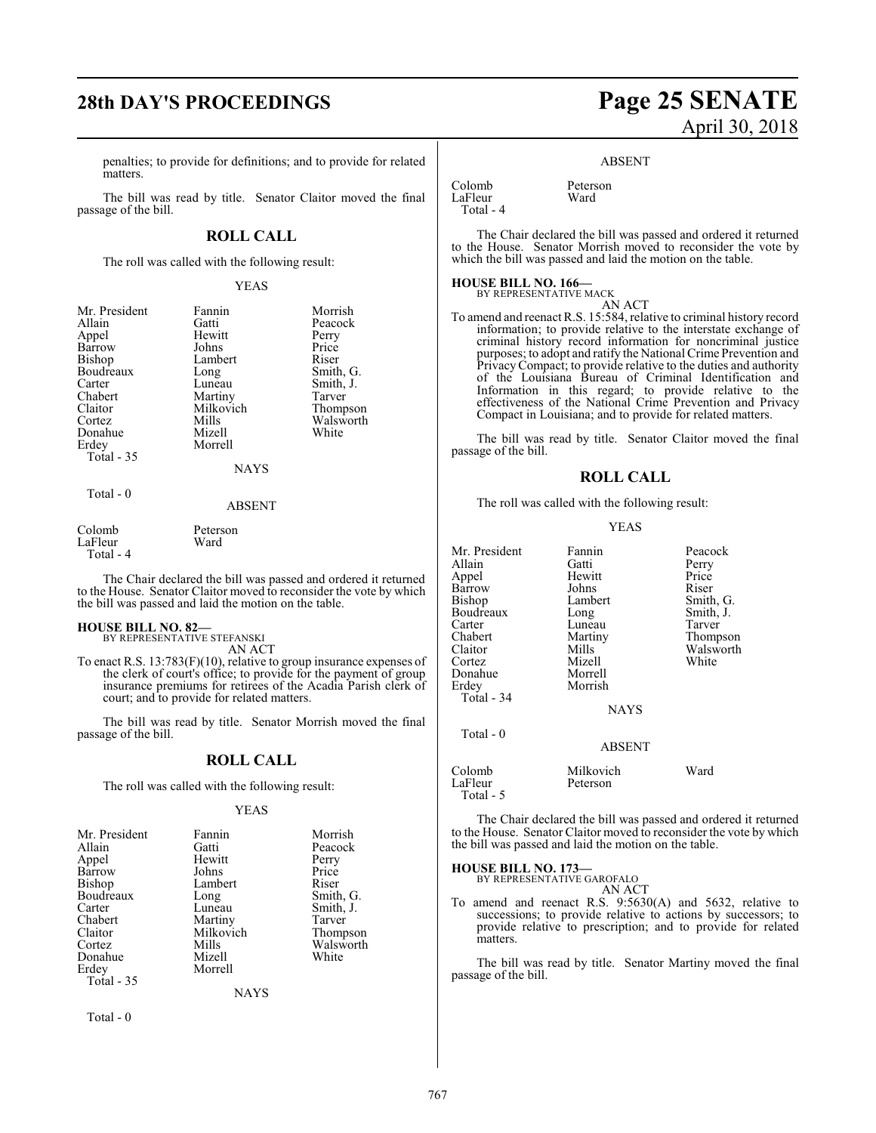penalties; to provide for definitions; and to provide for related matters.

The bill was read by title. Senator Claitor moved the final passage of the bill.

#### **ROLL CALL**

The roll was called with the following result:

#### YEAS

| Mr. President | Fannin      | Morrish   |
|---------------|-------------|-----------|
| Allain        | Gatti       | Peacock   |
| Appel         | Hewitt      | Perry     |
| <b>Barrow</b> | Johns       | Price     |
| Bishop        | Lambert     | Riser     |
| Boudreaux     | Long        | Smith, G. |
| Carter        | Luneau      | Smith, J. |
| Chabert       | Martiny     | Tarver    |
| Claitor       | Milkovich   | Thompson  |
| Cortez        | Mills       | Walsworth |
| Donahue       | Mizell      | White     |
| Erdey         | Morrell     |           |
| Total - 35    |             |           |
|               | <b>NAYS</b> |           |
| Total - 0     |             |           |

#### ABSENT

| Colomb      | Peterson |
|-------------|----------|
| LaFleur     | Ward     |
| $Total - 4$ |          |

The Chair declared the bill was passed and ordered it returned to the House. Senator Claitor moved to reconsider the vote by which the bill was passed and laid the motion on the table.

#### **HOUSE BILL NO. 82—** BY REPRESENTATIVE STEFANSKI

AN ACT

To enact R.S. 13:783(F)(10), relative to group insurance expenses of the clerk of court's office; to provide for the payment of group insurance premiums for retirees of the Acadia Parish clerk of court; and to provide for related matters.

The bill was read by title. Senator Morrish moved the final passage of the bill.

#### **ROLL CALL**

The roll was called with the following result:

#### YEAS

| Fannin      | Morrish   |
|-------------|-----------|
| Gatti       | Peacock   |
| Hewitt      | Perry     |
| Johns       | Price     |
| Lambert     | Riser     |
| Long        | Smith, G. |
| Luneau      | Smith, J. |
| Martiny     | Tarver    |
| Milkovich   | Thompson  |
| Mills       | Walsworth |
|             | White     |
| Morrell     |           |
|             |           |
| <b>NAYS</b> |           |
|             | Mizell    |

Total - 0

# **28th DAY'S PROCEEDINGS Page 25 SENATE** April 30, 2018

#### ABSENT

Colomb Peterson<br>LaFleur Ward LaFleur Total - 4

The Chair declared the bill was passed and ordered it returned to the House. Senator Morrish moved to reconsider the vote by which the bill was passed and laid the motion on the table.

#### **HOUSE BILL NO. 166—**

BY REPRESENTATIVE MACK

AN ACT To amend and reenact R.S. 15:584, relative to criminal history record information; to provide relative to the interstate exchange of criminal history record information for noncriminal justice purposes; to adopt and ratify the National Crime Prevention and PrivacyCompact; to provide relative to the duties and authority of the Louisiana Bureau of Criminal Identification and Information in this regard; to provide relative to the effectiveness of the National Crime Prevention and Privacy Compact in Louisiana; and to provide for related matters.

The bill was read by title. Senator Claitor moved the final passage of the bill.

#### **ROLL CALL**

The roll was called with the following result:

#### YEAS

| Mr. President<br>Allain<br>Appel<br>Barrow<br>Bishop<br>Boudreaux<br>Carter<br>Chabert<br>Claitor<br>Cortez<br>Donahue<br>Erdey<br>Total - 34 | Fannin<br>Gatti<br>Hewitt<br>Johns<br>Lambert<br>Long<br>Luneau<br>Martiny<br>Mills<br>Mizell<br>Morrell<br>Morrish | Peacock<br>Perry<br>Price<br>Riser<br>Smith, G.<br>Smith, J.<br>Tarver<br>Thompson<br>Walsworth<br>White |
|-----------------------------------------------------------------------------------------------------------------------------------------------|---------------------------------------------------------------------------------------------------------------------|----------------------------------------------------------------------------------------------------------|
|                                                                                                                                               | <b>NAYS</b>                                                                                                         |                                                                                                          |
| Total $-0$                                                                                                                                    | <b>ABSENT</b>                                                                                                       |                                                                                                          |
| Colomb<br>LaFleur                                                                                                                             | Milkovich<br>Peterson                                                                                               | Ward                                                                                                     |

The Chair declared the bill was passed and ordered it returned to the House. Senator Claitor moved to reconsider the vote by which the bill was passed and laid the motion on the table.

#### **HOUSE BILL NO. 173—**

Total - 5

BY REPRESENTATIVE GAROFALO AN ACT

To amend and reenact R.S. 9:5630(A) and 5632, relative to successions; to provide relative to actions by successors; to provide relative to prescription; and to provide for related matters.

The bill was read by title. Senator Martiny moved the final passage of the bill.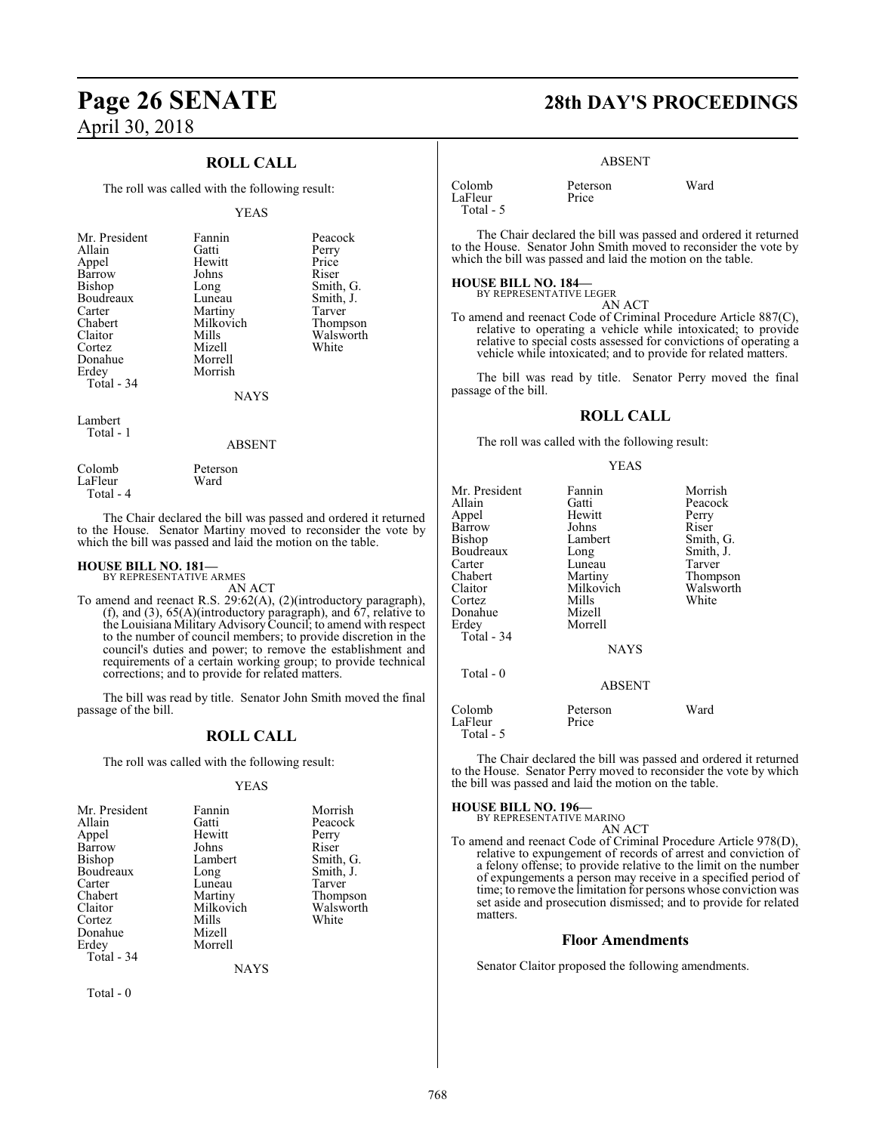#### **ROLL CALL**

The roll was called with the following result:

#### YEAS

| Mr. President | Fannin    | Peacock   |
|---------------|-----------|-----------|
| Allain        | Gatti     | Perry     |
| Appel         | Hewitt    | Price     |
| Barrow        | Johns     | Riser     |
| <b>Bishop</b> | Long      | Smith, G. |
| Boudreaux     | Luneau    | Smith, J. |
| Carter        | Martiny   | Tarver    |
| Chabert       | Milkovich | Thompson  |
| Claitor       | Mills     | Walsworth |
| Cortez        | Mizell    | White     |
| Donahue       | Morrell   |           |
| Erdey         | Morrish   |           |
| Total - 34    |           |           |
|               | NAYS      |           |

Lambert Total - 1

#### ABSENT

Colomb Peterson<br>LaFleur Ward LaFleur Total - 4

The Chair declared the bill was passed and ordered it returned to the House. Senator Martiny moved to reconsider the vote by which the bill was passed and laid the motion on the table.

# **HOUSE BILL NO. 181—** BY REPRESENTATIVE ARMES

AN ACT To amend and reenact R.S. 29:62(A), (2)(introductory paragraph), (f), and (3), 65(A)(introductory paragraph), and 67, relative to the Louisiana Military AdvisoryCouncil; to amend with respect to the number of council members; to provide discretion in the council's duties and power; to remove the establishment and requirements of a certain working group; to provide technical corrections; and to provide for related matters.

The bill was read by title. Senator John Smith moved the final passage of the bill.

#### **ROLL CALL**

The roll was called with the following result:

#### YEAS

| Mr. President | Fannin    | Morrish   |
|---------------|-----------|-----------|
| Allain        | Gatti     | Peacock   |
| Appel         | Hewitt    | Perry     |
| Barrow        | Johns     | Riser     |
| Bishop        | Lambert   | Smith, G. |
| Boudreaux     | Long      | Smith, J. |
| Carter        | Luneau    | Tarver    |
| Chabert       | Martiny   | Thompson  |
| Claitor       | Milkovich | Walsworth |
| Cortez        | Mills     | White     |
| Donahue       | Mizell    |           |
| Erdey         | Morrell   |           |
| Total - 34    |           |           |
|               | NAYS      |           |

Total - 0

# **Page 26 SENATE 28th DAY'S PROCEEDINGS**

#### ABSENT

| Colomb    | Peterson | Ward |
|-----------|----------|------|
| LaFleur   | Price    |      |
| Total - 5 |          |      |

The Chair declared the bill was passed and ordered it returned to the House. Senator John Smith moved to reconsider the vote by which the bill was passed and laid the motion on the table.

#### **HOUSE BILL NO. 184—**

BY REPRESENTATIVE LEGER

AN ACT To amend and reenact Code of Criminal Procedure Article 887(C), relative to operating a vehicle while intoxicated; to provide relative to special costs assessed for convictions of operating a vehicle while intoxicated; and to provide for related matters.

The bill was read by title. Senator Perry moved the final passage of the bill.

#### **ROLL CALL**

The roll was called with the following result:

#### YEAS

| Mr. President<br>Allain<br>Appel | Fannin<br>Gatti<br>Hewitt      | Morrish<br>Peacock<br>Perry     |
|----------------------------------|--------------------------------|---------------------------------|
| Barrow<br>Bishop<br>Boudreaux    | Johns<br>Lambert<br>Long       | Riser<br>Smith, G.<br>Smith, J. |
| Carter<br>Chabert<br>Claitor     | Luneau<br>Martiny<br>Milkovich | Tarver<br>Thompson<br>Walsworth |
| Cortez<br>Donahue<br>Erdev       | Mills<br>Mizell<br>Morrell     | White                           |
| Total - 34                       | <b>NAYS</b>                    |                                 |
| Total - 0                        | <b>ABSENT</b>                  |                                 |
| Colomb<br>LaFleur<br>Total - 5   | Peterson<br>Price              | Ward                            |

The Chair declared the bill was passed and ordered it returned to the House. Senator Perry moved to reconsider the vote by which the bill was passed and laid the motion on the table.

## **HOUSE BILL NO. 196—** BY REPRESENTATIVE MARINO

AN ACT To amend and reenact Code of Criminal Procedure Article 978(D), relative to expungement of records of arrest and conviction of a felony offense; to provide relative to the limit on the number of expungements a person may receive in a specified period of

time; to remove the limitation for persons whose conviction was set aside and prosecution dismissed; and to provide for related matters.

#### **Floor Amendments**

Senator Claitor proposed the following amendments.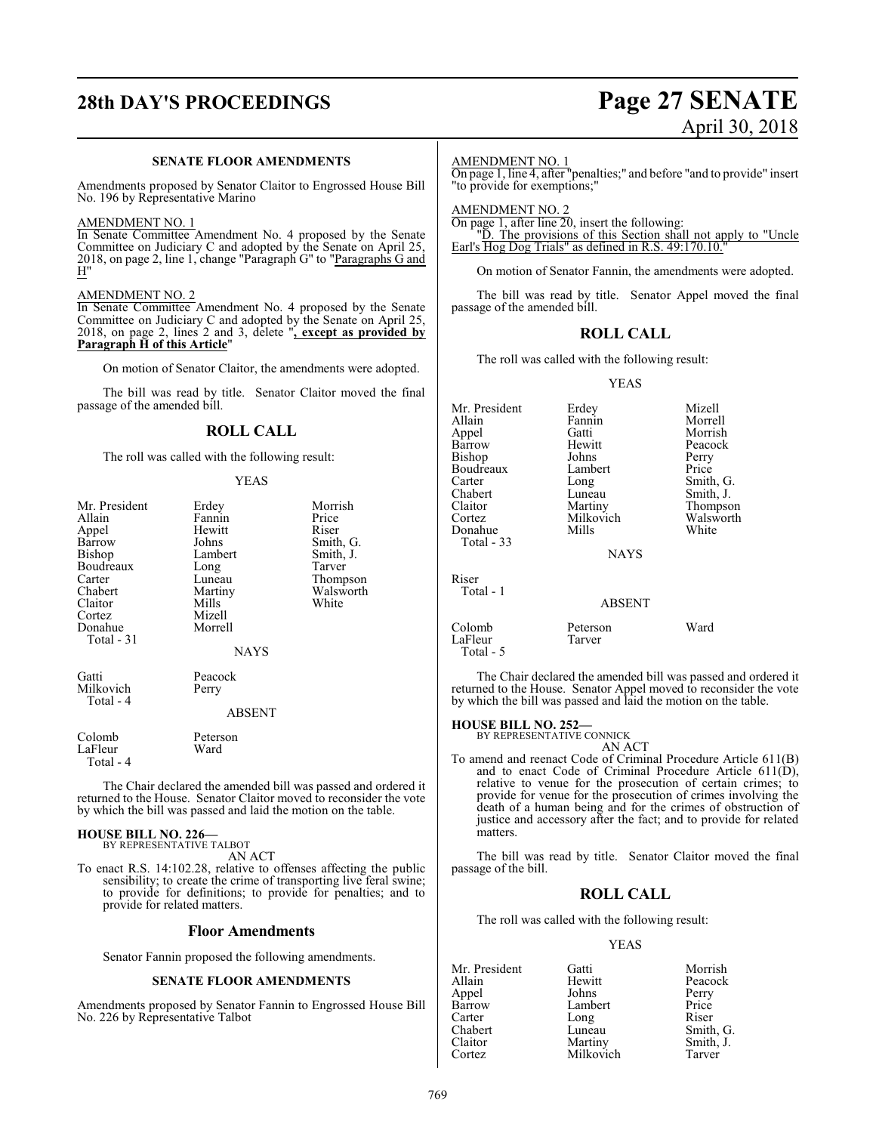# **28th DAY'S PROCEEDINGS Page 27 SENATE** April 30, 2018

#### **SENATE FLOOR AMENDMENTS**

Amendments proposed by Senator Claitor to Engrossed House Bill No. 196 by Representative Marino

#### AMENDMENT NO. 1

In Senate Committee Amendment No. 4 proposed by the Senate Committee on Judiciary C and adopted by the Senate on April 25, 2018, on page 2, line 1, change "Paragraph G" to "Paragraphs G and H"

#### AMENDMENT NO. 2

In Senate Committee Amendment No. 4 proposed by the Senate Committee on Judiciary C and adopted by the Senate on April 25, 2018, on page 2, lines 2 and 3, delete "**, except as provided by Paragraph H of this Article**"

On motion of Senator Claitor, the amendments were adopted.

The bill was read by title. Senator Claitor moved the final passage of the amended bill.

#### **ROLL CALL**

The roll was called with the following result:

#### YEAS

| Mr. President<br>Allain<br>Appel<br>Barrow<br>Bishop<br>Boudreaux<br>Carter<br>Chabert<br>Claitor<br>Cortez<br>Donahue<br>Total - 31 | Erdey<br>Fannin<br>Hewitt<br>Johns<br>Lambert<br>Long<br>Luneau<br>Martiny<br>Mills<br>Mizell<br>Morrell<br><b>NAYS</b> | Morrish<br>Price<br>Riser<br>Smith, G.<br>Smith, J.<br>Tarver<br>Thompson<br>Walsworth<br>White |
|--------------------------------------------------------------------------------------------------------------------------------------|-------------------------------------------------------------------------------------------------------------------------|-------------------------------------------------------------------------------------------------|
| Gatti<br>Milkovich<br>Total - 4                                                                                                      | Peacock<br>Perry<br><b>ABSENT</b>                                                                                       |                                                                                                 |
| Colomb                                                                                                                               | Peterson                                                                                                                |                                                                                                 |

LaFleur Ward Total - 4

The Chair declared the amended bill was passed and ordered it returned to the House. Senator Claitor moved to reconsider the vote by which the bill was passed and laid the motion on the table.

#### **HOUSE BILL NO. 226—**

BY REPRESENTATIVE TALBOT AN ACT

To enact R.S. 14:102.28, relative to offenses affecting the public sensibility; to create the crime of transporting live feral swine; to provide for definitions; to provide for penalties; and to provide for related matters.

#### **Floor Amendments**

Senator Fannin proposed the following amendments.

#### **SENATE FLOOR AMENDMENTS**

Amendments proposed by Senator Fannin to Engrossed House Bill No. 226 by Representative Talbot

#### AMENDMENT NO. 1

On page 1, line 4, after "penalties;" and before "and to provide" insert "to provide for exemptions;"

AMENDMENT NO. 2 On page 1, after line 20, insert the following:

"D. The provisions of this Section shall not apply to "Uncle Earl's Hog Dog Trials" as defined in R.S. 49:170.10."

On motion of Senator Fannin, the amendments were adopted.

The bill was read by title. Senator Appel moved the final passage of the amended bill.

#### **ROLL CALL**

The roll was called with the following result:

#### YEAS

| Mr. President<br>Allain<br>Appel<br>Barrow<br>Bishop<br>Boudreaux<br>Carter<br>Chabert<br>Claitor<br>Cortez<br>Donahue<br><b>Total - 33</b> | Erdey<br>Fannin<br>Gatti<br>Hewitt<br>Johns<br>Lambert<br>Long<br>Luneau<br>Martiny<br>Milkovich<br>Mills<br><b>NAYS</b> | Mizell<br>Morrell<br>Morrish<br>Peacock<br>Perry<br>Price<br>Smith, G.<br>Smith, J.<br>Thompson<br>Walsworth<br>White |
|---------------------------------------------------------------------------------------------------------------------------------------------|--------------------------------------------------------------------------------------------------------------------------|-----------------------------------------------------------------------------------------------------------------------|
| Riser<br>Total - 1                                                                                                                          | <b>ABSENT</b>                                                                                                            |                                                                                                                       |
| Colomb                                                                                                                                      | Peterson                                                                                                                 | Ward                                                                                                                  |

The Chair declared the amended bill was passed and ordered it returned to the House. Senator Appel moved to reconsider the vote by which the bill was passed and laid the motion on the table.

#### **HOUSE BILL NO. 252—**

LaFleur Tarver

Total - 5

BY REPRESENTATIVE CONNICK AN ACT

To amend and reenact Code of Criminal Procedure Article 611(B) and to enact Code of Criminal Procedure Article  $611(D)$ , relative to venue for the prosecution of certain crimes; to provide for venue for the prosecution of crimes involving the death of a human being and for the crimes of obstruction of justice and accessory after the fact; and to provide for related matters.

The bill was read by title. Senator Claitor moved the final passage of the bill.

#### **ROLL CALL**

The roll was called with the following result:

#### YEAS

| Mr. President | Gatti     | Morrish   |
|---------------|-----------|-----------|
| Allain        | Hewitt    | Peacock   |
| Appel         | Johns     | Perry     |
| Barrow        | Lambert   | Price     |
| Carter        | Long      | Riser     |
| Chabert       | Luneau    | Smith, G. |
| Claitor       | Martiny   | Smith, J. |
| Cortez        | Milkovich | Tarver    |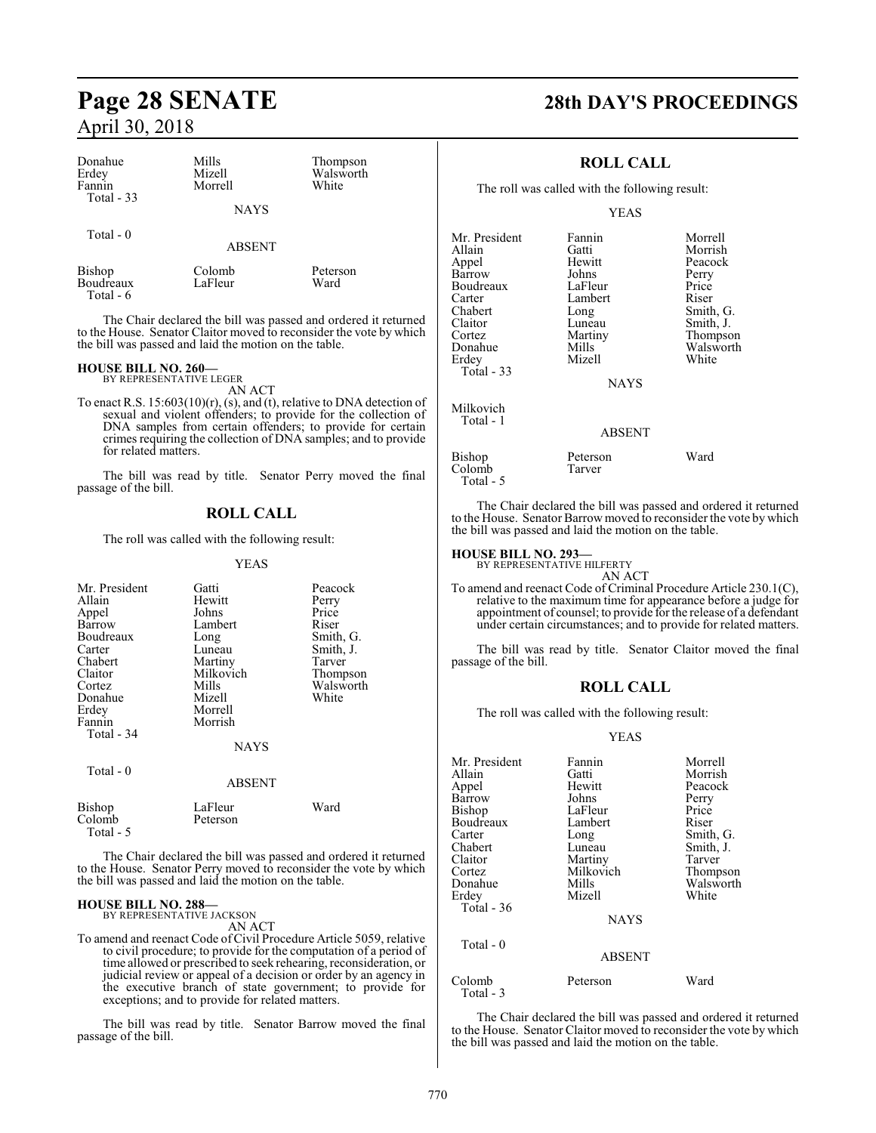| Donahue<br>Erdey<br>Fannin<br>Total - 33 | Mills<br>Mizell<br>Morrell | Thompson<br>Walsworth<br>White |
|------------------------------------------|----------------------------|--------------------------------|
|                                          | <b>NAYS</b>                |                                |
| Total $-0$                               | <b>ABSENT</b>              |                                |
| <b>Bishop</b><br>Boudreaux               | Colomb<br>LaFleur          | Peterson<br>Ward               |

The Chair declared the bill was passed and ordered it returned to the House. Senator Claitor moved to reconsider the vote by which the bill was passed and laid the motion on the table.

## **HOUSE BILL NO. 260—** BY REPRESENTATIVE LEGER

Total - 6

AN ACT

To enact R.S. 15:603(10)(r), (s), and (t), relative to DNA detection of sexual and violent offenders; to provide for the collection of DNA samples from certain offenders; to provide for certain crimes requiring the collection of DNA samples; and to provide for related matters.

The bill was read by title. Senator Perry moved the final passage of the bill.

#### **ROLL CALL**

The roll was called with the following result:

YEAS

| Mr. President | Gatti         | Peacock   |
|---------------|---------------|-----------|
| Allain        | Hewitt        | Perry     |
| Appel         | Johns         | Price     |
| Barrow        | Lambert       | Riser     |
| Boudreaux     | Long          | Smith, G. |
| Carter        | Luneau        | Smith, J. |
| Chabert       | Martiny       | Tarver    |
| Claitor       | Milkovich     | Thompson  |
| Cortez        | Mills         | Walsworth |
| Donahue       | Mizell        | White     |
| Erdey         | Morrell       |           |
| Fannin        | Morrish       |           |
| Total - 34    |               |           |
|               | <b>NAYS</b>   |           |
| Total - 0     |               |           |
|               | <b>ABSENT</b> |           |
| Bishop        | LaFleur       | Ward      |
| Colomb        | Peterson      |           |
| Total - 5     |               |           |

The Chair declared the bill was passed and ordered it returned to the House. Senator Perry moved to reconsider the vote by which the bill was passed and laid the motion on the table.

#### **HOUSE BILL NO. 288—** BY REPRESENTATIVE JACKSON

AN ACT

To amend and reenact Code ofCivil Procedure Article 5059, relative to civil procedure; to provide for the computation of a period of time allowed or prescribed to seek rehearing, reconsideration, or judicial review or appeal of a decision or order by an agency in the executive branch of state government; to provide for exceptions; and to provide for related matters.

The bill was read by title. Senator Barrow moved the final passage of the bill.

# **Page 28 SENATE 28th DAY'S PROCEEDINGS**

#### **ROLL CALL**

The roll was called with the following result:

YEAS

| Mr. President<br>Allain<br>Appel<br>Barrow<br>Boudreaux<br>Carter<br>Chabert<br>Claitor<br>Cortez<br>Donahue<br>Erdey<br>Total - 33 | Fannin<br>Gatti<br>Hewitt<br>Johns<br>LaFleur<br>Lambert<br>Long<br>Luneau<br>Martiny<br>Mills<br>Mizell | Morrell<br>Morrish<br>Peacock<br>Perry<br>Price<br>Riser<br>Smith, G.<br>Smith, J.<br>Thompson<br>Walsworth<br>White |
|-------------------------------------------------------------------------------------------------------------------------------------|----------------------------------------------------------------------------------------------------------|----------------------------------------------------------------------------------------------------------------------|
|                                                                                                                                     | <b>NAYS</b>                                                                                              |                                                                                                                      |
| Milkovich<br>Total - 1                                                                                                              | <b>ABSENT</b>                                                                                            |                                                                                                                      |
| Bishop<br>Colomb<br>Total - 5                                                                                                       | Peterson<br>Tarver                                                                                       | Ward                                                                                                                 |

The Chair declared the bill was passed and ordered it returned to the House. Senator Barrow moved to reconsider the vote by which the bill was passed and laid the motion on the table.

#### **HOUSE BILL NO. 293—** BY REPRESENTATIVE HILFERTY

AN ACT To amend and reenact Code of Criminal Procedure Article 230.1(C), relative to the maximum time for appearance before a judge for appointment of counsel; to provide for the release of a defendant under certain circumstances; and to provide for related matters.

The bill was read by title. Senator Claitor moved the final passage of the bill.

#### **ROLL CALL**

The roll was called with the following result:

#### YEAS

| Mr. President       | Fannin        | Morrell   |
|---------------------|---------------|-----------|
| Allain              | Gatti         | Morrish   |
| Appel               | Hewitt        | Peacock   |
| Barrow              | Johns         | Perry     |
| Bishop              | LaFleur       | Price     |
| Boudreaux           | Lambert       | Riser     |
| Carter              | Long          | Smith, G. |
| Chabert             | Luneau        | Smith, J. |
| Claitor             | Martiny       | Tarver    |
| Cortez              | Milkovich     | Thompson  |
| Donahue             | Mills         | Walsworth |
| Erdey               | Mizell        | White     |
| <b>Total - 36</b>   |               |           |
|                     | <b>NAYS</b>   |           |
| Total $-0$          |               |           |
|                     | <b>ABSENT</b> |           |
| Colomb<br>Total - 3 | Peterson      | Ward      |

The Chair declared the bill was passed and ordered it returned to the House. Senator Claitor moved to reconsider the vote by which the bill was passed and laid the motion on the table.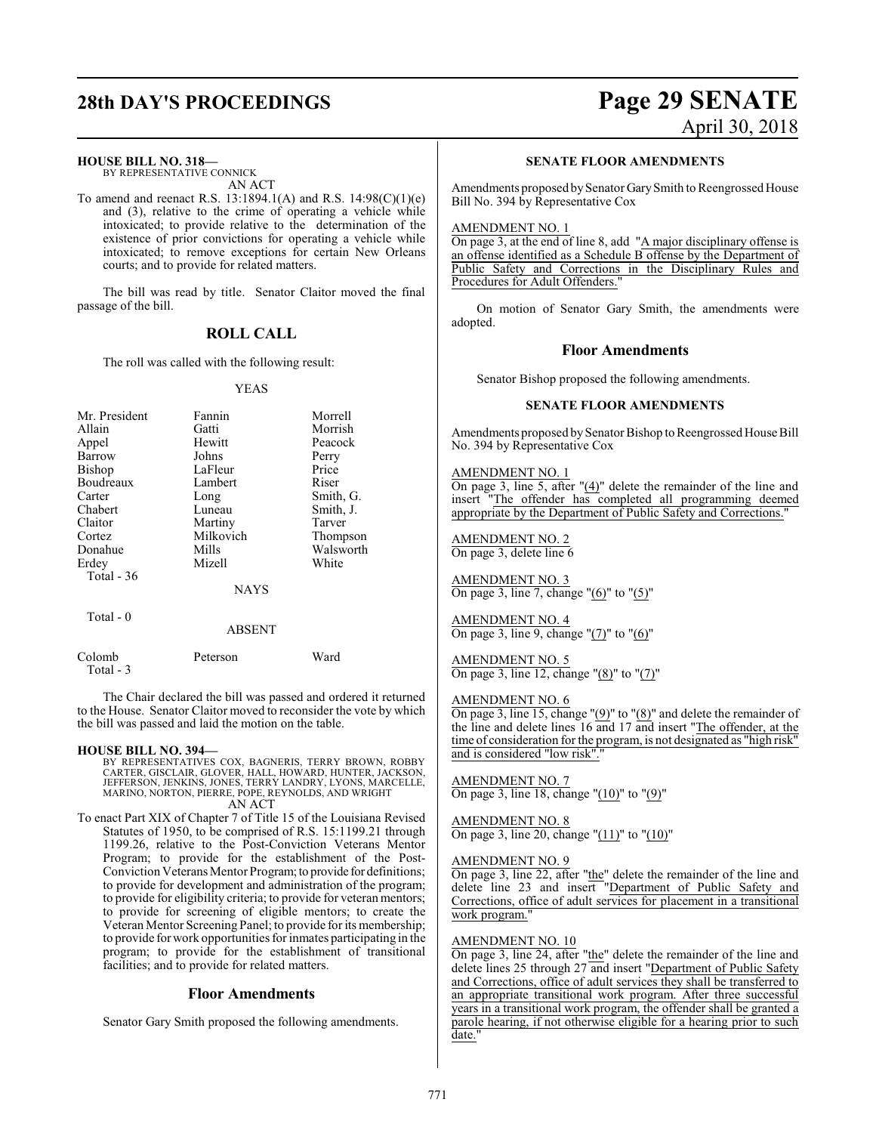#### **HOUSE BILL NO. 318—**

BY REPRESENTATIVE CONNICK AN ACT

To amend and reenact R.S. 13:1894.1(A) and R.S. 14:98(C)(1)(e) and (3), relative to the crime of operating a vehicle while intoxicated; to provide relative to the determination of the existence of prior convictions for operating a vehicle while intoxicated; to remove exceptions for certain New Orleans courts; and to provide for related matters.

The bill was read by title. Senator Claitor moved the final passage of the bill.

#### **ROLL CALL**

The roll was called with the following result:

#### YEAS

|               | Fannin        | Morrell   |
|---------------|---------------|-----------|
| Mr. President |               |           |
| Allain        | Gatti         | Morrish   |
| Appel         | Hewitt        | Peacock   |
| Barrow        | Johns         | Perry     |
| Bishop        | LaFleur       | Price     |
| Boudreaux     | Lambert       | Riser     |
| Carter        | Long          | Smith, G. |
| Chabert       | Luneau        | Smith, J. |
| Claitor       | Martiny       | Tarver    |
| Cortez        | Milkovich     | Thompson  |
| Donahue       | Mills         | Walsworth |
| Erdey         | Mizell        | White     |
| Total $-36$   |               |           |
|               | <b>NAYS</b>   |           |
| Total $-0$    |               |           |
|               | <b>ABSENT</b> |           |

Colomb Peterson Ward

The Chair declared the bill was passed and ordered it returned to the House. Senator Claitor moved to reconsider the vote by which the bill was passed and laid the motion on the table.

#### **HOUSE BILL NO. 394—**

Total - 3

BY REPRESENTATIVES COX, BAGNERIS, TERRY BROWN, ROBBY<br>CARTER, GISCLAIR, GLOVER, HALL, HOWARD, HUNTER, JACKSON,<br>JEFFERSON, JENKINS, JONES, TERRY LANDRY, LYONS, MARCELLE,<br>MARINO, NORTON, PIERRE, POPE, REYNOLDS, AND WRIGHT AN ACT

To enact Part XIX of Chapter 7 of Title 15 of the Louisiana Revised Statutes of 1950, to be comprised of R.S. 15:1199.21 through 1199.26, relative to the Post-Conviction Veterans Mentor Program; to provide for the establishment of the Post-Conviction Veterans Mentor Program; to provide for definitions; to provide for development and administration of the program; to provide for eligibility criteria; to provide for veteran mentors; to provide for screening of eligible mentors; to create the Veteran Mentor Screening Panel; to provide for its membership; to provide forwork opportunities for inmates participating in the program; to provide for the establishment of transitional facilities; and to provide for related matters.

#### **Floor Amendments**

Senator Gary Smith proposed the following amendments.

# **28th DAY'S PROCEEDINGS Page 29 SENATE** April 30, 2018

#### **SENATE FLOOR AMENDMENTS**

Amendments proposed by Senator Gary Smith to Reengrossed House Bill No. 394 by Representative Cox

#### AMENDMENT NO. 1

On page 3, at the end of line 8, add "A major disciplinary offense is an offense identified as a Schedule B offense by the Department of Public Safety and Corrections in the Disciplinary Rules and Procedures for Adult Offenders."

On motion of Senator Gary Smith, the amendments were adopted.

#### **Floor Amendments**

Senator Bishop proposed the following amendments.

#### **SENATE FLOOR AMENDMENTS**

Amendments proposed by Senator Bishop to Reengrossed House Bill No. 394 by Representative Cox

#### AMENDMENT NO. 1

On page 3, line 5, after "(4)" delete the remainder of the line and insert "The offender has completed all programming deemed appropriate by the Department of Public Safety and Corrections."

#### AMENDMENT NO. 2 On page 3, delete line 6

AMENDMENT NO. 3

On page 3, line 7, change " $(6)$ " to " $(5)$ "

AMENDMENT NO. 4 On page 3, line 9, change "(7)" to "(6)"

AMENDMENT NO. 5 On page 3, line 12, change " $(8)$ " to " $(7)$ "

#### AMENDMENT NO. 6

On page 3, line 15, change "(9)" to "(8)" and delete the remainder of the line and delete lines 16 and 17 and insert "The offender, at the time of consideration for the program, is not designated as "high risk" and is considered "low risk".

AMENDMENT NO. 7 On page 3, line 18, change "(10)" to "(9)"

AMENDMENT NO. 8 On page 3, line 20, change "(11)" to "(10)"

#### AMENDMENT NO. 9

On page 3, line 22, after "the" delete the remainder of the line and delete line 23 and insert "Department of Public Safety and Corrections, office of adult services for placement in a transitional work program."

#### AMENDMENT NO. 10

On page 3, line 24, after "the" delete the remainder of the line and delete lines 25 through 27 and insert "Department of Public Safety and Corrections, office of adult services they shall be transferred to an appropriate transitional work program. After three successful years in a transitional work program, the offender shall be granted a parole hearing, if not otherwise eligible for a hearing prior to such date.'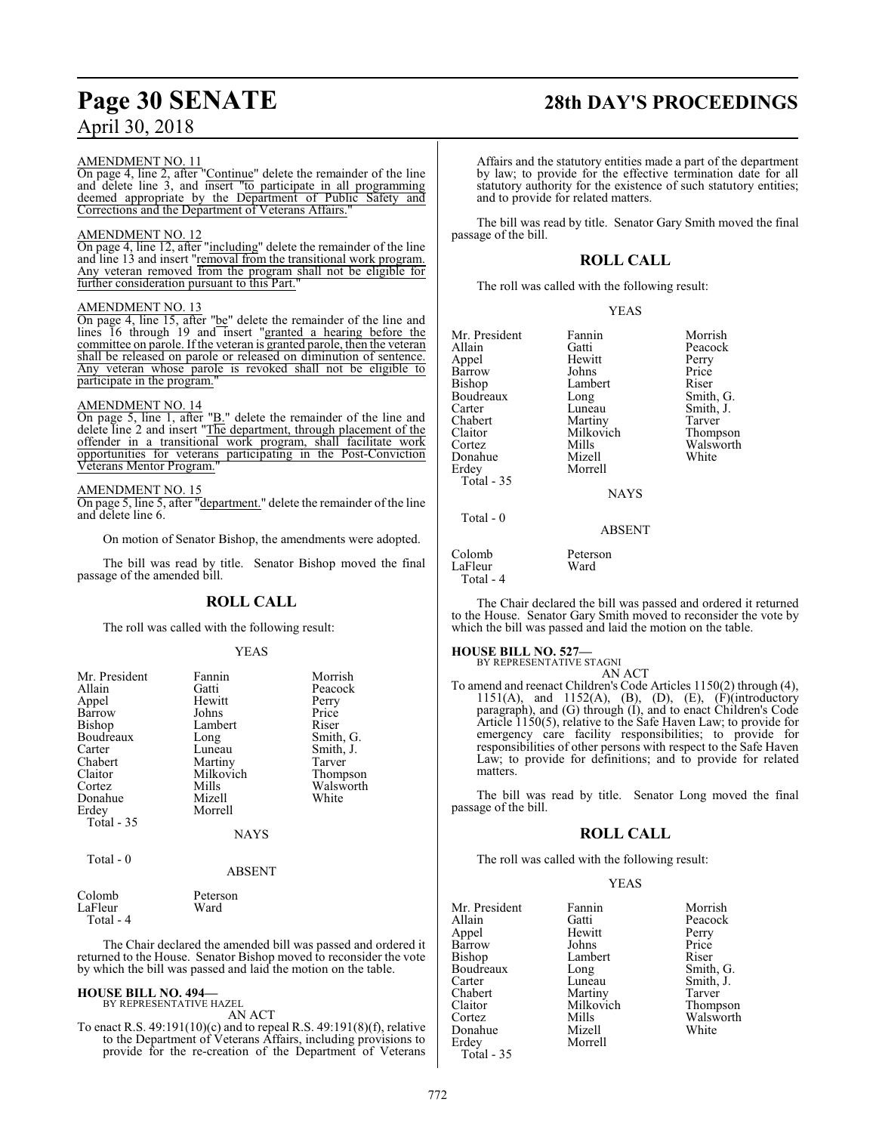#### AMENDMENT NO. 11

On page 4, line 2, after "Continue" delete the remainder of the line and delete line 3, and insert "to participate in all programming deemed appropriate by the Department of Public Safety and Corrections and the Department of Veterans Affairs."

#### AMENDMENT NO. 12

On page 4, line 12, after "including" delete the remainder of the line and line 13 and insert "removal from the transitional work program. Any veteran removed from the program shall not be eligible for further consideration pursuant to this Part."

#### AMENDMENT NO. 13

On page 4, line 15, after "be" delete the remainder of the line and lines 16 through 19 and insert "granted a hearing before the committee on parole. If the veteran is granted parole, then the veteran shall be released on parole or released on diminution of sentence.<br>Any veteran whose parole is revoked shall not be eligible to Any veteran whose parole is revoked participate in the program."

#### AMENDMENT NO. 14

On page 5, line 1, after "B." delete the remainder of the line and delete line 2 and insert "The department, through placement of the offender in a transitional work program, shall facilitate work opportunities for veterans participating in the Post-Conviction Veterans Mentor Program."

#### AMENDMENT NO. 15

On page 5, line 5, after "department." delete the remainder of the line and delete line 6.

On motion of Senator Bishop, the amendments were adopted.

The bill was read by title. Senator Bishop moved the final passage of the amended bill.

#### **ROLL CALL**

The roll was called with the following result:

#### YEAS

| Mr. President<br>Allain<br>Appel<br>Barrow<br><b>Bishop</b><br>Boudreaux<br>Carter<br>Chabert<br>Claitor<br>Cortez<br>Donahue<br>Erdey<br><b>Total - 35</b> | Fannin<br>Gatti<br>Hewitt<br>Johns<br>Lambert<br>Long<br>Luneau<br>Martiny<br>Milkovich<br>Mills<br>Mizell<br>Morrell<br><b>NAYS</b> | Morrish<br>Peacock<br>Perry<br>Price<br>Riser<br>Smith, G.<br>Smith, J.<br>Tarver<br>Thompson<br>Walsworth<br>White |
|-------------------------------------------------------------------------------------------------------------------------------------------------------------|--------------------------------------------------------------------------------------------------------------------------------------|---------------------------------------------------------------------------------------------------------------------|
| Total $-0$                                                                                                                                                  | <b>ABSENT</b>                                                                                                                        |                                                                                                                     |

| Colomb    | Peterson |
|-----------|----------|
| LaFleur   | Ward     |
| Total - 4 |          |

The Chair declared the amended bill was passed and ordered it returned to the House. Senator Bishop moved to reconsider the vote by which the bill was passed and laid the motion on the table.

#### **HOUSE BILL NO. 494—**

BY REPRESENTATIVE HAZEL AN ACT

To enact R.S. 49:191(10)(c) and to repeal R.S. 49:191(8)(f), relative to the Department of Veterans Affairs, including provisions to provide for the re-creation of the Department of Veterans

# **Page 30 SENATE 28th DAY'S PROCEEDINGS**

Affairs and the statutory entities made a part of the department by law; to provide for the effective termination date for all statutory authority for the existence of such statutory entities; and to provide for related matters.

The bill was read by title. Senator Gary Smith moved the final passage of the bill.

#### **ROLL CALL**

The roll was called with the following result:

|               | <b>YEAS</b> |           |
|---------------|-------------|-----------|
| Mr. President | Fannin      | Morrish   |
| Allain        | Gatti       | Peacock   |
| Appel         | Hewitt      | Perry     |
| Barrow        | Johns       | Price     |
| Bishop        | Lambert     | Riser     |
| Boudreaux     | Long        | Smith, G. |
| Carter        | Luneau      | Smith, J. |
| Chabert       | Martiny     | Tarver    |
| Claitor       | Milkovich   | Thompson  |
| Cortez        | Mills       | Walsworth |

Morrell

Peacock<br>Perry Smith, J.<br>Tarver Mills Walsworth<br>
Mizell White

NAYS

ABSENT

Colomb Peterson<br>LaFleur Ward LaFleur Total - 4

Donahue<br>Erdev

Total - 35

Total - 0

The Chair declared the bill was passed and ordered it returned to the House. Senator Gary Smith moved to reconsider the vote by which the bill was passed and laid the motion on the table.

#### **HOUSE BILL NO. 527—**

BY REPRESENTATIVE STAGNI AN ACT

To amend and reenact Children's Code Articles 1150(2) through (4), 1151(A), and 1152(A), (B), (D), (E),  $(F)(introductory)$ paragraph), and (G) through (I), and to enact Children's Code Article 1150(5), relative to the Safe Haven Law; to provide for emergency care facility responsibilities; to provide for responsibilities of other persons with respect to the Safe Haven Law; to provide for definitions; and to provide for related matters.

The bill was read by title. Senator Long moved the final passage of the bill.

#### **ROLL CALL**

The roll was called with the following result:

#### YEAS

| Fannin    | Morrish   |
|-----------|-----------|
| Gatti     | Peacock   |
| Hewitt    | Perry     |
| Johns     | Price     |
| Lambert   | Riser     |
|           | Smith, G. |
| Luneau    | Smith, J. |
| Martiny   | Tarver    |
| Milkovich | Thompson  |
| Mills     | Walsworth |
| Mizell    | White     |
| Morrell   |           |
|           |           |
|           | Long      |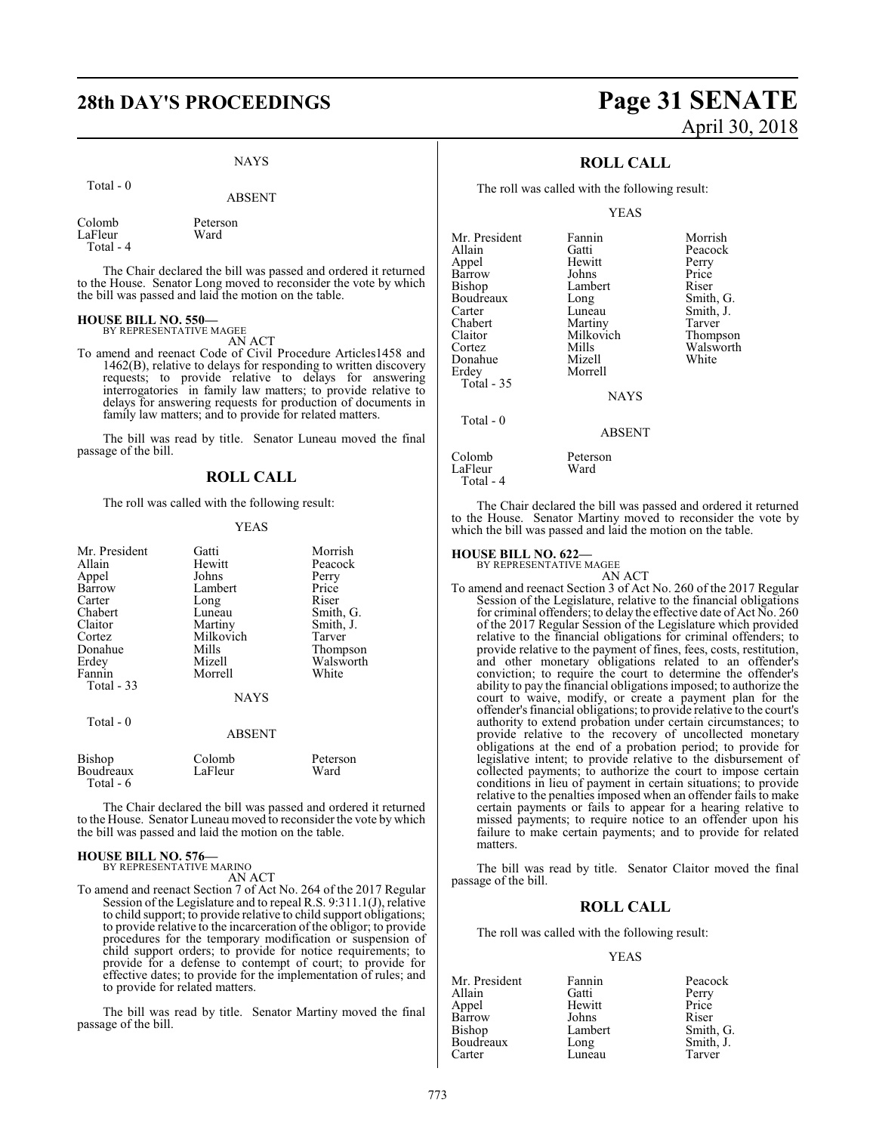# **28th DAY'S PROCEEDINGS Page 31 SENATE**

#### NAYS

Total - 0

#### ABSENT

Colomb Peterson LaFleur Total - 4

The Chair declared the bill was passed and ordered it returned to the House. Senator Long moved to reconsider the vote by which the bill was passed and laid the motion on the table.

## **HOUSE BILL NO. 550—** BY REPRESENTATIVE MAGEE

AN ACT

To amend and reenact Code of Civil Procedure Articles1458 and 1462(B), relative to delays for responding to written discovery requests; to provide relative to delays for answering interrogatories in family law matters; to provide relative to delays for answering requests for production of documents in family law matters; and to provide for related matters.

The bill was read by title. Senator Luneau moved the final passage of the bill.

#### **ROLL CALL**

The roll was called with the following result:

#### YEAS

| Mr. President | Gatti         | Morrish   |
|---------------|---------------|-----------|
| Allain        | Hewitt        | Peacock   |
|               |               |           |
| Appel         | Johns         | Perry     |
| Barrow        | Lambert       | Price     |
| Carter        | Long          | Riser     |
| Chabert       | Luneau        | Smith, G. |
| Claitor       | Martiny       | Smith, J. |
| Cortez        | Milkovich     | Tarver    |
| Donahue       | Mills         | Thompson  |
| Erdey         | Mizell        | Walsworth |
| Fannin        | Morrell       | White     |
| Total - 33    |               |           |
|               | <b>NAYS</b>   |           |
|               |               |           |
| Total $-0$    |               |           |
|               |               |           |
|               | <b>ABSENT</b> |           |
| Bishop        | Colomb        | Peterson  |
|               |               |           |
| Boudreaux     | LaFleur       | Ward      |
| Total - 6     |               |           |

The Chair declared the bill was passed and ordered it returned to the House. Senator Luneau moved to reconsider the vote by which the bill was passed and laid the motion on the table.

## **HOUSE BILL NO. 576—** BY REPRESENTATIVE MARINO

AN ACT

To amend and reenact Section 7 of Act No. 264 of the 2017 Regular Session of the Legislature and to repeal R.S. 9:311.1(J), relative to child support; to provide relative to child support obligations; to provide relative to the incarceration of the obligor; to provide procedures for the temporary modification or suspension of child support orders; to provide for notice requirements; to provide for a defense to contempt of court; to provide for effective dates; to provide for the implementation of rules; and to provide for related matters.

The bill was read by title. Senator Martiny moved the final passage of the bill.

# April 30, 2018

### **ROLL CALL**

The roll was called with the following result:

#### YEAS

| Mr. President | Fannin        | Morrish   |
|---------------|---------------|-----------|
| Allain        | Gatti         | Peacock   |
| Appel         | Hewitt        | Perry     |
| Barrow        | Johns         | Price     |
| Bishop        | Lambert       | Riser     |
| Boudreaux     | Long          | Smith, G. |
| Carter        | Luneau        | Smith, J. |
| Chabert       | Martiny       | Tarver    |
| Claitor       | Milkovich     | Thompson  |
| Cortez        | Mills         | Walsworth |
| Donahue       | Mizell        | White     |
| Erdey         | Morrell       |           |
| Total - 35    |               |           |
|               | <b>NAYS</b>   |           |
| Total - 0     |               |           |
|               | <b>ABSENT</b> |           |
| Colomb        | Peterson      |           |
| LaFleur       | Ward          |           |

Total - 4

The Chair declared the bill was passed and ordered it returned to the House. Senator Martiny moved to reconsider the vote by which the bill was passed and laid the motion on the table.

## **HOUSE BILL NO. 622—** BY REPRESENTATIVE MAGEE

AN ACT To amend and reenact Section 3 of Act No. 260 of the 2017 Regular Session of the Legislature, relative to the financial obligations for criminal offenders; to delay the effective date of Act No. 260 of the 2017 Regular Session of the Legislature which provided relative to the financial obligations for criminal offenders; to provide relative to the payment of fines, fees, costs, restitution, and other monetary obligations related to an offender's conviction; to require the court to determine the offender's ability to pay the financial obligations imposed; to authorize the court to waive, modify, or create a payment plan for the offender's financial obligations; to provide relative to the court's authority to extend probation under certain circumstances; to provide relative to the recovery of uncollected monetary obligations at the end of a probation period; to provide for legislative intent; to provide relative to the disbursement of collected payments; to authorize the court to impose certain conditions in lieu of payment in certain situations; to provide relative to the penalties imposed when an offender fails to make certain payments or fails to appear for a hearing relative to missed payments; to require notice to an offender upon his failure to make certain payments; and to provide for related matters.

The bill was read by title. Senator Claitor moved the final passage of the bill.

#### **ROLL CALL**

The roll was called with the following result:

#### YEAS

| Mr. President | Fannin  | Peacock   |
|---------------|---------|-----------|
| Allain        | Gatti   | Perry     |
| Appel         | Hewitt  | Price     |
| Barrow        | Johns   | Riser     |
| <b>Bishop</b> | Lambert | Smith, G. |
| Boudreaux     | Long    | Smith, J. |
| Carter        | Luneau  | Tarver    |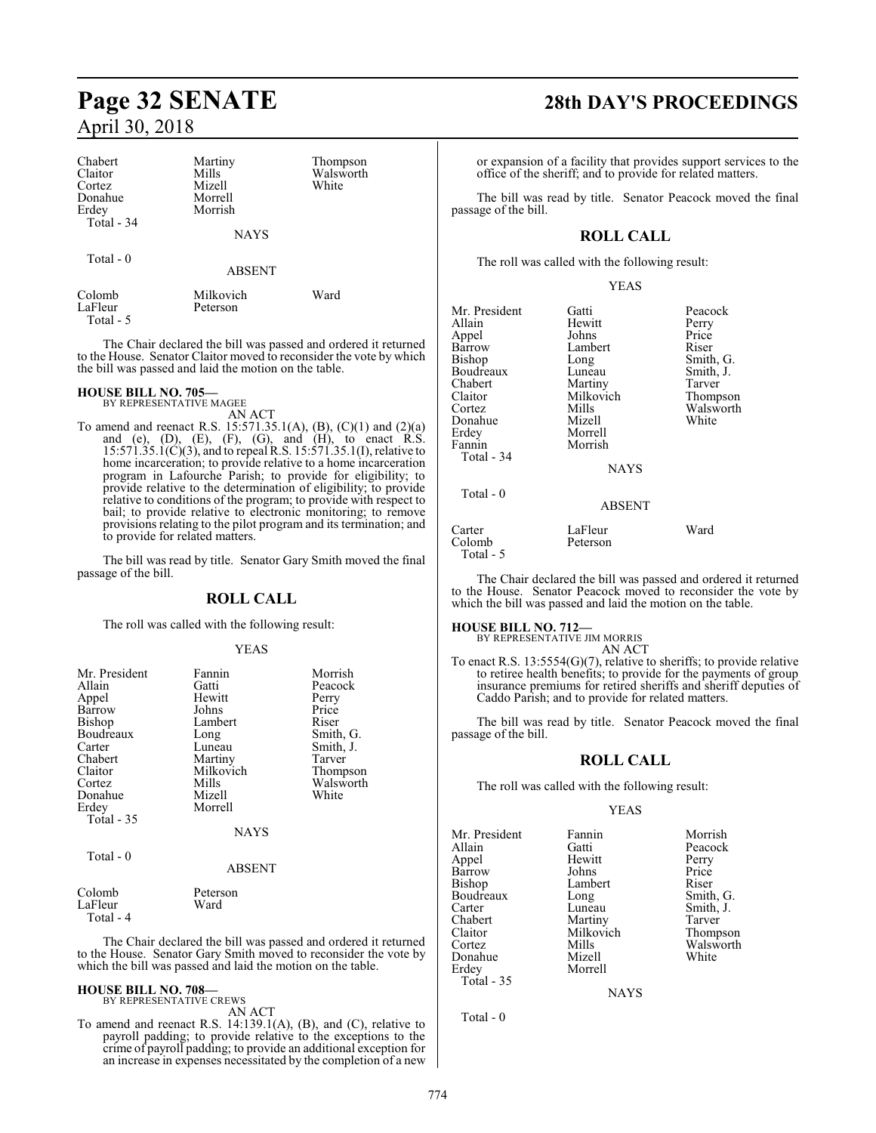| Chabert<br>Claitor<br>Cortez<br>Donahue<br>Erdey<br>Total - 34 | Martiny<br>Mills<br>Mizell<br>Morrell<br>Morrish<br><b>NAYS</b> | Thompson<br>Walsworth<br>White |
|----------------------------------------------------------------|-----------------------------------------------------------------|--------------------------------|
| Total $-0$                                                     | <b>ABSENT</b>                                                   |                                |
| Colomb<br>LaFleur<br>Total - 5                                 | Milkovich<br>Peterson                                           | Ward                           |

The Chair declared the bill was passed and ordered it returned to the House. Senator Claitor moved to reconsider the vote by which the bill was passed and laid the motion on the table.

#### **HOUSE BILL NO. 705—**

BY REPRESENTATIVE MAGEE AN ACT

To amend and reenact R.S. 15:571.35.1(A), (B), (C)(1) and (2)(a) and (e),  $(D)$ ,  $(E)$ ,  $(F)$ ,  $(G)$ , and  $(H)$ , to enact R.S. 15:571.35.1(C)(3), and to repeal R.S. 15:571.35.1(I), relative to home incarceration; to provide relative to a home incarceration program in Lafourche Parish; to provide for eligibility; to provide relative to the determination of eligibility; to provide relative to conditions of the program; to provide with respect to bail; to provide relative to electronic monitoring; to remove provisions relating to the pilot program and its termination; and to provide for related matters.

The bill was read by title. Senator Gary Smith moved the final passage of the bill.

#### **ROLL CALL**

The roll was called with the following result:

#### YEAS

| Mr. President<br>Allain<br>Appel<br>Barrow<br>Bishop<br>Boudreaux<br>Carter<br>Chabert<br>Claitor<br>Cortez<br>Donahue<br>Erdey<br>Total - 35 | Fannin<br>Gatti<br>Hewitt<br>Johns<br>Lambert<br>Long<br>Luneau<br>Martiny<br>Milkovich<br>Mills<br>Mizell<br>Morrell<br><b>NAYS</b> | Morrish<br>Peacock<br>Perry<br>Price<br>Riser<br>Smith, G.<br>Smith, J.<br>Tarver<br>Thompson<br>Walsworth<br>White |
|-----------------------------------------------------------------------------------------------------------------------------------------------|--------------------------------------------------------------------------------------------------------------------------------------|---------------------------------------------------------------------------------------------------------------------|
| Total $-0$                                                                                                                                    | <b>ABSENT</b>                                                                                                                        |                                                                                                                     |
| Colomb<br>LaFleur                                                                                                                             | Peterson<br>Ward                                                                                                                     |                                                                                                                     |

Total - 4

The Chair declared the bill was passed and ordered it returned to the House. Senator Gary Smith moved to reconsider the vote by which the bill was passed and laid the motion on the table.

## **HOUSE BILL NO. 708—** BY REPRESENTATIVE CREWS

AN ACT

To amend and reenact R.S. 14:139.1(A), (B), and (C), relative to payroll padding; to provide relative to the exceptions to the crime of payroll padding; to provide an additional exception for an increase in expenses necessitated by the completion of a new

## **Page 32 SENATE 28th DAY'S PROCEEDINGS**

or expansion of a facility that provides support services to the office of the sheriff; and to provide for related matters.

The bill was read by title. Senator Peacock moved the final passage of the bill.

### **ROLL CALL**

The roll was called with the following result:

|--|

| Mr. President<br>Allain<br>Appel<br>Barrow<br>Bishop<br>Boudreaux<br>Chabert<br>Claitor<br>Cortez<br>Donahue<br>Erdey<br>Fannin | Gatti<br>Hewitt<br>Johns<br>Lambert<br>Long<br>Luneau<br>Martiny<br>Milkovich<br>Mills<br>Mizell<br>Morrell<br>Morrish | Peacock<br>Perry<br>Price<br>Riser<br>Smith, G.<br>Smith, J.<br>Tarver<br>Thompson<br>Walsworth<br>White |
|---------------------------------------------------------------------------------------------------------------------------------|------------------------------------------------------------------------------------------------------------------------|----------------------------------------------------------------------------------------------------------|
| Total - 34                                                                                                                      | <b>NAYS</b>                                                                                                            |                                                                                                          |
| Total - 0                                                                                                                       | <b>ABSENT</b>                                                                                                          |                                                                                                          |
| Carter<br>Colomb<br>Total - 5                                                                                                   | LaFleur<br>Peterson                                                                                                    | Ward                                                                                                     |

The Chair declared the bill was passed and ordered it returned to the House. Senator Peacock moved to reconsider the vote by which the bill was passed and laid the motion on the table.

## **HOUSE BILL NO. 712—** BY REPRESENTATIVE JIM MORRIS

AN ACT

To enact R.S. 13:5554(G)(7), relative to sheriffs; to provide relative to retiree health benefits; to provide for the payments of group insurance premiums for retired sheriffs and sheriff deputies of Caddo Parish; and to provide for related matters.

The bill was read by title. Senator Peacock moved the final passage of the bill.

#### **ROLL CALL**

The roll was called with the following result:

#### YEAS

Mr. President Fannin Morrish<br>Allain Gatti Peacock Appel Hewitt Perry Barrow Johns Price<br>Bishop Lambert Riser Bishop Lambert Riser<br>Boudreaux Long Smith, G. Boudreaux<br>Carter Carter Luneau Smith, J.<br>
Chabert Martiny Tarver Chabert Martiny Tarver<br>
Claitor Milkovich Thompson Claitor Milkovich<br>Cortez Mills Donahue<br>Erdey Total - 35

Total - 0

Gatti Peacock<br>
Hewitt Perry Morrell

Mills Walsworth<br>
Mizell White

NAYS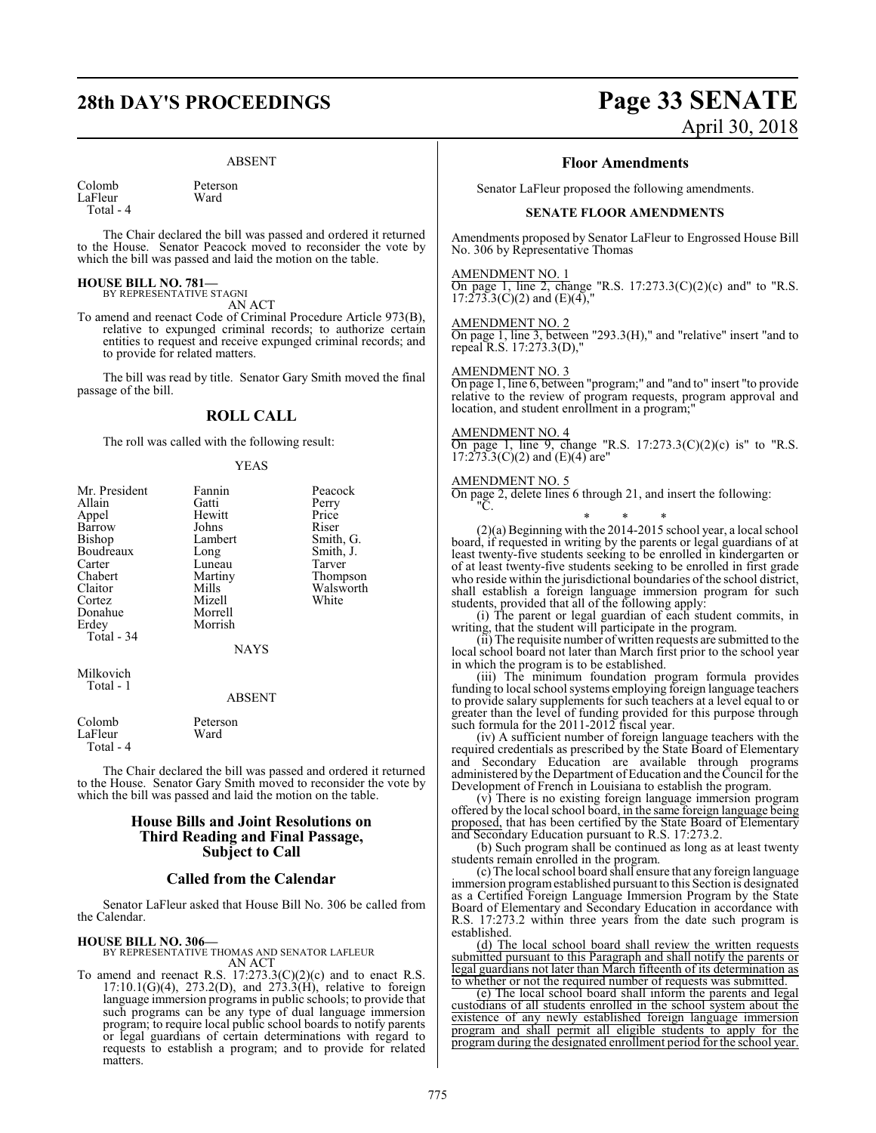# **28th DAY'S PROCEEDINGS Page 33 SENATE**

#### ABSENT

Colomb Peterson<br>LaFleur Ward LaFleur Total - 4

The Chair declared the bill was passed and ordered it returned

to the House. Senator Peacock moved to reconsider the vote by which the bill was passed and laid the motion on the table.

#### **HOUSE BILL NO. 781—** BY REPRESENTATIVE STAGNI

AN ACT

To amend and reenact Code of Criminal Procedure Article 973(B), relative to expunged criminal records; to authorize certain entities to request and receive expunged criminal records; and to provide for related matters.

The bill was read by title. Senator Gary Smith moved the final passage of the bill.

#### **ROLL CALL**

The roll was called with the following result:

#### YEAS

| Mr. President | Fannin        | Peacock   |
|---------------|---------------|-----------|
| Allain        | Gatti         | Perry     |
| Appel         | Hewitt        | Price     |
| Barrow        | Johns         | Riser     |
| Bishop        | Lambert       | Smith, G. |
| Boudreaux     | Long          | Smith, J. |
| Carter        | Luneau        | Tarver    |
| Chabert       | Martiny       | Thompson  |
| Claitor       | Mills         | Walsworth |
| Cortez        | Mizell        | White     |
| Donahue       | Morrell       |           |
| Erdey         | Morrish       |           |
| Total - 34    |               |           |
|               | <b>NAYS</b>   |           |
| Milkovich     |               |           |
| Total - 1     | <b>ABSENT</b> |           |
| Colomb        | Peterson      |           |
| LaFleur       | Ward          |           |

Total - 4

The Chair declared the bill was passed and ordered it returned to the House. Senator Gary Smith moved to reconsider the vote by which the bill was passed and laid the motion on the table.

#### **House Bills and Joint Resolutions on Third Reading and Final Passage, Subject to Call**

#### **Called from the Calendar**

Senator LaFleur asked that House Bill No. 306 be called from the Calendar.

#### **HOUSE BILL NO. 306—**

BY REPRESENTATIVE THOMAS AND SENATOR LAFLEUR AN ACT

To amend and reenact R.S.  $17:273.3(C)(2)(c)$  and to enact R.S. 17:10.1(G)(4), 273.2(D), and 273.3(H), relative to foreign language immersion programs in public schools; to provide that such programs can be any type of dual language immersion program; to require local public school boards to notify parents or legal guardians of certain determinations with regard to requests to establish a program; and to provide for related matters.

# April 30, 2018

#### **Floor Amendments**

Senator LaFleur proposed the following amendments.

#### **SENATE FLOOR AMENDMENTS**

Amendments proposed by Senator LaFleur to Engrossed House Bill No. 306 by Representative Thomas

#### AMENDMENT NO. 1

On page 1, line 2, change "R.S.  $17:273.3(C)(2)(c)$  and" to "R.S.  $17:273.3(C)(2)$  and  $(E)(4)$ ,"

#### AMENDMENT NO. 2

On page 1, line 3, between "293.3(H)," and "relative" insert "and to repeal R.S. 17:273.3(D),"

#### AMENDMENT NO. 3

On page 1, line 6, between "program;" and "and to" insert "to provide relative to the review of program requests, program approval and location, and student enrollment in a program;

#### AMENDMENT NO. 4

On page 1, line 9, change "R.S.  $17:273.3(C)(2)(c)$  is" to "R.S.  $17:273.3(C)(2)$  and  $(E)(4)$  are"

#### AMENDMENT NO. 5

On page 2, delete lines 6 through 21, and insert the following: "C.

#### \* \* \*

(2)(a) Beginning with the 2014-2015 school year, a local school board, if requested in writing by the parents or legal guardians of at least twenty-five students seeking to be enrolled in kindergarten or of at least twenty-five students seeking to be enrolled in first grade who reside within the jurisdictional boundaries of the school district, shall establish a foreign language immersion program for such students, provided that all of the following apply:

(i) The parent or legal guardian of each student commits, in writing, that the student will participate in the program.

(ii) The requisite number of written requests are submitted to the local school board not later than March first prior to the school year in which the program is to be established.

(iii) The minimum foundation program formula provides funding to local school systems employing foreign language teachers to provide salary supplements for such teachers at a level equal to or greater than the level of funding provided for this purpose through such formula for the 2011-2012 fiscal year.

(iv) A sufficient number of foreign language teachers with the required credentials as prescribed by the State Board of Elementary and Secondary Education are available through programs administered by the Department ofEducation and the Council for the Development of French in Louisiana to establish the program.

(v) There is no existing foreign language immersion program offered by the local school board, in the same foreign language being proposed, that has been certified by the State Board of Elementary and Secondary Education pursuant to R.S. 17:273.2.

(b) Such program shall be continued as long as at least twenty students remain enrolled in the program.

(c) The local school board shall ensure that any foreign language immersion programestablished pursuant to this Section is designated as a Certified Foreign Language Immersion Program by the State Board of Elementary and Secondary Education in accordance with R.S. 17:273.2 within three years from the date such program is established.

(d) The local school board shall review the written requests submitted pursuant to this Paragraph and shall notify the parents or legal guardians not later than March fifteenth of its determination as to whether or not the required number of requests was submitted.

(e) The local school board shall inform the parents and legal custodians of all students enrolled in the school system about the existence of any newly established foreign language immersion program and shall permit all eligible students to apply for the program during the designated enrollment period for the school year.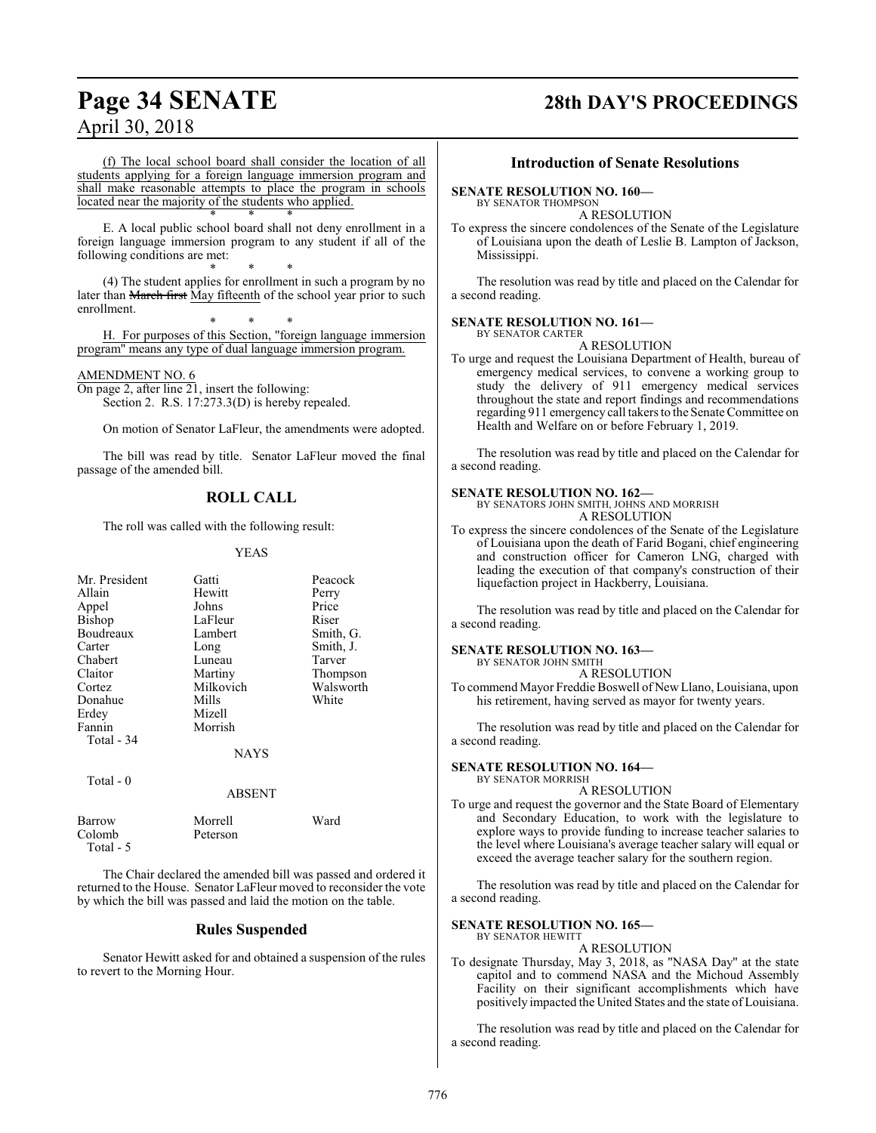# **Page 34 SENATE 28th DAY'S PROCEEDINGS**

(f) The local school board shall consider the location of all students applying for a foreign language immersion program and shall make reasonable attempts to place the program in schools located near the majority of the students who applied. \* \* \*

E. A local public school board shall not deny enrollment in a foreign language immersion program to any student if all of the following conditions are met:

\* \* \* (4) The student applies for enrollment in such a program by no later than March first May fifteenth of the school year prior to such enrollment.

\* \* \* H. For purposes of this Section, "foreign language immersion program" means any type of dual language immersion program.

#### AMENDMENT NO. 6

Total - 5

On page 2, after line 21, insert the following: Section 2. R.S. 17:273.3(D) is hereby repealed.

On motion of Senator LaFleur, the amendments were adopted.

The bill was read by title. Senator LaFleur moved the final passage of the amended bill.

#### **ROLL CALL**

The roll was called with the following result:

#### YEAS

| Mr. President<br>Allain<br>Appel<br><b>Bishop</b><br>Boudreaux<br>Carter<br>Chabert<br>Claitor<br>Cortez<br>Donahue<br>Erdey | Gatti<br>Hewitt<br>Johns<br>LaFleur<br>Lambert<br>Long<br>Luneau<br>Martiny<br>Milkovich<br>Mills<br>Mizell | Peacock<br>Perry<br>Price<br>Riser<br>Smith, G.<br>Smith, J.<br>Tarver<br>Thompson<br>Walsworth<br>White |
|------------------------------------------------------------------------------------------------------------------------------|-------------------------------------------------------------------------------------------------------------|----------------------------------------------------------------------------------------------------------|
| Fannin<br>Total - 34<br>Total $-0$                                                                                           | Morrish<br><b>NAYS</b><br><b>ABSENT</b>                                                                     |                                                                                                          |
| Barrow<br>Colomb                                                                                                             | Morrell<br>Peterson                                                                                         | Ward                                                                                                     |

The Chair declared the amended bill was passed and ordered it returned to the House. Senator LaFleur moved to reconsider the vote by which the bill was passed and laid the motion on the table.

#### **Rules Suspended**

Senator Hewitt asked for and obtained a suspension of the rules to revert to the Morning Hour.

#### **Introduction of Senate Resolutions**

#### **SENATE RESOLUTION NO. 160—**

BY SENATOR THOMPSON

A RESOLUTION

To express the sincere condolences of the Senate of the Legislature of Louisiana upon the death of Leslie B. Lampton of Jackson, Mississippi.

The resolution was read by title and placed on the Calendar for a second reading.

#### **SENATE RESOLUTION NO. 161—** BY SENATOR CARTER

A RESOLUTION

To urge and request the Louisiana Department of Health, bureau of emergency medical services, to convene a working group to study the delivery of 911 emergency medical services throughout the state and report findings and recommendations regarding 911 emergency call takers to the Senate Committee on Health and Welfare on or before February 1, 2019.

The resolution was read by title and placed on the Calendar for a second reading.

#### **SENATE RESOLUTION NO. 162—**

BY SENATORS JOHN SMITH, JOHNS AND MORRISH A RESOLUTION

To express the sincere condolences of the Senate of the Legislature of Louisiana upon the death of Farid Bogani, chief engineering and construction officer for Cameron LNG, charged with leading the execution of that company's construction of their liquefaction project in Hackberry, Louisiana.

The resolution was read by title and placed on the Calendar for a second reading.

#### **SENATE RESOLUTION NO. 163—**

BY SENATOR JOHN SMITH

A RESOLUTION To commend Mayor Freddie Boswell of New Llano, Louisiana, upon his retirement, having served as mayor for twenty years.

The resolution was read by title and placed on the Calendar for a second reading.

#### **SENATE RESOLUTION NO. 164—**

BY SENATOR MORRISH A RESOLUTION

To urge and request the governor and the State Board of Elementary and Secondary Education, to work with the legislature to explore ways to provide funding to increase teacher salaries to the level where Louisiana's average teacher salary will equal or exceed the average teacher salary for the southern region.

The resolution was read by title and placed on the Calendar for a second reading.

#### **SENATE RESOLUTION NO. 165—** BY SENATOR HEWITT

#### A RESOLUTION

To designate Thursday, May 3, 2018, as "NASA Day" at the state capitol and to commend NASA and the Michoud Assembly Facility on their significant accomplishments which have positively impacted the United States and the state of Louisiana.

The resolution was read by title and placed on the Calendar for a second reading.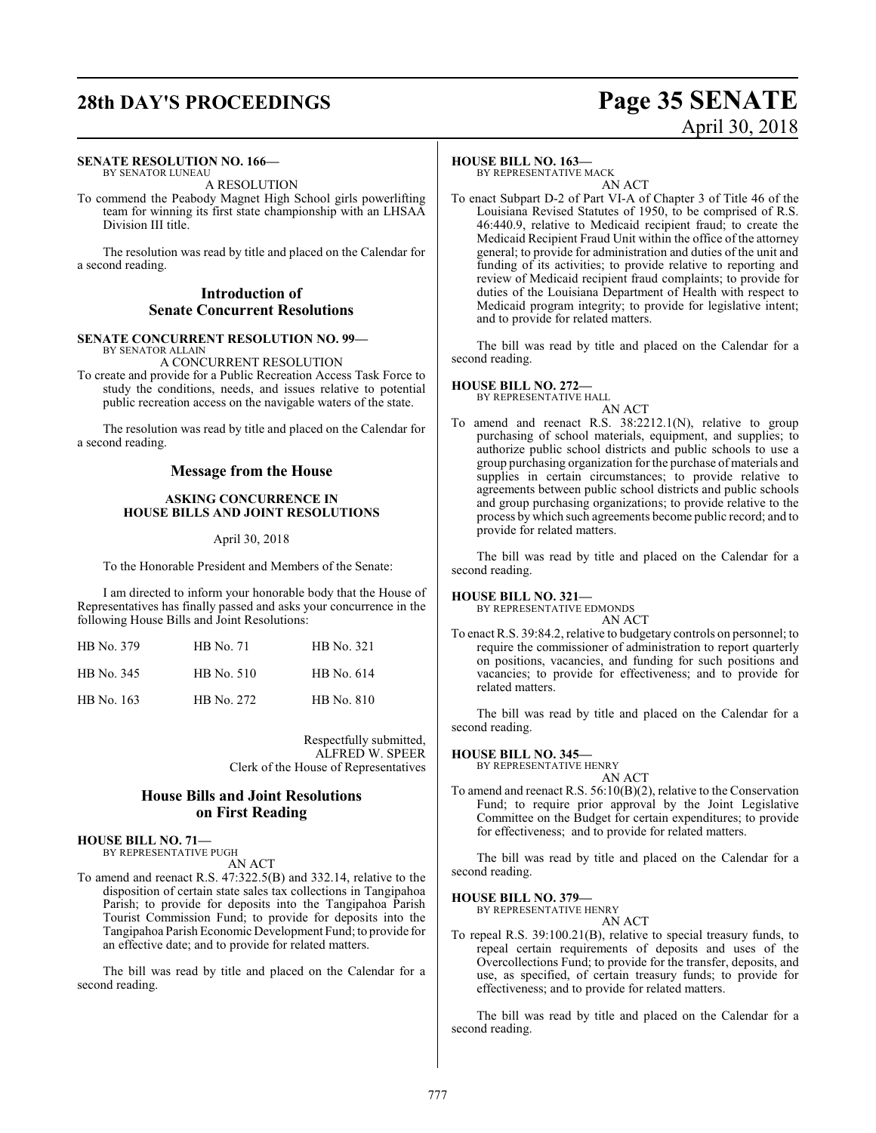### **SENATE RESOLUTION NO. 166—**

BY SENATOR LUNEAU A RESOLUTION

To commend the Peabody Magnet High School girls powerlifting team for winning its first state championship with an LHSAA Division III title.

The resolution was read by title and placed on the Calendar for a second reading.

### **Introduction of Senate Concurrent Resolutions**

#### **SENATE CONCURRENT RESOLUTION NO. 99—** BY SENATOR ALLAIN

A CONCURRENT RESOLUTION To create and provide for a Public Recreation Access Task Force to study the conditions, needs, and issues relative to potential public recreation access on the navigable waters of the state.

The resolution was read by title and placed on the Calendar for a second reading.

#### **Message from the House**

#### **ASKING CONCURRENCE IN HOUSE BILLS AND JOINT RESOLUTIONS**

#### April 30, 2018

To the Honorable President and Members of the Senate:

I am directed to inform your honorable body that the House of Representatives has finally passed and asks your concurrence in the following House Bills and Joint Resolutions:

| HB No. 379 | <b>HB</b> No. 71 | HB No. 321 |
|------------|------------------|------------|
| HB No. 345 | HB No. 510       | HB No. 614 |
| HB No. 163 | HB No. 272       | HB No. 810 |

Respectfully submitted, ALFRED W. SPEER Clerk of the House of Representatives

### **House Bills and Joint Resolutions on First Reading**

**HOUSE BILL NO. 71—** BY REPRESENTATIVE PUGH

AN ACT

To amend and reenact R.S. 47:322.5(B) and 332.14, relative to the disposition of certain state sales tax collections in Tangipahoa Parish; to provide for deposits into the Tangipahoa Parish Tourist Commission Fund; to provide for deposits into the Tangipahoa Parish Economic Development Fund; to provide for an effective date; and to provide for related matters.

The bill was read by title and placed on the Calendar for a second reading.

#### **HOUSE BILL NO. 163—**

BY REPRESENTATIVE MACK

AN ACT To enact Subpart D-2 of Part VI-A of Chapter 3 of Title 46 of the Louisiana Revised Statutes of 1950, to be comprised of R.S. 46:440.9, relative to Medicaid recipient fraud; to create the Medicaid Recipient Fraud Unit within the office of the attorney general; to provide for administration and duties of the unit and funding of its activities; to provide relative to reporting and review of Medicaid recipient fraud complaints; to provide for duties of the Louisiana Department of Health with respect to Medicaid program integrity; to provide for legislative intent; and to provide for related matters.

The bill was read by title and placed on the Calendar for a second reading.

**HOUSE BILL NO. 272—** BY REPRESENTATIVE HALL

- AN ACT
- To amend and reenact R.S. 38:2212.1(N), relative to group purchasing of school materials, equipment, and supplies; to authorize public school districts and public schools to use a group purchasing organization for the purchase of materials and supplies in certain circumstances; to provide relative to agreements between public school districts and public schools and group purchasing organizations; to provide relative to the process by which such agreements become public record; and to provide for related matters.

The bill was read by title and placed on the Calendar for a second reading.

#### **HOUSE BILL NO. 321—**

BY REPRESENTATIVE EDMONDS AN ACT

To enact R.S. 39:84.2, relative to budgetary controls on personnel; to require the commissioner of administration to report quarterly on positions, vacancies, and funding for such positions and vacancies; to provide for effectiveness; and to provide for related matters.

The bill was read by title and placed on the Calendar for a second reading.

#### **HOUSE BILL NO. 345—**

BY REPRESENTATIVE HENRY

- AN ACT
- To amend and reenact R.S. 56:10(B)(2), relative to the Conservation Fund; to require prior approval by the Joint Legislative Committee on the Budget for certain expenditures; to provide for effectiveness; and to provide for related matters.

The bill was read by title and placed on the Calendar for a second reading.

**HOUSE BILL NO. 379—**

BY REPRESENTATIVE HENRY AN ACT

To repeal R.S. 39:100.21(B), relative to special treasury funds, to repeal certain requirements of deposits and uses of the Overcollections Fund; to provide for the transfer, deposits, and use, as specified, of certain treasury funds; to provide for effectiveness; and to provide for related matters.

The bill was read by title and placed on the Calendar for a second reading.

# **28th DAY'S PROCEEDINGS Page 35 SENATE** April 30, 2018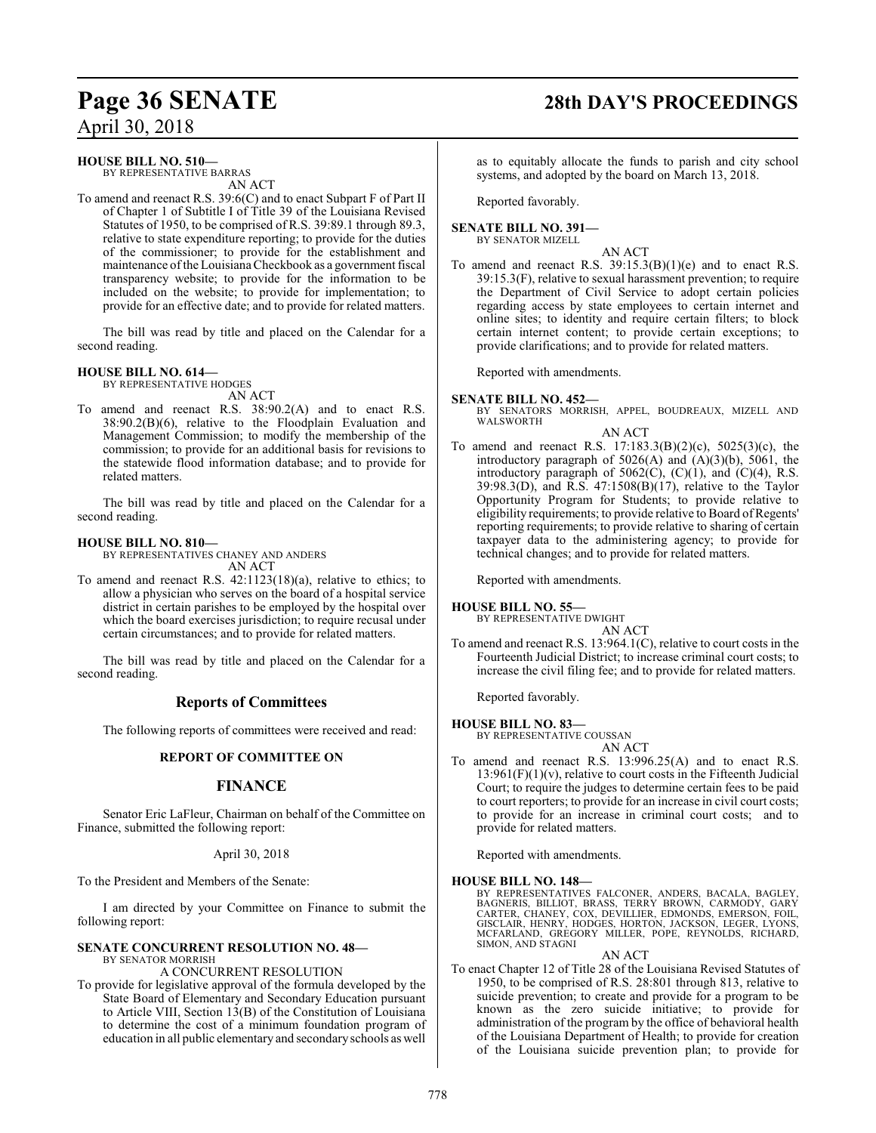# **Page 36 SENATE 28th DAY'S PROCEEDINGS**

April 30, 2018

### **HOUSE BILL NO. 510—**

BY REPRESENTATIVE BARRAS AN ACT

To amend and reenact R.S. 39:6(C) and to enact Subpart F of Part II of Chapter 1 of Subtitle I of Title 39 of the Louisiana Revised Statutes of 1950, to be comprised of R.S. 39:89.1 through 89.3, relative to state expenditure reporting; to provide for the duties of the commissioner; to provide for the establishment and maintenance of the Louisiana Checkbook as a government fiscal transparency website; to provide for the information to be included on the website; to provide for implementation; to provide for an effective date; and to provide for related matters.

The bill was read by title and placed on the Calendar for a second reading.

#### **HOUSE BILL NO. 614—**

BY REPRESENTATIVE HODGES AN ACT

To amend and reenact R.S. 38:90.2(A) and to enact R.S. 38:90.2(B)(6), relative to the Floodplain Evaluation and Management Commission; to modify the membership of the commission; to provide for an additional basis for revisions to the statewide flood information database; and to provide for related matters.

The bill was read by title and placed on the Calendar for a second reading.

#### **HOUSE BILL NO. 810—**

BY REPRESENTATIVES CHANEY AND ANDERS AN ACT

To amend and reenact R.S. 42:1123(18)(a), relative to ethics; to allow a physician who serves on the board of a hospital service district in certain parishes to be employed by the hospital over which the board exercises jurisdiction; to require recusal under certain circumstances; and to provide for related matters.

The bill was read by title and placed on the Calendar for a second reading.

### **Reports of Committees**

The following reports of committees were received and read:

#### **REPORT OF COMMITTEE ON**

### **FINANCE**

Senator Eric LaFleur, Chairman on behalf of the Committee on Finance, submitted the following report:

#### April 30, 2018

To the President and Members of the Senate:

I am directed by your Committee on Finance to submit the following report:

#### **SENATE CONCURRENT RESOLUTION NO. 48—** BY SENATOR MORRISH

#### A CONCURRENT RESOLUTION

To provide for legislative approval of the formula developed by the State Board of Elementary and Secondary Education pursuant to Article VIII, Section 13(B) of the Constitution of Louisiana to determine the cost of a minimum foundation program of education in all public elementary and secondaryschools as well

as to equitably allocate the funds to parish and city school systems, and adopted by the board on March 13, 2018.

Reported favorably.

#### **SENATE BILL NO. 391—** BY SENATOR MIZELL

AN ACT

To amend and reenact R.S.  $39:15.3(B)(1)(e)$  and to enact R.S. 39:15.3(F), relative to sexual harassment prevention; to require the Department of Civil Service to adopt certain policies regarding access by state employees to certain internet and online sites; to identity and require certain filters; to block certain internet content; to provide certain exceptions; to provide clarifications; and to provide for related matters.

Reported with amendments.

#### **SENATE BILL NO. 452—**

BY SENATORS MORRISH, APPEL, BOUDREAUX, MIZELL AND WALSWORTH

AN ACT

To amend and reenact R.S. 17:183.3(B)(2)(c), 5025(3)(c), the introductory paragraph of  $5026(A)$  and  $(A)(3)(b)$ ,  $5061$ , the introductory paragraph of  $5062(C)$ ,  $(C)(1)$ , and  $(C)(4)$ , R.S. 39:98.3(D), and R.S. 47:1508(B)(17), relative to the Taylor Opportunity Program for Students; to provide relative to eligibility requirements; to provide relative to Board of Regents' reporting requirements; to provide relative to sharing of certain taxpayer data to the administering agency; to provide for technical changes; and to provide for related matters.

Reported with amendments.

#### **HOUSE BILL NO. 55—**

BY REPRESENTATIVE DWIGHT AN ACT

To amend and reenact R.S. 13:964.1(C), relative to court costs in the Fourteenth Judicial District; to increase criminal court costs; to increase the civil filing fee; and to provide for related matters.

Reported favorably.

#### **HOUSE BILL NO. 83—**

BY REPRESENTATIVE COUSSAN AN ACT

To amend and reenact R.S. 13:996.25(A) and to enact R.S.  $13:961(F)(1)(v)$ , relative to court costs in the Fifteenth Judicial Court; to require the judges to determine certain fees to be paid to court reporters; to provide for an increase in civil court costs; to provide for an increase in criminal court costs; and to provide for related matters.

Reported with amendments.

#### **HOUSE BILL NO. 148—**

BY REPRESENTATIVES FALCONER, ANDERS, BACALA, BAGLEY, BAGNERIS, BILLIOT, BRASS, TERRY BROWN, CARMODY, GARY BAGNERIS, BILLIOT, BRASS, TERRY BROWN, CARMODY, GARY<br>CARTER, CHANEY, COX, DEVILLIER, EDMONDS, EMERSON, FOIL,<br>GISCLAIR, HENRY, HODGES, HORTON, JACKSON, LEGER, LYONS,<br>MCFARLAND, GREGORY MILLER, POPE, REYNOLDS, RICHARD,<br>SIMON

#### AN ACT

To enact Chapter 12 of Title 28 of the Louisiana Revised Statutes of 1950, to be comprised of R.S. 28:801 through 813, relative to suicide prevention; to create and provide for a program to be known as the zero suicide initiative; to provide for administration of the program by the office of behavioral health of the Louisiana Department of Health; to provide for creation of the Louisiana suicide prevention plan; to provide for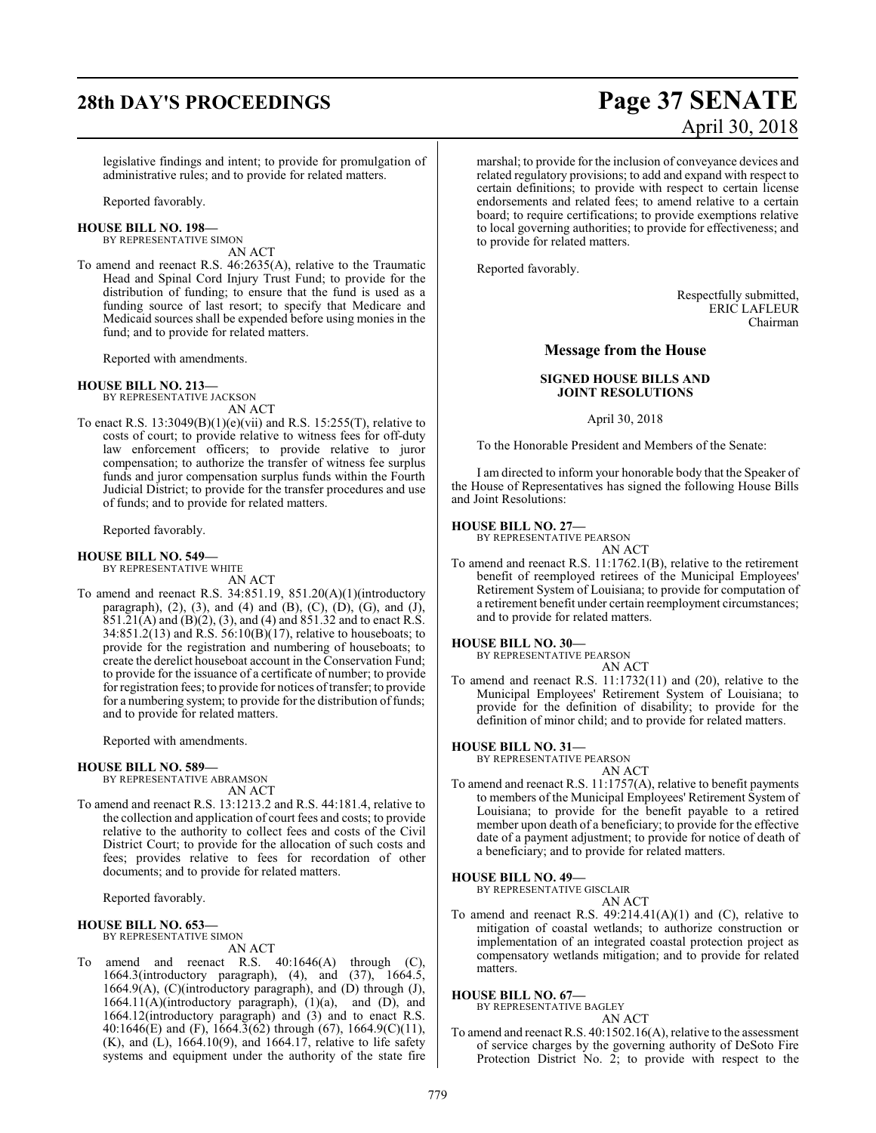# **28th DAY'S PROCEEDINGS Page 37 SENATE** April 30, 2018

legislative findings and intent; to provide for promulgation of administrative rules; and to provide for related matters.

Reported favorably.

**HOUSE BILL NO. 198—** BY REPRESENTATIVE SIMON

AN ACT

To amend and reenact R.S. 46:2635(A), relative to the Traumatic Head and Spinal Cord Injury Trust Fund; to provide for the distribution of funding; to ensure that the fund is used as a funding source of last resort; to specify that Medicare and Medicaid sources shall be expended before using monies in the fund; and to provide for related matters.

Reported with amendments.

#### **HOUSE BILL NO. 213—**

BY REPRESENTATIVE JACKSON AN ACT

To enact R.S. 13:3049(B)(1)(e)(vii) and R.S. 15:255(T), relative to costs of court; to provide relative to witness fees for off-duty law enforcement officers; to provide relative to juror compensation; to authorize the transfer of witness fee surplus funds and juror compensation surplus funds within the Fourth Judicial District; to provide for the transfer procedures and use of funds; and to provide for related matters.

Reported favorably.

#### **HOUSE BILL NO. 549—** BY REPRESENTATIVE WHITE

AN ACT

To amend and reenact R.S. 34:851.19, 851.20(A)(1)(introductory paragraph),  $(2)$ ,  $(3)$ , and  $(4)$  and  $(B)$ ,  $(C)$ ,  $(D)$ ,  $(G)$ , and  $(J)$ , 851.21(A) and (B)(2), (3), and (4) and 851.32 and to enact R.S. 34:851.2(13) and R.S. 56:10(B)(17), relative to houseboats; to provide for the registration and numbering of houseboats; to create the derelict houseboat account in the Conservation Fund; to provide for the issuance of a certificate of number; to provide for registration fees; to provide for notices oftransfer; to provide for a numbering system; to provide for the distribution of funds; and to provide for related matters.

Reported with amendments.

#### **HOUSE BILL NO. 589—**

BY REPRESENTATIVE ABRAMSON AN ACT

To amend and reenact R.S. 13:1213.2 and R.S. 44:181.4, relative to the collection and application of court fees and costs; to provide relative to the authority to collect fees and costs of the Civil District Court; to provide for the allocation of such costs and fees; provides relative to fees for recordation of other documents; and to provide for related matters.

Reported favorably.

#### **HOUSE BILL NO. 653—**

BY REPRESENTATIVE SIMON

#### AN ACT

To amend and reenact R.S. 40:1646(A) through (C), 1664.3(introductory paragraph), (4), and (37), 1664.5, 1664.9(A), (C)(introductory paragraph), and (D) through (J), 1664.11(A)(introductory paragraph), (1)(a), and (D), and 1664.12(introductory paragraph) and (3) and to enact R.S. 40:1646(E) and (F),  $1664.3(62)$  through (67),  $1664.9(C)(11)$ ,  $(K)$ , and  $(L)$ , 1664.10(9), and 1664.17, relative to life safety systems and equipment under the authority of the state fire

marshal; to provide for the inclusion of conveyance devices and related regulatory provisions; to add and expand with respect to certain definitions; to provide with respect to certain license endorsements and related fees; to amend relative to a certain board; to require certifications; to provide exemptions relative to local governing authorities; to provide for effectiveness; and to provide for related matters.

Reported favorably.

Respectfully submitted, ERIC LAFLEUR Chairman

### **Message from the House**

#### **SIGNED HOUSE BILLS AND JOINT RESOLUTIONS**

April 30, 2018

To the Honorable President and Members of the Senate:

I am directed to inform your honorable body that the Speaker of the House of Representatives has signed the following House Bills and Joint Resolutions:

#### **HOUSE BILL NO. 27—**

BY REPRESENTATIVE PEARSON AN ACT

To amend and reenact R.S. 11:1762.1(B), relative to the retirement benefit of reemployed retirees of the Municipal Employees' Retirement System of Louisiana; to provide for computation of a retirement benefit under certain reemployment circumstances; and to provide for related matters.

#### **HOUSE BILL NO. 30—**

BY REPRESENTATIVE PEARSON

AN ACT To amend and reenact R.S. 11:1732(11) and (20), relative to the Municipal Employees' Retirement System of Louisiana; to provide for the definition of disability; to provide for the definition of minor child; and to provide for related matters.

#### **HOUSE BILL NO. 31—**

BY REPRESENTATIVE PEARSON AN ACT

To amend and reenact R.S. 11:1757(A), relative to benefit payments to members of the Municipal Employees' Retirement System of Louisiana; to provide for the benefit payable to a retired member upon death of a beneficiary; to provide for the effective date of a payment adjustment; to provide for notice of death of a beneficiary; and to provide for related matters.

#### **HOUSE BILL NO. 49—**

BY REPRESENTATIVE GISCLAIR

AN ACT

To amend and reenact R.S.  $49:214.41(A)(1)$  and (C), relative to mitigation of coastal wetlands; to authorize construction or implementation of an integrated coastal protection project as compensatory wetlands mitigation; and to provide for related matters.

#### **HOUSE BILL NO. 67—**

BY REPRESENTATIVE BAGLEY AN ACT

To amend and reenact R.S. 40:1502.16(A), relative to the assessment of service charges by the governing authority of DeSoto Fire Protection District No. 2; to provide with respect to the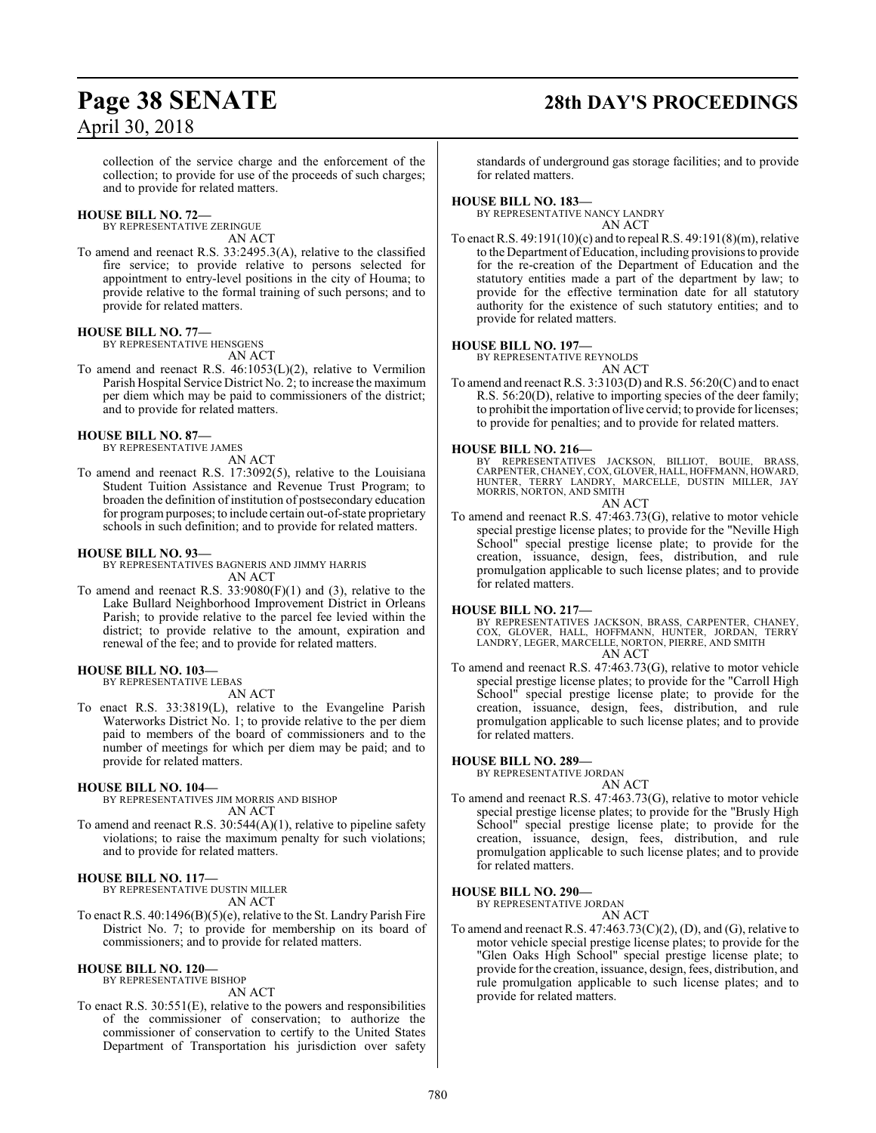# **Page 38 SENATE 28th DAY'S PROCEEDINGS**

collection of the service charge and the enforcement of the collection; to provide for use of the proceeds of such charges; and to provide for related matters.

#### **HOUSE BILL NO. 72—**

BY REPRESENTATIVE ZERINGUE

AN ACT

To amend and reenact R.S. 33:2495.3(A), relative to the classified fire service; to provide relative to persons selected for appointment to entry-level positions in the city of Houma; to provide relative to the formal training of such persons; and to provide for related matters.

#### **HOUSE BILL NO. 77—**

BY REPRESENTATIVE HENSGENS AN ACT

To amend and reenact R.S. 46:1053(L)(2), relative to Vermilion Parish Hospital Service District No. 2; to increase the maximum per diem which may be paid to commissioners of the district; and to provide for related matters.

#### **HOUSE BILL NO. 87—**

BY REPRESENTATIVE JAMES AN ACT

To amend and reenact R.S. 17:3092(5), relative to the Louisiana Student Tuition Assistance and Revenue Trust Program; to broaden the definition of institution of postsecondary education for programpurposes; to include certain out-of-state proprietary schools in such definition; and to provide for related matters.

#### **HOUSE BILL NO. 93—**

BY REPRESENTATIVES BAGNERIS AND JIMMY HARRIS AN ACT

To amend and reenact R.S. 33:9080(F)(1) and (3), relative to the Lake Bullard Neighborhood Improvement District in Orleans Parish; to provide relative to the parcel fee levied within the district; to provide relative to the amount, expiration and renewal of the fee; and to provide for related matters.

#### **HOUSE BILL NO. 103—**

BY REPRESENTATIVE LEBAS AN ACT

To enact R.S. 33:3819(L), relative to the Evangeline Parish Waterworks District No. 1; to provide relative to the per diem paid to members of the board of commissioners and to the number of meetings for which per diem may be paid; and to provide for related matters.

#### **HOUSE BILL NO. 104—**

BY REPRESENTATIVES JIM MORRIS AND BISHOP AN ACT

To amend and reenact R.S. 30:544(A)(1), relative to pipeline safety violations; to raise the maximum penalty for such violations; and to provide for related matters.

#### **HOUSE BILL NO. 117—**

BY REPRESENTATIVE DUSTIN MILLER AN ACT

To enact R.S. 40:1496(B)(5)(e), relative to the St. Landry Parish Fire District No. 7; to provide for membership on its board of commissioners; and to provide for related matters.

#### **HOUSE BILL NO. 120—**

BY REPRESENTATIVE BISHOP

AN ACT

To enact R.S. 30:551(E), relative to the powers and responsibilities of the commissioner of conservation; to authorize the commissioner of conservation to certify to the United States Department of Transportation his jurisdiction over safety

standards of underground gas storage facilities; and to provide for related matters.

#### **HOUSE BILL NO. 183—**

BY REPRESENTATIVE NANCY LANDRY AN ACT

To enact R.S. 49:191(10)(c) and to repeal R.S. 49:191(8)(m), relative to the Department of Education, including provisions to provide for the re-creation of the Department of Education and the statutory entities made a part of the department by law; to provide for the effective termination date for all statutory authority for the existence of such statutory entities; and to provide for related matters.

#### **HOUSE BILL NO. 197—**

BY REPRESENTATIVE REYNOLDS AN ACT

To amend and reenact R.S. 3:3103(D) and R.S. 56:20(C) and to enact R.S. 56:20(D), relative to importing species of the deer family; to prohibit the importation of live cervid; to provide for licenses; to provide for penalties; and to provide for related matters.

## **HOUSE BILL NO. 216—**

REPRESENTATIVES JACKSON, BILLIOT, BOUIE, BRASS, CARPENTER, CHANEY, COX, GLOVER, HALL, HOFFMANN, HOWARD,<br>HUNTER, TERRY LANDRY, MARCELLE, DUSTIN MILLER, JAY<br>MORRIS, NORTON, AND SMITH AN ACT

To amend and reenact R.S. 47:463.73(G), relative to motor vehicle special prestige license plates; to provide for the "Neville High School" special prestige license plate; to provide for the creation, issuance, design, fees, distribution, and rule promulgation applicable to such license plates; and to provide for related matters.

#### **HOUSE BILL NO. 217—**

BY REPRESENTATIVES JACKSON, BRASS, CARPENTER, CHANEY, COX, GLOVER, HALL, HOFFMANN, HUNTER, JORDAN, TERRY LANDRY, LEGER, MARCELLE, NORTON, PIERRE, AND SMITH AN ACT

To amend and reenact R.S. 47:463.73(G), relative to motor vehicle special prestige license plates; to provide for the "Carroll High School" special prestige license plate; to provide for the creation, issuance, design, fees, distribution, and rule promulgation applicable to such license plates; and to provide for related matters.

#### **HOUSE BILL NO. 289—**

BY REPRESENTATIVE JORDAN AN ACT

To amend and reenact R.S. 47:463.73(G), relative to motor vehicle special prestige license plates; to provide for the "Brusly High School" special prestige license plate; to provide for the creation, issuance, design, fees, distribution, and rule promulgation applicable to such license plates; and to provide for related matters.

#### **HOUSE BILL NO. 290—**

BY REPRESENTATIVE JORDAN AN ACT

To amend and reenact R.S.  $47:463.73(C)(2)$ , (D), and (G), relative to motor vehicle special prestige license plates; to provide for the "Glen Oaks High School" special prestige license plate; to provide for the creation, issuance, design, fees, distribution, and rule promulgation applicable to such license plates; and to provide for related matters.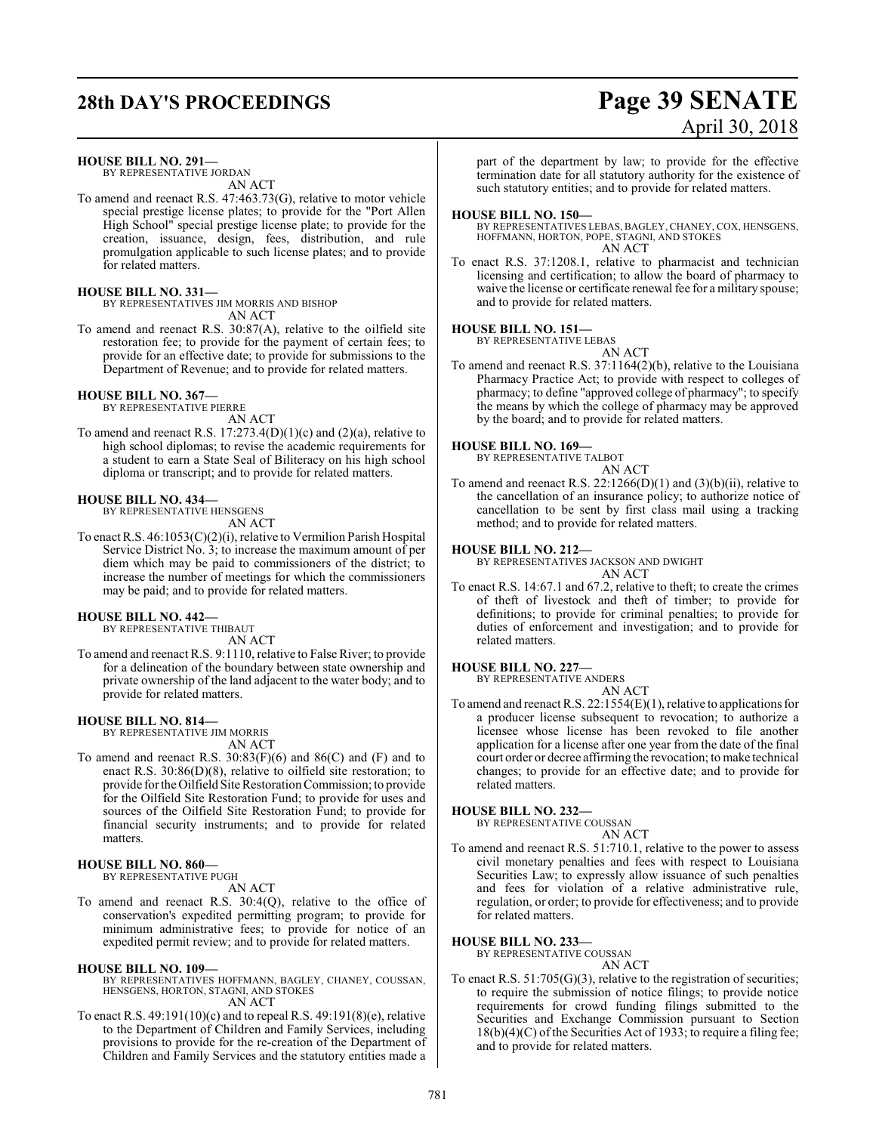# **28th DAY'S PROCEEDINGS Page 39 SENATE** April 30, 2018

**HOUSE BILL NO. 291—**

BY REPRESENTATIVE JORDAN AN ACT

To amend and reenact R.S. 47:463.73(G), relative to motor vehicle special prestige license plates; to provide for the "Port Allen High School" special prestige license plate; to provide for the creation, issuance, design, fees, distribution, and rule promulgation applicable to such license plates; and to provide for related matters.

#### **HOUSE BILL NO. 331—**

BY REPRESENTATIVES JIM MORRIS AND BISHOP AN ACT

To amend and reenact R.S. 30:87(A), relative to the oilfield site restoration fee; to provide for the payment of certain fees; to provide for an effective date; to provide for submissions to the Department of Revenue; and to provide for related matters.

#### **HOUSE BILL NO. 367—**

BY REPRESENTATIVE PIERRE AN ACT

To amend and reenact R.S.  $17:273.4(D)(1)(c)$  and  $(2)(a)$ , relative to high school diplomas; to revise the academic requirements for a student to earn a State Seal of Biliteracy on his high school diploma or transcript; and to provide for related matters.

#### **HOUSE BILL NO. 434—**

BY REPRESENTATIVE HENSGENS AN ACT

To enact R.S. 46:1053(C)(2)(i), relative to Vermilion Parish Hospital Service District No. 3; to increase the maximum amount of per diem which may be paid to commissioners of the district; to increase the number of meetings for which the commissioners may be paid; and to provide for related matters.

#### **HOUSE BILL NO. 442—**

BY REPRESENTATIVE THIBAUT AN ACT

To amend and reenact R.S. 9:1110, relative to False River; to provide for a delineation of the boundary between state ownership and private ownership of the land adjacent to the water body; and to provide for related matters.

#### **HOUSE BILL NO. 814—**

BY REPRESENTATIVE JIM MORRIS AN ACT

To amend and reenact R.S.  $30:83(F)(6)$  and  $86(C)$  and  $(F)$  and to enact R.S. 30:86(D)(8), relative to oilfield site restoration; to provide for the Oilfield Site Restoration Commission; to provide for the Oilfield Site Restoration Fund; to provide for uses and sources of the Oilfield Site Restoration Fund; to provide for financial security instruments; and to provide for related matters.

#### **HOUSE BILL NO. 860—** BY REPRESENTATIVE PUGH

AN ACT

To amend and reenact R.S. 30:4(Q), relative to the office of conservation's expedited permitting program; to provide for minimum administrative fees; to provide for notice of an expedited permit review; and to provide for related matters.

#### **HOUSE BILL NO. 109—**

- BY REPRESENTATIVES HOFFMANN, BAGLEY, CHANEY, COUSSAN, HENSGENS, HORTON, STAGNI, AND STOKES AN ACT
- To enact R.S. 49:191(10)(c) and to repeal R.S. 49:191(8)(e), relative to the Department of Children and Family Services, including provisions to provide for the re-creation of the Department of Children and Family Services and the statutory entities made a

part of the department by law; to provide for the effective termination date for all statutory authority for the existence of such statutory entities; and to provide for related matters.

#### **HOUSE BILL NO. 150—**

BY REPRESENTATIVES LEBAS, BAGLEY, CHANEY, COX, HENSGENS, HOFFMANN, HORTON, POPE, STAGNI, AND STOKES AN ACT

To enact R.S. 37:1208.1, relative to pharmacist and technician licensing and certification; to allow the board of pharmacy to waive the license or certificate renewal fee for a military spouse; and to provide for related matters.

#### **HOUSE BILL NO. 151—**

BY REPRESENTATIVE LEBAS AN ACT

To amend and reenact R.S. 37:1164(2)(b), relative to the Louisiana Pharmacy Practice Act; to provide with respect to colleges of pharmacy; to define "approved college of pharmacy"; to specify the means by which the college of pharmacy may be approved by the board; and to provide for related matters.

#### **HOUSE BILL NO. 169—**

BY REPRESENTATIVE TALBOT

AN ACT

To amend and reenact R.S.  $22:1266(D)(1)$  and  $(3)(b)(ii)$ , relative to the cancellation of an insurance policy; to authorize notice of cancellation to be sent by first class mail using a tracking method; and to provide for related matters.

#### **HOUSE BILL NO. 212—**

BY REPRESENTATIVES JACKSON AND DWIGHT AN ACT

To enact R.S. 14:67.1 and 67.2, relative to theft; to create the crimes of theft of livestock and theft of timber; to provide for definitions; to provide for criminal penalties; to provide for duties of enforcement and investigation; and to provide for related matters.

#### **HOUSE BILL NO. 227—**

BY REPRESENTATIVE ANDERS

AN ACT To amend and reenact R.S. 22:1554(E)(1), relative to applications for a producer license subsequent to revocation; to authorize a licensee whose license has been revoked to file another application for a license after one year from the date of the final court order or decree affirming the revocation; to make technical changes; to provide for an effective date; and to provide for related matters.

#### **HOUSE BILL NO. 232—**

BY REPRESENTATIVE COUSSAN AN ACT

To amend and reenact R.S. 51:710.1, relative to the power to assess civil monetary penalties and fees with respect to Louisiana Securities Law; to expressly allow issuance of such penalties and fees for violation of a relative administrative rule, regulation, or order; to provide for effectiveness; and to provide for related matters.

#### **HOUSE BILL NO. 233—**

BY REPRESENTATIVE COUSSAN

AN ACT

To enact R.S. 51:705(G)(3), relative to the registration of securities; to require the submission of notice filings; to provide notice requirements for crowd funding filings submitted to the Securities and Exchange Commission pursuant to Section 18(b)(4)(C) of the Securities Act of 1933; to require a filing fee; and to provide for related matters.